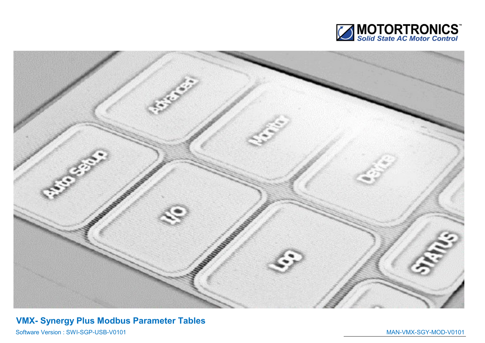



## VMX- Synergy Plus Modbus Parameter Tables

Software Version : SWI-SGP-USB-V0101 MAN-VMX-SGY-MOD-V0101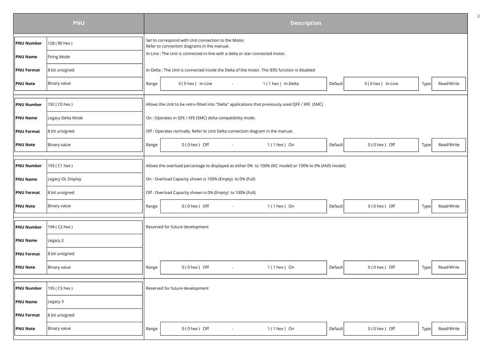|                   | <b>PNU</b>        | <b>Description</b> |                                                                                                          |                     |         |                     |      |            |  |  |  |  |
|-------------------|-------------------|--------------------|----------------------------------------------------------------------------------------------------------|---------------------|---------|---------------------|------|------------|--|--|--|--|
| <b>PNU Number</b> | 128 (80 hex)      |                    | Set to correspond with Unit connection to the Motor.<br>Refer to connection diagrams in the manual.      |                     |         |                     |      |            |  |  |  |  |
| <b>PNU Name</b>   | Firing Mode       |                    | In-Line : The Unit is connected in-line with a delta or star connected motor.                            |                     |         |                     |      |            |  |  |  |  |
| <b>PNU Format</b> | 8 bit unsigned    |                    | In-Delta : The Unit is connected inside the Delta of the motor. The iERS function is disabled            |                     |         |                     |      |            |  |  |  |  |
| <b>PNU Note</b>   | Binary value      | Range              | 0 (0 hex ) In-Line                                                                                       | 1 (1 hex ) In-Delta | Default | $0(0$ hex ) In-Line | Type | Read/Write |  |  |  |  |
|                   |                   |                    |                                                                                                          |                     |         |                     |      |            |  |  |  |  |
| <b>PNU Number</b> | 192 (C0 hex)      |                    | Allows the Unit to be retro-fitted into "Delta" applications that previously used QFE / XFE (5MC)        |                     |         |                     |      |            |  |  |  |  |
| <b>PNU Name</b>   | Legacy Delta Mode |                    | On : Operates in QFE / XFE (5MC) delta compatibility mode.                                               |                     |         |                     |      |            |  |  |  |  |
| <b>PNU Format</b> | 8 bit unsigned    |                    | Off : Operates normally. Refer to Unit Delta connection diagram in the manual.                           |                     |         |                     |      |            |  |  |  |  |
| <b>PNU Note</b>   | Binary value      | Range              | $0(0$ hex $)$ Off<br>$\sim$                                                                              | $1(1$ hex ) On      | Default | $0(0$ hex $)$ Off   | Type | Read/Write |  |  |  |  |
|                   |                   |                    |                                                                                                          |                     |         |                     |      |            |  |  |  |  |
| <b>PNU Number</b> | 193 (C1 hex)      |                    | Allows the overload percentage to displayed as either 0% to 100% (IEC model) or 100% to 0% (ANSI model). |                     |         |                     |      |            |  |  |  |  |
| <b>PNU Name</b>   | Legacy OL Display |                    | On : Overload Capacity shown is 100% (Empty) to 0% (Full)                                                |                     |         |                     |      |            |  |  |  |  |
| <b>PNU Format</b> | 8 bit unsigned    |                    | Off: Overload Capacity shown is 0% (Empty) to 100% (Full)                                                |                     |         |                     |      |            |  |  |  |  |
| <b>PNU Note</b>   | Binary value      | Range              | $0(0$ hex $)$ Off<br>$\sim$                                                                              | $1(1$ hex ) On      | Default | $0(0$ hex ) Off     | Type | Read/Write |  |  |  |  |
|                   |                   |                    |                                                                                                          |                     |         |                     |      |            |  |  |  |  |
| <b>PNU Number</b> | 194 (C2 hex)      |                    | Reserved for future development                                                                          |                     |         |                     |      |            |  |  |  |  |
| <b>PNU Name</b>   | Legacy 2          |                    |                                                                                                          |                     |         |                     |      |            |  |  |  |  |
| <b>PNU Format</b> | 8 bit unsigned    |                    |                                                                                                          |                     |         |                     |      |            |  |  |  |  |
| <b>PNU Note</b>   | Binary value      | Range              | $0(0$ hex $)$ Off<br>$\sim$                                                                              | $1(1$ hex $)$ On    | Default | $0(0$ hex ) Off     | Type | Read/Write |  |  |  |  |
|                   |                   |                    |                                                                                                          |                     |         |                     |      |            |  |  |  |  |
| <b>PNU Number</b> | 195 (C3 hex)      |                    | Reserved for future development                                                                          |                     |         |                     |      |            |  |  |  |  |
| <b>PNU Name</b>   | Legacy 3          |                    |                                                                                                          |                     |         |                     |      |            |  |  |  |  |
| <b>PNU Format</b> | 8 bit unsigned    |                    |                                                                                                          |                     |         |                     |      |            |  |  |  |  |
| <b>PNU Note</b>   | Binary value      | Range              | $0(0$ hex ) Off                                                                                          | $1(1$ hex ) On      | Default | $0(0$ hex ) Off     | Type | Read/Write |  |  |  |  |
|                   |                   |                    |                                                                                                          |                     |         |                     |      |            |  |  |  |  |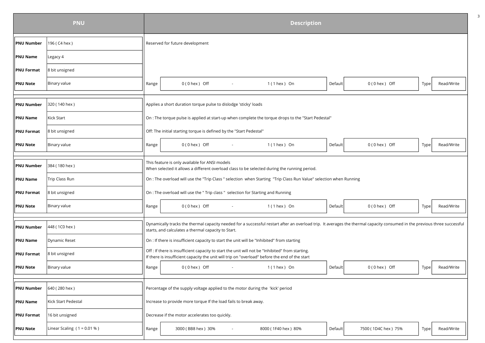|                   | <b>PNU</b>                    |       |                                                                                                                                                                                                    |        | <b>Description</b>                                                                                                 |                |                                                                                                                                                                            |      |            |  |  |  |  |  |  |  |  |  |
|-------------------|-------------------------------|-------|----------------------------------------------------------------------------------------------------------------------------------------------------------------------------------------------------|--------|--------------------------------------------------------------------------------------------------------------------|----------------|----------------------------------------------------------------------------------------------------------------------------------------------------------------------------|------|------------|--|--|--|--|--|--|--|--|--|
| <b>PNU Number</b> | 196 (C4 hex)                  |       | Reserved for future development                                                                                                                                                                    |        |                                                                                                                    |                |                                                                                                                                                                            |      |            |  |  |  |  |  |  |  |  |  |
| <b>PNU Name</b>   | Legacy 4                      |       |                                                                                                                                                                                                    |        |                                                                                                                    |                |                                                                                                                                                                            |      |            |  |  |  |  |  |  |  |  |  |
| <b>PNU Format</b> | 8 bit unsigned                |       |                                                                                                                                                                                                    |        |                                                                                                                    |                |                                                                                                                                                                            |      |            |  |  |  |  |  |  |  |  |  |
| <b>PNU Note</b>   | Binary value                  | Range | $0(0$ hex $)$ Off                                                                                                                                                                                  | $\sim$ | $1(1$ hex ) On                                                                                                     | Default        | $0(0$ hex ) Off                                                                                                                                                            | Type | Read/Write |  |  |  |  |  |  |  |  |  |
|                   |                               |       |                                                                                                                                                                                                    |        |                                                                                                                    |                |                                                                                                                                                                            |      |            |  |  |  |  |  |  |  |  |  |
| <b>PNU Number</b> | 320 (140 hex)                 |       | Applies a short duration torque pulse to dislodge 'sticky' loads                                                                                                                                   |        |                                                                                                                    |                |                                                                                                                                                                            |      |            |  |  |  |  |  |  |  |  |  |
| <b>PNU Name</b>   | Kick Start                    |       |                                                                                                                                                                                                    |        | On : The torque pulse is applied at start-up when complete the torque drops to the "Start Pedestal"                |                |                                                                                                                                                                            |      |            |  |  |  |  |  |  |  |  |  |
| <b>PNU Format</b> | 8 bit unsigned                |       | Off: The initial starting torque is defined by the "Start Pedestal"                                                                                                                                |        |                                                                                                                    |                |                                                                                                                                                                            |      |            |  |  |  |  |  |  |  |  |  |
| <b>PNU Note</b>   | Binary value                  | Range | $0(0$ hex $)$ Off                                                                                                                                                                                  |        | $1(1$ hex ) On                                                                                                     | Default        | $0(0$ hex $)$ Off                                                                                                                                                          | Type | Read/Write |  |  |  |  |  |  |  |  |  |
| <b>PNU Number</b> | 384 (180 hex)                 |       | This feature is only available for ANSI models<br>When selected it allows a different overload class to be selected during the running period.                                                     |        |                                                                                                                    |                |                                                                                                                                                                            |      |            |  |  |  |  |  |  |  |  |  |
| <b>PNU Name</b>   | Trip Class Run                |       |                                                                                                                                                                                                    |        | On : The overload will use the "Trip Class " selection when Starting "Trip Class Run Value" selection when Running |                |                                                                                                                                                                            |      |            |  |  |  |  |  |  |  |  |  |
| <b>PNU Format</b> | 8 bit unsigned                |       | On : The overload will use the " Trip class " selection for Starting and Running                                                                                                                   |        |                                                                                                                    |                |                                                                                                                                                                            |      |            |  |  |  |  |  |  |  |  |  |
| <b>PNU Note</b>   | Binary value                  | Range | $0(0$ hex $)$ Off                                                                                                                                                                                  | $\sim$ | $1(1$ hex ) On                                                                                                     | <b>Default</b> | $0(0$ hex $)$ Off                                                                                                                                                          | Type | Read/Write |  |  |  |  |  |  |  |  |  |
| <b>PNU Number</b> | 448 (1C0 hex)                 |       | starts, and calculates a thermal capacity to Start.                                                                                                                                                |        |                                                                                                                    |                | Dynamically tracks the thermal capacity needed for a successful restart after an overload trip. It averages the thermal capacity consumed in the previous three successful |      |            |  |  |  |  |  |  |  |  |  |
| <b>PNU Name</b>   | Dynamic Reset                 |       | On : If there is insufficient capacity to start the unit will be "Inhibited" from starting                                                                                                         |        |                                                                                                                    |                |                                                                                                                                                                            |      |            |  |  |  |  |  |  |  |  |  |
| <b>PNU Format</b> | 8 bit unsigned                |       | Off : If there is insufficient capacity to start the unit will not be "Inhibited" from starting.<br>If there is insufficient capacity the unit will trip on "overload" before the end of the start |        |                                                                                                                    |                |                                                                                                                                                                            |      |            |  |  |  |  |  |  |  |  |  |
| <b>PNU Note</b>   | Binary value                  | Range | $0(0$ hex $)$ Off                                                                                                                                                                                  | $\sim$ | $1(1$ hex $)$ On                                                                                                   | Default        | $0(0$ hex $)$ Off                                                                                                                                                          | Type | Read/Write |  |  |  |  |  |  |  |  |  |
|                   |                               |       |                                                                                                                                                                                                    |        |                                                                                                                    |                |                                                                                                                                                                            |      |            |  |  |  |  |  |  |  |  |  |
| <b>PNU Number</b> | 640 (280 hex)                 |       | Percentage of the supply voltage applied to the motor during the 'kick' period                                                                                                                     |        |                                                                                                                    |                |                                                                                                                                                                            |      |            |  |  |  |  |  |  |  |  |  |
| <b>PNU Name</b>   | Kick Start Pedestal           |       | Increase to provide more torque If the load fails to break away.                                                                                                                                   |        |                                                                                                                    |                |                                                                                                                                                                            |      |            |  |  |  |  |  |  |  |  |  |
| <b>PNU Format</b> | 16 bit unsigned               |       | Decrease if the motor accelerates too quickly.                                                                                                                                                     |        |                                                                                                                    |                |                                                                                                                                                                            |      |            |  |  |  |  |  |  |  |  |  |
| <b>PNU Note</b>   | Linear Scaling $(1 = 0.01 %)$ | Range | 3000 (BB8 hex) 30%                                                                                                                                                                                 |        | 8000 (1F40 hex) 80%                                                                                                | Default        | 7500 (1D4C hex) 75%                                                                                                                                                        | Type | Read/Write |  |  |  |  |  |  |  |  |  |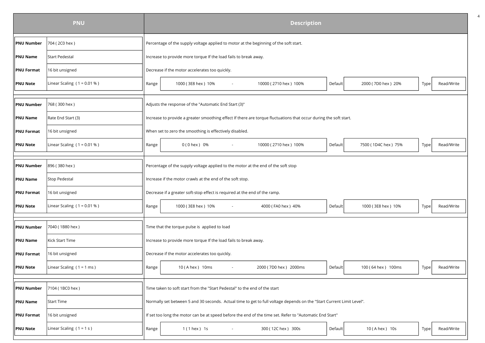|                   | <b>PNU</b>                    |       |                                                                                                                   | <b>Description</b>                                                                                                    |         |                     |      |            |  |  |  |
|-------------------|-------------------------------|-------|-------------------------------------------------------------------------------------------------------------------|-----------------------------------------------------------------------------------------------------------------------|---------|---------------------|------|------------|--|--|--|
| <b>PNU Number</b> | 704 (2C0 hex)                 |       | Percentage of the supply voltage applied to motor at the beginning of the soft start.                             |                                                                                                                       |         |                     |      |            |  |  |  |
| <b>PNU Name</b>   | <b>Start Pedestal</b>         |       | Increase to provide more torque If the load fails to break away.                                                  |                                                                                                                       |         |                     |      |            |  |  |  |
| <b>PNU Format</b> | 16 bit unsigned               |       | Decrease if the motor accelerates too quickly.                                                                    |                                                                                                                       |         |                     |      |            |  |  |  |
| <b>PNU Note</b>   | Linear Scaling $(1 = 0.01 %)$ | Range | 1000 (3E8 hex) 10%                                                                                                | 10000 (2710 hex) 100%                                                                                                 | Default | 2000 (7D0 hex) 20%  | Type | Read/Write |  |  |  |
|                   |                               |       |                                                                                                                   |                                                                                                                       |         |                     |      |            |  |  |  |
| <b>PNU Number</b> | 768 (300 hex)                 |       | Adjusts the response of the "Automatic End Start (3)"                                                             |                                                                                                                       |         |                     |      |            |  |  |  |
| <b>PNU Name</b>   | Rate End Start (3)            |       | Increase to provide a greater smoothing effect If there are torque fluctuations that occur during the soft start. |                                                                                                                       |         |                     |      |            |  |  |  |
| <b>PNU Format</b> | 16 bit unsigned               |       | When set to zero the smoothing is effectively disabled.                                                           |                                                                                                                       |         |                     |      |            |  |  |  |
| <b>PNU Note</b>   | Linear Scaling $(1 = 0.01 %)$ | Range | 0 (0 hex ) 0%                                                                                                     | 10000 (2710 hex) 100%                                                                                                 | Default | 7500 (1D4C hex) 75% | Type | Read/Write |  |  |  |
|                   |                               |       |                                                                                                                   |                                                                                                                       |         |                     |      |            |  |  |  |
| <b>PNU Number</b> | 896 (380 hex)                 |       | Percentage of the supply voltage applied to the motor at the end of the soft stop                                 |                                                                                                                       |         |                     |      |            |  |  |  |
| <b>PNU Name</b>   | <b>Stop Pedestal</b>          |       | Increase if the motor crawls at the end of the soft stop.                                                         |                                                                                                                       |         |                     |      |            |  |  |  |
| <b>PNU Format</b> | 16 bit unsigned               |       | Decrease if a greater soft-stop effect is required at the end of the ramp.                                        |                                                                                                                       |         |                     |      |            |  |  |  |
| <b>PNU Note</b>   | Linear Scaling $(1 = 0.01 %)$ | Range | 1000 (3E8 hex) 10%                                                                                                | 4000 (FA0 hex) 40%                                                                                                    | Default | 1000 (3E8 hex) 10%  | Type | Read/Write |  |  |  |
|                   |                               |       |                                                                                                                   |                                                                                                                       |         |                     |      |            |  |  |  |
| <b>PNU Number</b> | 7040 (1B80 hex)               |       | Time that the torque pulse is applied to load                                                                     |                                                                                                                       |         |                     |      |            |  |  |  |
| <b>PNU Name</b>   | Kick Start Time               |       | Increase to provide more torque If the load fails to break away.                                                  |                                                                                                                       |         |                     |      |            |  |  |  |
| <b>PNU Format</b> | 16 bit unsigned               |       | Decrease if the motor accelerates too quickly.                                                                    |                                                                                                                       |         |                     |      |            |  |  |  |
| <b>PNU Note</b>   | Linear Scaling $(1 = 1$ ms)   | Range | 10 (A hex ) 10ms                                                                                                  | 2000 (7D0 hex) 2000ms                                                                                                 | Default | 100 (64 hex) 100ms  | Type | Read/Write |  |  |  |
|                   |                               |       |                                                                                                                   |                                                                                                                       |         |                     |      |            |  |  |  |
| <b>PNU Number</b> | 7104 (1BC0 hex)               |       | Time taken to soft start from the "Start Pedestal" to the end of the start                                        |                                                                                                                       |         |                     |      |            |  |  |  |
| <b>PNU Name</b>   | <b>Start Time</b>             |       |                                                                                                                   | Normally set between 5 and 30 seconds. Actual time to get to full voltage depends on the "Start Current Limit Level". |         |                     |      |            |  |  |  |
| <b>PNU Format</b> | 16 bit unsigned               |       |                                                                                                                   | If set too long the motor can be at speed before the end of the time set. Refer to "Automatic End Start"              |         |                     |      |            |  |  |  |
| <b>PNU Note</b>   | Linear Scaling $(1 = 1 s)$    | Range | 1 (1 hex ) 1s                                                                                                     | 300 (12C hex) 300s                                                                                                    | Default | 10 (A hex) 10s      | Type | Read/Write |  |  |  |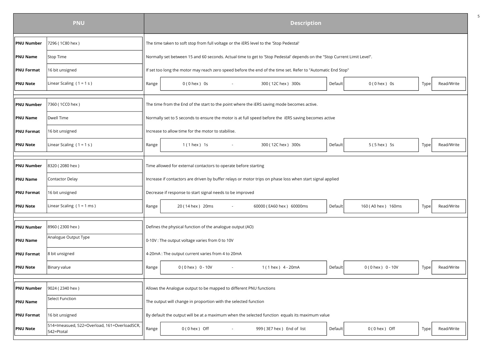|                   | <b>PNU</b>                                                 |       | <b>Description</b>                                                                     |  |                                                                                                                          |         |                       |      |            |  |  |  |  |
|-------------------|------------------------------------------------------------|-------|----------------------------------------------------------------------------------------|--|--------------------------------------------------------------------------------------------------------------------------|---------|-----------------------|------|------------|--|--|--|--|
| <b>PNU Number</b> | 7296 (1C80 hex)                                            |       | The time taken to soft stop from full voltage or the iERS level to the 'Stop Pedestal' |  |                                                                                                                          |         |                       |      |            |  |  |  |  |
| <b>PNU Name</b>   | Stop Time                                                  |       |                                                                                        |  | Normally set between 15 and 60 seconds. Actual time to get to 'Stop Pedestal' depends on the "Stop Current Limit Level". |         |                       |      |            |  |  |  |  |
| <b>PNU Format</b> | 16 bit unsigned                                            |       |                                                                                        |  | If set too long the motor may reach zero speed before the end of the time set. Refer to "Automatic End Stop"             |         |                       |      |            |  |  |  |  |
| <b>PNU Note</b>   | Linear Scaling $(1 = 1 s)$                                 | Range | $0(0$ hex $)$ 0s                                                                       |  | 300 (12C hex) 300s                                                                                                       | Default | $0(0$ hex $)$ 0s      | Type | Read/Write |  |  |  |  |
|                   |                                                            |       |                                                                                        |  |                                                                                                                          |         |                       |      |            |  |  |  |  |
| <b>PNU Number</b> | 7360 (1CC0 hex)                                            |       |                                                                                        |  | The time from the End of the start to the point where the iERS saving mode becomes active.                               |         |                       |      |            |  |  |  |  |
| <b>PNU Name</b>   | <b>Dwell Time</b>                                          |       |                                                                                        |  | Normally set to 5 seconds to ensure the motor is at full speed before the iERS saving becomes active                     |         |                       |      |            |  |  |  |  |
| <b>PNU Format</b> | 16 bit unsigned                                            |       | Increase to allow time for the motor to stabilise.                                     |  |                                                                                                                          |         |                       |      |            |  |  |  |  |
| <b>PNU Note</b>   | Linear Scaling $(1 = 1 s)$                                 | Range | $1(1$ hex $)$ 1s                                                                       |  | 300 (12C hex) 300s                                                                                                       | Default | $5(5$ hex $)$ 5s      | Type | Read/Write |  |  |  |  |
|                   |                                                            |       |                                                                                        |  |                                                                                                                          |         |                       |      |            |  |  |  |  |
| <b>PNU Number</b> | 8320 (2080 hex)                                            |       | Time allowed for external contactors to operate before starting                        |  |                                                                                                                          |         |                       |      |            |  |  |  |  |
| <b>PNU Name</b>   | Contactor Delay                                            |       |                                                                                        |  | Increase if contactors are driven by buffer relays or motor trips on phase loss when start signal applied                |         |                       |      |            |  |  |  |  |
| <b>PNU Format</b> | 16 bit unsigned                                            |       | Decrease if response to start signal needs to be improved                              |  |                                                                                                                          |         |                       |      |            |  |  |  |  |
| <b>PNU Note</b>   | Linear Scaling $(1 = 1$ ms)                                | Range | 20 (14 hex) 20ms                                                                       |  | 60000 (EA60 hex) 60000ms                                                                                                 | Default | 160 (A0 hex ) 160ms   | Type | Read/Write |  |  |  |  |
|                   |                                                            |       |                                                                                        |  |                                                                                                                          |         |                       |      |            |  |  |  |  |
| <b>PNU Number</b> | 8960 (2300 hex)                                            |       | Defines the physical function of the analogue output (AO)                              |  |                                                                                                                          |         |                       |      |            |  |  |  |  |
| <b>PNU Name</b>   | Analogue Output Type                                       |       | 0-10V : The output voltage varies from 0 to 10V                                        |  |                                                                                                                          |         |                       |      |            |  |  |  |  |
| <b>PNU Format</b> | 8 bit unsigned                                             |       | 4-20mA : The output current varies from 4 to 20mA                                      |  |                                                                                                                          |         |                       |      |            |  |  |  |  |
| <b>PNU Note</b>   | Binary value                                               | Range | $0(0$ hex $) 0 - 10V$                                                                  |  | 1 ( 1 hex ) 4 - 20 m A                                                                                                   | Default | $0(0$ hex $) 0 - 10V$ | Type | Read/Write |  |  |  |  |
|                   |                                                            |       |                                                                                        |  |                                                                                                                          |         |                       |      |            |  |  |  |  |
| <b>PNU Number</b> | 9024 (2340 hex)                                            |       | Allows the Analogue output to be mapped to different PNU functions                     |  |                                                                                                                          |         |                       |      |            |  |  |  |  |
| <b>PNU Name</b>   | Select Function                                            |       | The output will change in proportion with the selected function                        |  |                                                                                                                          |         |                       |      |            |  |  |  |  |
| <b>PNU Format</b> | 16 bit unsigned                                            |       |                                                                                        |  | By default the output will be at a maximum when the selected function equals its maximum value                           |         |                       |      |            |  |  |  |  |
| <b>PNU Note</b>   | 514=Imeasued, 522=Overload, 161=OverloadSCR,<br>542=Ptotal | Range | $0(0$ hex ) Off                                                                        |  | 999 (3E7 hex) End of list                                                                                                | Default | $0(0$ hex ) Off       | Type | Read/Write |  |  |  |  |
|                   |                                                            |       |                                                                                        |  |                                                                                                                          |         |                       |      |            |  |  |  |  |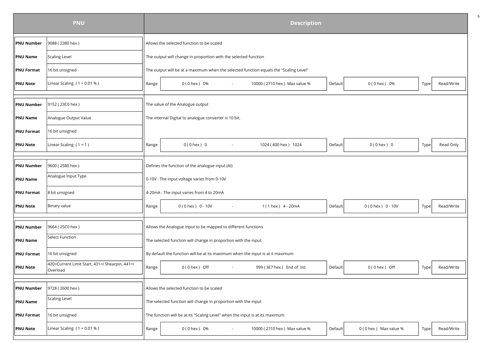|                   | <b>PNU</b>                                                 |       |                                                                                       |        | <b>Description</b>            |         |                        |      |            |  |  |
|-------------------|------------------------------------------------------------|-------|---------------------------------------------------------------------------------------|--------|-------------------------------|---------|------------------------|------|------------|--|--|
| <b>PNU Number</b> | 9088 (2380 hex)                                            |       | Allows the selected function to be scaled                                             |        |                               |         |                        |      |            |  |  |
| <b>PNU Name</b>   | <b>Scaling Level</b>                                       |       | The output will change in proportion with the selected function                       |        |                               |         |                        |      |            |  |  |
| <b>PNU Format</b> | 16 bit unsigned                                            |       | The output will be at a maximum when the selected function equals the "Scaling Level" |        |                               |         |                        |      |            |  |  |
| <b>PNU Note</b>   | Linear Scaling ( $1 = 0.01 %$ )                            | Range | 0 (0 hex) 0%                                                                          |        | 10000 (2710 hex) Max value %  | Default | $0(0$ hex $) 0%$       | Type | Read/Write |  |  |
|                   |                                                            |       |                                                                                       |        |                               |         |                        |      |            |  |  |
| <b>PNU Number</b> | 9152 (23C0 hex)                                            |       | The value of the Analogue output                                                      |        |                               |         |                        |      |            |  |  |
| <b>PNU Name</b>   | Analogue Output Value                                      |       | The internal Digital to analogue converter is 10 bit.                                 |        |                               |         |                        |      |            |  |  |
| <b>PNU Format</b> | 16 bit unsigned                                            |       |                                                                                       |        |                               |         |                        |      |            |  |  |
| <b>PNU Note</b>   | Linear Scaling $(1 = 1)$                                   | Range | $0(0$ hex $)$ 0                                                                       |        | 1024 (400 hex) 1024           | Default | $0(0$ hex $)$ 0        | Type | Read Only  |  |  |
|                   |                                                            |       |                                                                                       |        |                               |         |                        |      |            |  |  |
| <b>PNU Number</b> | 9600 (2580 hex)                                            |       | Defines the function of the analogue input (AI)                                       |        |                               |         |                        |      |            |  |  |
| <b>PNU Name</b>   | Analogue Input Type                                        |       | 0-10V : The input voltage varies from 0-10V                                           |        |                               |         |                        |      |            |  |  |
| <b>PNU Format</b> | 8 bit unsigned                                             |       | 4-20mA : The input varies from 4 to 20mA                                              |        |                               |         |                        |      |            |  |  |
| <b>PNU Note</b>   | Binary value                                               | Range | $0(0$ hex $) 0 - 10V$                                                                 |        | 1 (1 hex ) 4 - 20mA           | Default | $0(0$ hex $) 0 - 10V$  | Type | Read/Write |  |  |
|                   |                                                            |       |                                                                                       |        |                               |         |                        |      |            |  |  |
| <b>PNU Number</b> | 9664 (25C0 hex)                                            |       | Allows the Analogue input to be mapped to different functions                         |        |                               |         |                        |      |            |  |  |
| <b>PNU Name</b>   | <b>Select Function</b>                                     |       | The selected function will change in proportion with the input                        |        |                               |         |                        |      |            |  |  |
| <b>PNU Format</b> | 16 bit unsigned                                            |       | By default the function will be at its maximum when the input is at it maximum        |        |                               |         |                        |      |            |  |  |
| <b>PNU Note</b>   | 420=Current Limit Start, 431=I Shearpin, 441=I<br>Overload | Range | $0(0$ hex ) Off                                                                       | $\sim$ | 999 (3E7 hex) End of list     | Default | $0(0$ hex $)$ Off      | Type | Read/Write |  |  |
|                   |                                                            |       |                                                                                       |        |                               |         |                        |      |            |  |  |
| <b>PNU Number</b> | 9728 (2600 hex)                                            |       | Allows the selected function to be scaled                                             |        |                               |         |                        |      |            |  |  |
| <b>PNU Name</b>   | <b>Scaling Level</b>                                       |       | The selected function will change in proportion with the input                        |        |                               |         |                        |      |            |  |  |
| <b>PNU Format</b> | 16 bit unsigned                                            |       | The function will be at its "Scaling Level" when the input is at its maximum          |        |                               |         |                        |      |            |  |  |
| <b>PNU Note</b>   | Linear Scaling ( $1 = 0.01 %$ )                            | Range | 0 (0 hex ) 0%                                                                         |        | 10000 (2710 hex ) Max value % | Default | 0 (0 hex ) Max value % | Type | Read/Write |  |  |
|                   |                                                            |       |                                                                                       |        |                               |         |                        |      |            |  |  |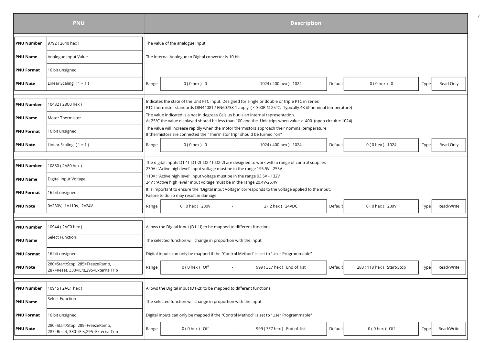|                   | <b>PNU</b>                                                               | <b>Description</b> |                                 |                                                                                                                                                         |  |                                                                                                                                                                                                             |         |                          |      |            |  |  |
|-------------------|--------------------------------------------------------------------------|--------------------|---------------------------------|---------------------------------------------------------------------------------------------------------------------------------------------------------|--|-------------------------------------------------------------------------------------------------------------------------------------------------------------------------------------------------------------|---------|--------------------------|------|------------|--|--|
| <b>PNU Number</b> | 9792 (2640 hex)                                                          |                    | The value of the analogue Input |                                                                                                                                                         |  |                                                                                                                                                                                                             |         |                          |      |            |  |  |
| <b>PNU Name</b>   | Analogue Input Value                                                     |                    |                                 | The internal Analogue to Digital converter is 10 bit.                                                                                                   |  |                                                                                                                                                                                                             |         |                          |      |            |  |  |
| <b>PNU Format</b> | 16 bit unsigned                                                          |                    |                                 |                                                                                                                                                         |  |                                                                                                                                                                                                             |         |                          |      |            |  |  |
| <b>PNU Note</b>   | Linear Scaling $(1 = 1)$                                                 | Range              |                                 | $0(0$ hex $)$ 0                                                                                                                                         |  | 1024 (400 hex) 1024                                                                                                                                                                                         | Default | $0(0$ hex $) 0$          | Type | Read Only  |  |  |
|                   |                                                                          |                    |                                 |                                                                                                                                                         |  |                                                                                                                                                                                                             |         |                          |      |            |  |  |
| <b>PNU Number</b> | 10432 (28C0 hex)                                                         |                    |                                 |                                                                                                                                                         |  | Indicates the state of the Unit PTC input. Designed for single or double or triple PTC in series<br>PTC thermistor standards DIN44081 / EN60738-1 apply (< 300R @ 25°C. Typically 4K @ nominal temperature) |         |                          |      |            |  |  |
| <b>PNU Name</b>   | Motor Thermistor                                                         |                    |                                 |                                                                                                                                                         |  | The value indicated is a not in degrees Celsius but is an internal representation.<br>At 25°C the value displayed should be less than 100 and the Unit trips when value > 400 (open circuit = 1024)         |         |                          |      |            |  |  |
| <b>PNU Format</b> | 16 bit unsigned                                                          |                    |                                 | If thermistors are connected the "Thermistor trip" should be turned "on"                                                                                |  | The value will increase rapidly when the motor thermistors approach their nominal temperature.                                                                                                              |         |                          |      |            |  |  |
| <b>PNU Note</b>   | Linear Scaling $(1 = 1)$                                                 | Range              |                                 | $0(0$ hex $)$ 0                                                                                                                                         |  | 1024 (400 hex) 1024                                                                                                                                                                                         | Default | 0 (0 hex) 1024           | Type | Read Only  |  |  |
|                   |                                                                          |                    |                                 |                                                                                                                                                         |  |                                                                                                                                                                                                             |         |                          |      |            |  |  |
| <b>PNU Number</b> | 10880 (2A80 hex)                                                         |                    |                                 | 230V : 'Active high level' Input voltage must be in the range 195.5V - 253V                                                                             |  | The digital inputs D1-11 D1-21 D2-11 D2-21 are designed to work with a range of control supplies                                                                                                            |         |                          |      |            |  |  |
| <b>PNU Name</b>   | Digital Input Voltage                                                    |                    |                                 | 110V : 'Active high level' Input voltage must be in the range 93.5V - 132V<br>24V : 'Active high level ' input voltage must be in the range 20.4V-26.4V |  |                                                                                                                                                                                                             |         |                          |      |            |  |  |
| <b>PNU Format</b> | 16 bit unsigned                                                          |                    |                                 | Failure to do so may result in damage.                                                                                                                  |  | It is important to ensure the "Digital input Voltage" corresponds to the voltage applied to the input.                                                                                                      |         |                          |      |            |  |  |
| <b>PNU Note</b>   | 0=230V, 1=110V, 2=24V                                                    | Range              |                                 | 0 (0 hex) 230V                                                                                                                                          |  | 2 (2 hex ) 24VDC                                                                                                                                                                                            | Default | 0 (0 hex) 230V           | Type | Read/Write |  |  |
|                   |                                                                          |                    |                                 |                                                                                                                                                         |  |                                                                                                                                                                                                             |         |                          |      |            |  |  |
| <b>PNU Number</b> | 10944 (2AC0 hex)                                                         |                    |                                 | Allows the Digital input (D1-1I) to be mapped to different functions                                                                                    |  |                                                                                                                                                                                                             |         |                          |      |            |  |  |
| <b>PNU Name</b>   | <b>Select Function</b>                                                   |                    |                                 | The selected function will change in proportion with the input                                                                                          |  |                                                                                                                                                                                                             |         |                          |      |            |  |  |
| <b>PNU Format</b> | 16 bit unsigned                                                          |                    |                                 |                                                                                                                                                         |  | Digital inputs can only be mapped if the "Control Method" is set to "User Programmable"                                                                                                                     |         |                          |      |            |  |  |
| <b>PNU Note</b>   | 280=Start/Stop, 285=FreezeRamp,<br>287=Reset, 330=iErs, 295=ExternalTrip | Range              |                                 | $0(0$ hex ) Off                                                                                                                                         |  | 999 (3E7 hex) End of list                                                                                                                                                                                   | Default | 280 (118 hex) Start/Stop | Type | Read/Write |  |  |
|                   |                                                                          |                    |                                 |                                                                                                                                                         |  |                                                                                                                                                                                                             |         |                          |      |            |  |  |
| <b>PNU Number</b> | 10945 (2AC1 hex)                                                         |                    |                                 | Allows the Digital input (D1-2I) to be mapped to different functions                                                                                    |  |                                                                                                                                                                                                             |         |                          |      |            |  |  |
| <b>PNU Name</b>   | Select Function                                                          |                    |                                 | The selected function will change in proportion with the input                                                                                          |  |                                                                                                                                                                                                             |         |                          |      |            |  |  |
| <b>PNU Format</b> | 16 bit unsigned                                                          |                    |                                 |                                                                                                                                                         |  | Digital inputs can only be mapped if the "Control Method" is set to "User Programmable"                                                                                                                     |         |                          |      |            |  |  |
| <b>PNU Note</b>   | 280=Start/Stop, 285=FreezeRamp,<br>287=Reset, 330=iErs, 295=ExternalTrip | Range              |                                 | $0(0$ hex $)$ Off                                                                                                                                       |  | 999 (3E7 hex) End of list                                                                                                                                                                                   | Default | $0(0$ hex ) Off          | Type | Read/Write |  |  |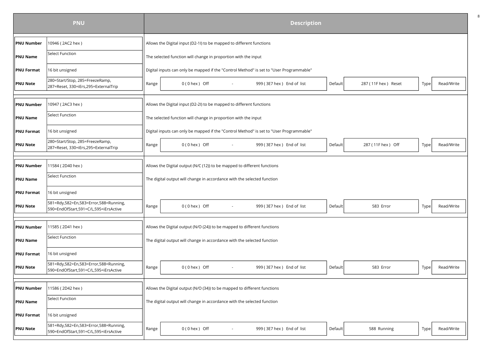|                   | <b>PNU</b>                                                                     |       |                                                                          |        |                                                                                         | <b>Description</b> |                      |      |            |  |  |  |  |  |  |
|-------------------|--------------------------------------------------------------------------------|-------|--------------------------------------------------------------------------|--------|-----------------------------------------------------------------------------------------|--------------------|----------------------|------|------------|--|--|--|--|--|--|
| <b>PNU Number</b> | 10946 (2AC2 hex)                                                               |       | Allows the Digital input (D2-1I) to be mapped to different functions     |        |                                                                                         |                    |                      |      |            |  |  |  |  |  |  |
| <b>PNU Name</b>   | <b>Select Function</b>                                                         |       | The selected function will change in proportion with the input           |        |                                                                                         |                    |                      |      |            |  |  |  |  |  |  |
| <b>PNU Format</b> | 16 bit unsigned                                                                |       |                                                                          |        | Digital inputs can only be mapped if the "Control Method" is set to "User Programmable" |                    |                      |      |            |  |  |  |  |  |  |
| <b>PNU Note</b>   | 280=Start/Stop, 285=FreezeRamp,<br>287=Reset, 330=iErs, 295=ExternalTrip       | Range | $0(0$ hex $)$ Off                                                        |        | 999 (3E7 hex) End of list                                                               | Default            | 287 (11F hex ) Reset | Type | Read/Write |  |  |  |  |  |  |
| <b>PNU Number</b> | 10947 (2AC3 hex)                                                               |       | Allows the Digital input (D2-2I) to be mapped to different functions     |        |                                                                                         |                    |                      |      |            |  |  |  |  |  |  |
| <b>PNU Name</b>   | <b>Select Function</b>                                                         |       | The selected function will change in proportion with the input           |        |                                                                                         |                    |                      |      |            |  |  |  |  |  |  |
| <b>PNU Format</b> | 16 bit unsigned                                                                |       |                                                                          |        | Digital inputs can only be mapped if the "Control Method" is set to "User Programmable" |                    |                      |      |            |  |  |  |  |  |  |
| <b>PNU Note</b>   | 280=Start/Stop, 285=FreezeRamp,<br>287=Reset, 330=iErs, 295=ExternalTrip       | Range | $0(0$ hex ) Off                                                          |        | 999 (3E7 hex) End of list                                                               | Default            | 287 (11F hex) Off    | Type | Read/Write |  |  |  |  |  |  |
| <b>PNU Number</b> | 11584 (2D40 hex)                                                               |       | Allows the Digital output (N/C (12)) to be mapped to different functions |        |                                                                                         |                    |                      |      |            |  |  |  |  |  |  |
| <b>PNU Name</b>   | Select Function                                                                |       | The digital output will change in accordance with the selected function  |        |                                                                                         |                    |                      |      |            |  |  |  |  |  |  |
| <b>PNU Format</b> | 16 bit unsigned                                                                |       |                                                                          |        |                                                                                         |                    |                      |      |            |  |  |  |  |  |  |
| <b>PNU Note</b>   | 581=Rdy,582=En,583=Error,588=Running,<br>590=EndOfStart,591=C/L,595=iErsActive | Range | $0(0$ hex ) Off                                                          | $\sim$ | 999 (3E7 hex) End of list                                                               | Default            | 583 Error            | Type | Read/Write |  |  |  |  |  |  |
| <b>PNU Number</b> | 11585 (2D41 hex)                                                               |       | Allows the Digital output (N/O (24)) to be mapped to different functions |        |                                                                                         |                    |                      |      |            |  |  |  |  |  |  |
| <b>PNU Name</b>   | <b>Select Function</b>                                                         |       | The digital output will change in accordance with the selected function  |        |                                                                                         |                    |                      |      |            |  |  |  |  |  |  |
| <b>PNU Format</b> | 16 bit unsigned                                                                |       |                                                                          |        |                                                                                         |                    |                      |      |            |  |  |  |  |  |  |
| <b>PNU Note</b>   | 581=Rdy,582=En,583=Error,588=Running,<br>590=EndOfStart,591=C/L,595=iErsActive | Range | $0(0$ hex $)$ Off                                                        | $\sim$ | 999 (3E7 hex) End of list                                                               | Default            | 583 Error            | Type | Read/Write |  |  |  |  |  |  |
| <b>PNU Number</b> | 11586 (2D42 hex)                                                               |       | Allows the Digital output (N/O (34)) to be mapped to different functions |        |                                                                                         |                    |                      |      |            |  |  |  |  |  |  |
| <b>PNU Name</b>   | <b>Select Function</b>                                                         |       | The digital output will change in accordance with the selected function  |        |                                                                                         |                    |                      |      |            |  |  |  |  |  |  |
| <b>PNU Format</b> | 16 bit unsigned                                                                |       |                                                                          |        |                                                                                         |                    |                      |      |            |  |  |  |  |  |  |
| <b>PNU Note</b>   | 581=Rdy,582=En,583=Error,588=Running,<br>590=EndOfStart,591=C/L,595=iErsActive | Range | $0(0$ hex $)$ Off                                                        |        | 999 (3E7 hex) End of list                                                               | Default            | 588 Running          | Type | Read/Write |  |  |  |  |  |  |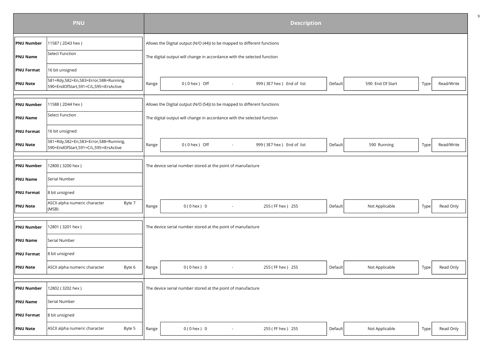|                   | <b>PNU</b>                                                                     |       | <b>Description</b>                                                       |                           |         |                  |      |            |  |  |  |  |
|-------------------|--------------------------------------------------------------------------------|-------|--------------------------------------------------------------------------|---------------------------|---------|------------------|------|------------|--|--|--|--|
| <b>PNU Number</b> | 11587 (2D43 hex)                                                               |       | Allows the Digital output (N/O (44)) to be mapped to different functions |                           |         |                  |      |            |  |  |  |  |
| <b>PNU Name</b>   | Select Function                                                                |       | The digital output will change in accordance with the selected function  |                           |         |                  |      |            |  |  |  |  |
| <b>PNU Format</b> | 16 bit unsigned                                                                |       |                                                                          |                           |         |                  |      |            |  |  |  |  |
| <b>PNU Note</b>   | 581=Rdy,582=En,583=Error,588=Running,<br>590=EndOfStart,591=C/L,595=iErsActive | Range | $0(0$ hex $)$ Off<br>$\sim$                                              | 999 (3E7 hex) End of list | Default | 590 End Of Start | Type | Read/Write |  |  |  |  |
| PNU Number        | 11588 (2D44 hex)                                                               |       | Allows the Digital output (N/O (54)) to be mapped to different functions |                           |         |                  |      |            |  |  |  |  |
| <b>PNU Name</b>   | Select Function                                                                |       | The digital output will change in accordance with the selected function  |                           |         |                  |      |            |  |  |  |  |
| <b>PNU Format</b> | 16 bit unsigned                                                                |       |                                                                          |                           |         |                  |      |            |  |  |  |  |
| <b>PNU Note</b>   | 581=Rdy,582=En,583=Error,588=Running,<br>590=EndOfStart,591=C/L,595=iErsActive | Range | $0(0$ hex $)$ Off                                                        | 999 (3E7 hex) End of list | Default | 590 Running      | Type | Read/Write |  |  |  |  |
| <b>PNU Number</b> | 12800 (3200 hex)                                                               |       | The device serial number stored at the point of manufacture              |                           |         |                  |      |            |  |  |  |  |
| <b>PNU Name</b>   | Serial Number                                                                  |       |                                                                          |                           |         |                  |      |            |  |  |  |  |
| <b>PNU Format</b> | 8 bit unsigned                                                                 |       |                                                                          |                           |         |                  |      |            |  |  |  |  |
| <b>PNU Note</b>   | ASCII alpha numeric character<br>Byte 7<br>(MSB)                               | Range | $0(0$ hex $)$ 0<br>$\sim$                                                | 255 (FF hex ) 255         | Default | Not Applicable   | Type | Read Only  |  |  |  |  |
| <b>PNU Number</b> | 12801 (3201 hex)                                                               |       | The device serial number stored at the point of manufacture              |                           |         |                  |      |            |  |  |  |  |
| <b>PNU Name</b>   | Serial Number                                                                  |       |                                                                          |                           |         |                  |      |            |  |  |  |  |
| <b>PNU Format</b> | 8 bit unsigned                                                                 |       |                                                                          |                           |         |                  |      |            |  |  |  |  |
| <b>PNU Note</b>   | ASCII alpha numeric character<br>Byte 6                                        | Range | $0(0$ hex $)$ 0                                                          | 255 (FF hex ) 255         | Default | Not Applicable   | Type | Read Only  |  |  |  |  |
| <b>PNU Number</b> | 12802 (3202 hex)                                                               |       | The device serial number stored at the point of manufacture              |                           |         |                  |      |            |  |  |  |  |
| <b>PNU Name</b>   | Serial Number                                                                  |       |                                                                          |                           |         |                  |      |            |  |  |  |  |
| PNU Format        | 8 bit unsigned                                                                 |       |                                                                          |                           |         |                  |      |            |  |  |  |  |
| <b>PNU Note</b>   | ASCII alpha numeric character<br>Byte 5                                        | Range | $0(0$ hex $)$ 0                                                          | 255 (FF hex ) 255         | Default | Not Applicable   | Type | Read Only  |  |  |  |  |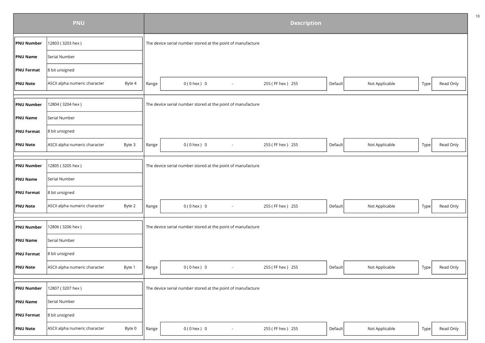|                   | <b>PNU</b>                              |       | <b>Description</b>                                          |                   |         |                |      |           |  |  |  |  |
|-------------------|-----------------------------------------|-------|-------------------------------------------------------------|-------------------|---------|----------------|------|-----------|--|--|--|--|
| <b>PNU Number</b> | 12803 (3203 hex)                        |       | The device serial number stored at the point of manufacture |                   |         |                |      |           |  |  |  |  |
| PNU Name          | Serial Number                           |       |                                                             |                   |         |                |      |           |  |  |  |  |
| <b>PNU Format</b> | 8 bit unsigned                          |       |                                                             |                   |         |                |      |           |  |  |  |  |
| PNU Note          | ASCII alpha numeric character<br>Byte 4 | Range | $0(0$ hex $)$ 0<br>$\sim$                                   | 255 (FF hex) 255  | Default | Not Applicable | Type | Read Only |  |  |  |  |
|                   |                                         |       |                                                             |                   |         |                |      |           |  |  |  |  |
| <b>PNU Number</b> | 12804 (3204 hex)                        |       | The device serial number stored at the point of manufacture |                   |         |                |      |           |  |  |  |  |
| PNU Name          | Serial Number                           |       |                                                             |                   |         |                |      |           |  |  |  |  |
| <b>PNU Format</b> | 8 bit unsigned                          |       |                                                             |                   |         |                |      |           |  |  |  |  |
| <b>PNU Note</b>   | ASCII alpha numeric character<br>Byte 3 | Range | $0(0$ hex $)$ 0                                             | 255 (FF hex ) 255 | Default | Not Applicable | Type | Read Only |  |  |  |  |
|                   |                                         |       |                                                             |                   |         |                |      |           |  |  |  |  |
| <b>PNU Number</b> | 12805 (3205 hex)                        |       | The device serial number stored at the point of manufacture |                   |         |                |      |           |  |  |  |  |
| PNU Name          | Serial Number                           |       |                                                             |                   |         |                |      |           |  |  |  |  |
| <b>PNU Format</b> | 8 bit unsigned                          |       |                                                             |                   |         |                |      |           |  |  |  |  |
| PNU Note          | ASCII alpha numeric character<br>Byte 2 | Range | $0(0$ hex $)$ 0                                             | 255 (FF hex ) 255 | Default | Not Applicable | Type | Read Only |  |  |  |  |
|                   |                                         |       |                                                             |                   |         |                |      |           |  |  |  |  |
| <b>PNU Number</b> | 12806 (3206 hex)                        |       | The device serial number stored at the point of manufacture |                   |         |                |      |           |  |  |  |  |
| <b>PNU Name</b>   | Serial Number                           |       |                                                             |                   |         |                |      |           |  |  |  |  |
| <b>PNU Format</b> | 8 bit unsigned                          |       |                                                             |                   |         |                |      |           |  |  |  |  |
| <b>PNU Note</b>   | ASCII alpha numeric character<br>Byte 1 | Range | $0(0$ hex $)$ 0<br>$\sim$                                   | 255 (FF hex ) 255 | Default | Not Applicable | Type | Read Only |  |  |  |  |
|                   |                                         |       |                                                             |                   |         |                |      |           |  |  |  |  |
| <b>PNU Number</b> | 12807 (3207 hex)                        |       | The device serial number stored at the point of manufacture |                   |         |                |      |           |  |  |  |  |
| PNU Name          | Serial Number                           |       |                                                             |                   |         |                |      |           |  |  |  |  |
| <b>PNU Format</b> | 8 bit unsigned                          |       |                                                             |                   |         |                |      |           |  |  |  |  |
| <b>PNU Note</b>   | ASCII alpha numeric character<br>Byte 0 | Range | $0(0$ hex $) 0$                                             | 255 (FF hex ) 255 | Default | Not Applicable | Type | Read Only |  |  |  |  |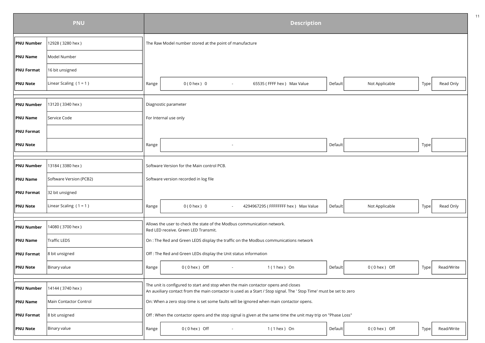|                   | <b>PNU</b>               |       | <b>Description</b>                                                                                                  |         |                   |      |            |
|-------------------|--------------------------|-------|---------------------------------------------------------------------------------------------------------------------|---------|-------------------|------|------------|
| <b>PNU Number</b> | 12928 (3280 hex)         |       | The Raw Model number stored at the point of manufacture                                                             |         |                   |      |            |
| <b>PNU Name</b>   | Model Number             |       |                                                                                                                     |         |                   |      |            |
| <b>PNU Format</b> | 16 bit unsigned          |       |                                                                                                                     |         |                   |      |            |
| <b>PNU Note</b>   | Linear Scaling $(1 = 1)$ | Range | $0(0$ hex $)$ 0<br>65535 (FFFF hex ) Max Value<br>$\sim$                                                            | Default | Not Applicable    | Type | Read Only  |
|                   |                          |       |                                                                                                                     |         |                   |      |            |
| <b>PNU Number</b> | 13120 (3340 hex)         |       | Diagnostic parameter                                                                                                |         |                   |      |            |
| <b>PNU Name</b>   | Service Code             |       | For Internal use only                                                                                               |         |                   |      |            |
| <b>PNU Format</b> |                          |       |                                                                                                                     |         |                   |      |            |
| <b>PNU Note</b>   |                          | Range |                                                                                                                     | Default |                   | Type |            |
| <b>PNU Number</b> | 13184 (3380 hex)         |       | Software Version for the Main control PCB.                                                                          |         |                   |      |            |
| <b>PNU Name</b>   | Software Version (PCB2)  |       | Software version recorded in log file                                                                               |         |                   |      |            |
| <b>PNU Format</b> | 32 bit unsigned          |       |                                                                                                                     |         |                   |      |            |
| <b>PNU Note</b>   | Linear Scaling $(1 = 1)$ | Range | 4294967295 (FFFFFFFF hex) Max Value<br>$0(0$ hex $)$ 0                                                              | Default | Not Applicable    | Type | Read Only  |
| <b>PNU Number</b> | 14080 (3700 hex)         |       | Allows the user to check the state of the Modbus communication network.                                             |         |                   |      |            |
|                   |                          |       | Red LED receive. Green LED Transmit.                                                                                |         |                   |      |            |
| <b>PNU Name</b>   | Traffic LEDS             |       | On : The Red and Green LEDS display the traffic on the Modbus communications network                                |         |                   |      |            |
| <b>PNU Format</b> | 8 bit unsigned           |       | Off : The Red and Green LEDs display the Unit status information                                                    |         |                   |      |            |
| <b>PNU Note</b>   | Binary value             | Range | $0(0$ hex $)$ Off<br>$1(1$ hex $)$ On<br>$\sim$                                                                     | Default | $0(0$ hex $)$ Off | Type | Read/Write |
|                   |                          |       | The unit is configured to start and stop when the main contactor opens and closes                                   |         |                   |      |            |
| <b>PNU Number</b> | 14144 (3740 hex)         |       | An auxiliary contact from the main contactor is used as a Start / Stop signal. The ' Stop Time' must be set to zero |         |                   |      |            |
| <b>PNU Name</b>   | Main Contactor Control   |       | On: When a zero stop time is set some faults will be ignored when main contactor opens.                             |         |                   |      |            |
| <b>PNU Format</b> | 8 bit unsigned           |       | Off : When the contactor opens and the stop signal is given at the same time the unit may trip on "Phase Loss"      |         |                   |      |            |
| <b>PNU Note</b>   | Binary value             | Range | $0(0$ hex $)$ Off<br>$1(1$ hex $)$ On                                                                               | Default | $0(0$ hex $)$ Off | Type | Read/Write |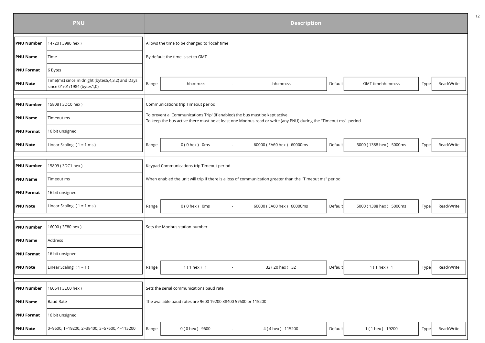|                   | <b>PNU</b>                                                                     | <b>Description</b> |                                                                              |                                                                                                                 |         |                        |      |            |  |  |  |
|-------------------|--------------------------------------------------------------------------------|--------------------|------------------------------------------------------------------------------|-----------------------------------------------------------------------------------------------------------------|---------|------------------------|------|------------|--|--|--|
| <b>PNU Number</b> | 14720 (3980 hex)                                                               |                    | Allows the time to be changed to 'local' time                                |                                                                                                                 |         |                        |      |            |  |  |  |
| <b>PNU Name</b>   | Time                                                                           |                    | By default the time is set to GMT                                            |                                                                                                                 |         |                        |      |            |  |  |  |
| <b>PNU Format</b> | 6 Bytes                                                                        |                    |                                                                              |                                                                                                                 |         |                        |      |            |  |  |  |
| <b>PNU Note</b>   | Time(ms) since midnight (bytes5,4,3,2) and Days<br>since 01/01/1984 (bytes1,0) | Range              | -hh:mm:ss                                                                    | -hh:mm:ss                                                                                                       | Default | GMT timehh:mm:ss       | Type | Read/Write |  |  |  |
|                   |                                                                                |                    |                                                                              |                                                                                                                 |         |                        |      |            |  |  |  |
| <b>PNU Number</b> | 15808 (3DC0 hex)                                                               |                    | Communications trip Timeout period                                           |                                                                                                                 |         |                        |      |            |  |  |  |
| <b>PNU Name</b>   | Timeout ms                                                                     |                    | To prevent a 'Communications Trip' (If enabled) the bus must be kept active. | To keep the bus active there must be at least one Modbus read or write (any PNU) during the "Timeout ms" period |         |                        |      |            |  |  |  |
| <b>PNU Format</b> | 16 bit unsigned                                                                |                    |                                                                              |                                                                                                                 |         |                        |      |            |  |  |  |
| <b>PNU Note</b>   | Linear Scaling $(1 = 1$ ms)                                                    | Range              | $0(0$ hex $)$ 0 ms                                                           | 60000 (EA60 hex) 60000ms                                                                                        | Default | 5000 (1388 hex) 5000ms | Type | Read/Write |  |  |  |
|                   |                                                                                |                    |                                                                              |                                                                                                                 |         |                        |      |            |  |  |  |
| <b>PNU Number</b> | 15809 (3DC1 hex)                                                               |                    | Keypad Communications trip Timeout period                                    |                                                                                                                 |         |                        |      |            |  |  |  |
| <b>PNU Name</b>   | Timeout ms                                                                     |                    |                                                                              | When enabled the unit will trip if there is a loss of communication greater than the "Timeout ms" period        |         |                        |      |            |  |  |  |
| <b>PNU Format</b> | 16 bit unsigned                                                                |                    |                                                                              |                                                                                                                 |         |                        |      |            |  |  |  |
| <b>PNU Note</b>   | Linear Scaling $(1 = 1$ ms)                                                    | Range              | $0(0$ hex $)$ 0 ms<br>$\sim$                                                 | 60000 (EA60 hex) 60000ms                                                                                        | Default | 5000 (1388 hex) 5000ms | Type | Read/Write |  |  |  |
|                   |                                                                                |                    |                                                                              |                                                                                                                 |         |                        |      |            |  |  |  |
| <b>PNU Number</b> | 16000 (3E80 hex)                                                               |                    | Sets the Modbus station number                                               |                                                                                                                 |         |                        |      |            |  |  |  |
| <b>PNU Name</b>   | Address                                                                        |                    |                                                                              |                                                                                                                 |         |                        |      |            |  |  |  |
| <b>PNU Format</b> | 16 bit unsigned                                                                |                    |                                                                              |                                                                                                                 |         |                        |      |            |  |  |  |
| <b>PNU Note</b>   | Linear Scaling $(1 = 1)$                                                       | Range              | 1 (1 hex ) 1<br>$\sim$                                                       | 32 (20 hex ) 32                                                                                                 | Default | 1 (1 hex ) 1           | Type | Read/Write |  |  |  |
|                   |                                                                                |                    |                                                                              |                                                                                                                 |         |                        |      |            |  |  |  |
| <b>PNU Number</b> | 16064 (3EC0 hex)                                                               |                    | Sets the serial communications baud rate                                     |                                                                                                                 |         |                        |      |            |  |  |  |
| <b>PNU Name</b>   | Baud Rate                                                                      |                    | The available baud rates are 9600 19200 38400 57600 or 115200                |                                                                                                                 |         |                        |      |            |  |  |  |
| <b>PNU Format</b> | 16 bit unsigned                                                                |                    |                                                                              |                                                                                                                 |         |                        |      |            |  |  |  |
| <b>PNU Note</b>   | 0=9600, 1=19200, 2=38400, 3=57600, 4=115200                                    | Range              | 0 (0 hex) 9600                                                               | 4 (4 hex) 115200                                                                                                | Default | 1 (1 hex ) 19200       | Type | Read/Write |  |  |  |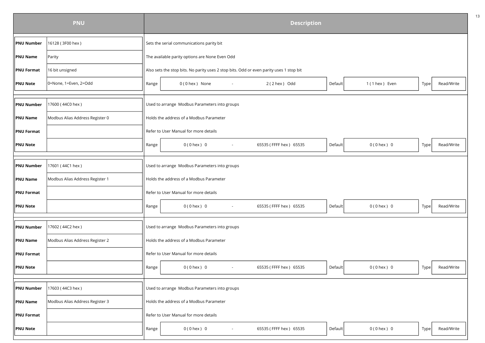|                   | <b>PNU</b>                      |       |                                                                                         | <b>Description</b>     |         |                 |      |            |  |  |
|-------------------|---------------------------------|-------|-----------------------------------------------------------------------------------------|------------------------|---------|-----------------|------|------------|--|--|
| <b>PNU Number</b> | 16128 (3F00 hex)                |       | Sets the serial communications parity bit                                               |                        |         |                 |      |            |  |  |
| <b>PNU Name</b>   | Parity                          |       | The available parity options are None Even Odd                                          |                        |         |                 |      |            |  |  |
| <b>PNU Format</b> | 16 bit unsigned                 |       | Also sets the stop bits. No parity uses 2 stop bits. Odd or even parity uses 1 stop bit |                        |         |                 |      |            |  |  |
| <b>PNU Note</b>   | 0=None, 1=Even, 2=Odd           | Range | 0(0 hex) None                                                                           | 2 (2 hex) Odd          | Default | 1 (1 hex ) Even | Type | Read/Write |  |  |
|                   |                                 |       |                                                                                         |                        |         |                 |      |            |  |  |
| <b>PNU Number</b> | 17600 (44C0 hex)                |       | Used to arrange Modbus Parameters into groups                                           |                        |         |                 |      |            |  |  |
| <b>PNU Name</b>   | Modbus Alias Address Register 0 |       | Holds the address of a Modbus Parameter                                                 |                        |         |                 |      |            |  |  |
| <b>PNU Format</b> |                                 |       | Refer to User Manual for more details                                                   |                        |         |                 |      |            |  |  |
| <b>PNU Note</b>   |                                 | Range | $0(0$ hex $)$ 0                                                                         | 65535 (FFFF hex) 65535 | Default | $0(0$ hex $) 0$ | Type | Read/Write |  |  |
|                   |                                 |       |                                                                                         |                        |         |                 |      |            |  |  |
| <b>PNU Number</b> | 17601 (44C1 hex)                |       | Used to arrange Modbus Parameters into groups                                           |                        |         |                 |      |            |  |  |
| PNU Name          | Modbus Alias Address Register 1 |       | Holds the address of a Modbus Parameter                                                 |                        |         |                 |      |            |  |  |
| <b>PNU Format</b> |                                 |       | Refer to User Manual for more details                                                   |                        |         |                 |      |            |  |  |
| <b>PNU Note</b>   |                                 | Range | $0(0$ hex $)$ 0                                                                         | 65535 (FFFF hex) 65535 | Default | $0(0$ hex $) 0$ | Type | Read/Write |  |  |
|                   |                                 |       |                                                                                         |                        |         |                 |      |            |  |  |
| <b>PNU Number</b> | 17602 (44C2 hex)                |       | Used to arrange Modbus Parameters into groups                                           |                        |         |                 |      |            |  |  |
| PNU Name          | Modbus Alias Address Register 2 |       | Holds the address of a Modbus Parameter                                                 |                        |         |                 |      |            |  |  |
| <b>PNU Format</b> |                                 |       | Refer to User Manual for more details                                                   |                        |         |                 |      |            |  |  |
| <b>PNU Note</b>   |                                 | Range | $0(0$ hex $)$ 0<br>$\sim$                                                               | 65535 (FFFF hex) 65535 | Default | $0(0$ hex $) 0$ | Type | Read/Write |  |  |
|                   |                                 |       |                                                                                         |                        |         |                 |      |            |  |  |
| <b>PNU Number</b> | 17603 (44C3 hex)                |       | Used to arrange Modbus Parameters into groups                                           |                        |         |                 |      |            |  |  |
| <b>PNU Name</b>   | Modbus Alias Address Register 3 |       | Holds the address of a Modbus Parameter                                                 |                        |         |                 |      |            |  |  |
| <b>PNU Format</b> |                                 |       | Refer to User Manual for more details                                                   |                        |         |                 |      |            |  |  |
| <b>PNU Note</b>   |                                 | Range | $0(0$ hex $)$ 0                                                                         | 65535 (FFFF hex) 65535 | Default | $0(0$ hex $) 0$ | Type | Read/Write |  |  |
|                   |                                 |       |                                                                                         |                        |         |                 |      |            |  |  |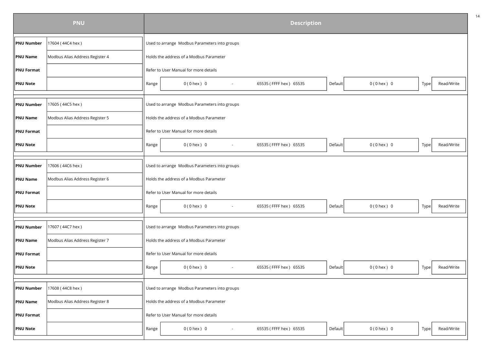|                        | <b>PNU</b>                      |       |                                               | <b>Description</b>     |         |                 |      |            |  |  |  |
|------------------------|---------------------------------|-------|-----------------------------------------------|------------------------|---------|-----------------|------|------------|--|--|--|
| <b>PNU Number</b>      | 17604 (44C4 hex)                |       | Used to arrange Modbus Parameters into groups |                        |         |                 |      |            |  |  |  |
| <b>PNU Name</b>        | Modbus Alias Address Register 4 |       | Holds the address of a Modbus Parameter       |                        |         |                 |      |            |  |  |  |
| <b>PNU Format</b>      |                                 |       | Refer to User Manual for more details         |                        |         |                 |      |            |  |  |  |
| <b>PNU Note</b>        |                                 | Range | $0(0$ hex $) 0$<br>$\sim$                     | 65535 (FFFF hex) 65535 | Default | $0(0$ hex $) 0$ | Type | Read/Write |  |  |  |
| PNU Number             | 17605 (44C5 hex)                |       | Used to arrange Modbus Parameters into groups |                        |         |                 |      |            |  |  |  |
| <b>PNU Name</b>        | Modbus Alias Address Register 5 |       | Holds the address of a Modbus Parameter       |                        |         |                 |      |            |  |  |  |
| <b>PNU Format</b>      |                                 |       | Refer to User Manual for more details         |                        |         |                 |      |            |  |  |  |
| <b>PNU Note</b>        |                                 | Range | $0(0$ hex $)$ 0                               | 65535 (FFFF hex) 65535 | Default | $0(0$ hex $) 0$ | Type | Read/Write |  |  |  |
| <b>PNU Number</b>      | 17606 (44C6 hex)                |       | Used to arrange Modbus Parameters into groups |                        |         |                 |      |            |  |  |  |
| <b>PNU Name</b>        | Modbus Alias Address Register 6 |       | Holds the address of a Modbus Parameter       |                        |         |                 |      |            |  |  |  |
| $\parallel$ PNU Format |                                 |       | Refer to User Manual for more details         |                        |         |                 |      |            |  |  |  |
| PNU Note               |                                 | Range | $0(0$ hex $)$ 0                               | 65535 (FFFF hex) 65535 | Default | $0(0$ hex $) 0$ | Type | Read/Write |  |  |  |
| <b>PNU Number</b>      | 17607 (44C7 hex)                |       | Used to arrange Modbus Parameters into groups |                        |         |                 |      |            |  |  |  |
| <b>PNU Name</b>        | Modbus Alias Address Register 7 |       | Holds the address of a Modbus Parameter       |                        |         |                 |      |            |  |  |  |
| <b>PNU Format</b>      |                                 |       | Refer to User Manual for more details         |                        |         |                 |      |            |  |  |  |
| PNU Note               |                                 | Range | $0(0$ hex $)$ 0<br>$\sim$                     | 65535 (FFFF hex) 65535 | Default | $0(0$ hex $) 0$ | Type | Read/Write |  |  |  |
| <b>PNU Number</b>      | 17608 (44C8 hex)                |       | Used to arrange Modbus Parameters into groups |                        |         |                 |      |            |  |  |  |
| <b>PNU Name</b>        | Modbus Alias Address Register 8 |       | Holds the address of a Modbus Parameter       |                        |         |                 |      |            |  |  |  |
| <b>PNU Format</b>      |                                 |       | Refer to User Manual for more details         |                        |         |                 |      |            |  |  |  |
| <b>PNU Note</b>        |                                 | Range | $0(0$ hex $)$ 0                               | 65535 (FFFF hex) 65535 | Default | $0(0$ hex $) 0$ | Type | Read/Write |  |  |  |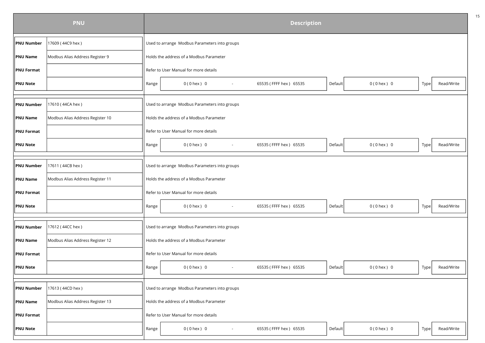|                   | <b>PNU</b>                       |       |                                               | <b>Description</b>     |         |                 |      |            |  |  |  |  |
|-------------------|----------------------------------|-------|-----------------------------------------------|------------------------|---------|-----------------|------|------------|--|--|--|--|
| <b>PNU Number</b> | 17609 (44C9 hex)                 |       | Used to arrange Modbus Parameters into groups |                        |         |                 |      |            |  |  |  |  |
| <b>PNU Name</b>   | Modbus Alias Address Register 9  |       | Holds the address of a Modbus Parameter       |                        |         |                 |      |            |  |  |  |  |
| <b>PNU Format</b> |                                  |       | Refer to User Manual for more details         |                        |         |                 |      |            |  |  |  |  |
| <b>PNU Note</b>   |                                  | Range | $0(0$ hex $)$ 0                               | 65535 (FFFF hex) 65535 | Default | $0(0$ hex $) 0$ | Type | Read/Write |  |  |  |  |
|                   |                                  |       |                                               |                        |         |                 |      |            |  |  |  |  |
| <b>PNU Number</b> | 17610 (44CA hex)                 |       | Used to arrange Modbus Parameters into groups |                        |         |                 |      |            |  |  |  |  |
| <b>PNU Name</b>   | Modbus Alias Address Register 10 |       | Holds the address of a Modbus Parameter       |                        |         |                 |      |            |  |  |  |  |
| <b>PNU Format</b> |                                  |       | Refer to User Manual for more details         |                        |         |                 |      |            |  |  |  |  |
| <b>PNU Note</b>   |                                  | Range | $0(0$ hex $) 0$                               | 65535 (FFFF hex) 65535 | Default | $0(0$ hex $) 0$ | Type | Read/Write |  |  |  |  |
|                   |                                  |       |                                               |                        |         |                 |      |            |  |  |  |  |
| <b>PNU Number</b> | 17611 (44CB hex)                 |       | Used to arrange Modbus Parameters into groups |                        |         |                 |      |            |  |  |  |  |
| <b>PNU Name</b>   | Modbus Alias Address Register 11 |       | Holds the address of a Modbus Parameter       |                        |         |                 |      |            |  |  |  |  |
| <b>PNU Format</b> |                                  |       | Refer to User Manual for more details         |                        |         |                 |      |            |  |  |  |  |
| <b>PNU Note</b>   |                                  | Range | $0(0$ hex $)$ 0                               | 65535 (FFFF hex) 65535 | Default | $0(0$ hex $) 0$ | Type | Read/Write |  |  |  |  |
|                   |                                  |       |                                               |                        |         |                 |      |            |  |  |  |  |
| <b>PNU Number</b> | 17612 (44CC hex)                 |       | Used to arrange Modbus Parameters into groups |                        |         |                 |      |            |  |  |  |  |
| <b>PNU Name</b>   | Modbus Alias Address Register 12 |       | Holds the address of a Modbus Parameter       |                        |         |                 |      |            |  |  |  |  |
| <b>PNU Format</b> |                                  |       | Refer to User Manual for more details         |                        |         |                 |      |            |  |  |  |  |
| PNU Note          |                                  | Range | $0(0$ hex $)$ 0<br>$\sim$                     | 65535 (FFFF hex) 65535 | Default | $0(0$ hex $) 0$ | Type | Read/Write |  |  |  |  |
|                   |                                  |       |                                               |                        |         |                 |      |            |  |  |  |  |
| <b>PNU Number</b> | 17613 (44CD hex)                 |       | Used to arrange Modbus Parameters into groups |                        |         |                 |      |            |  |  |  |  |
| PNU Name          | Modbus Alias Address Register 13 |       | Holds the address of a Modbus Parameter       |                        |         |                 |      |            |  |  |  |  |
| <b>PNU Format</b> |                                  |       | Refer to User Manual for more details         |                        |         |                 |      |            |  |  |  |  |
| <b>PNU Note</b>   |                                  | Range | $0(0$ hex $)$ 0                               | 65535 (FFFF hex) 65535 | Default | $0(0$ hex $) 0$ | Type | Read/Write |  |  |  |  |
|                   |                                  |       |                                               |                        |         |                 |      |            |  |  |  |  |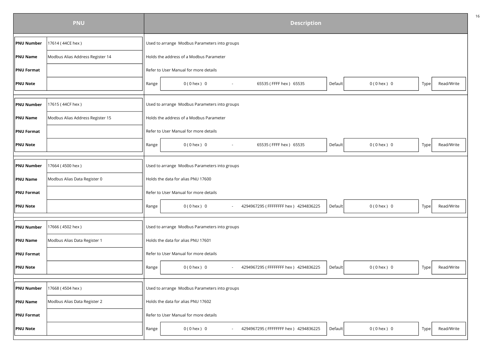|                        | <b>PNU</b>                       | <b>Description</b> |                                                         |  |         |                 |      |            |  |  |  |
|------------------------|----------------------------------|--------------------|---------------------------------------------------------|--|---------|-----------------|------|------------|--|--|--|
| <b>PNU Number</b>      | 17614 (44CE hex)                 |                    | Used to arrange Modbus Parameters into groups           |  |         |                 |      |            |  |  |  |
| <b>PNU Name</b>        | Modbus Alias Address Register 14 |                    | Holds the address of a Modbus Parameter                 |  |         |                 |      |            |  |  |  |
| <b>PNU Format</b>      |                                  |                    | Refer to User Manual for more details                   |  |         |                 |      |            |  |  |  |
| <b>PNU Note</b>        |                                  | Range              | $0(0$ hex $) 0$<br>65535 (FFFF hex) 65535<br>$\sim$     |  | Default | $0(0$ hex $) 0$ | Type | Read/Write |  |  |  |
| <b>PNU Number</b>      | 17615 (44CF hex)                 |                    | Used to arrange Modbus Parameters into groups           |  |         |                 |      |            |  |  |  |
| <b>PNU Name</b>        | Modbus Alias Address Register 15 |                    | Holds the address of a Modbus Parameter                 |  |         |                 |      |            |  |  |  |
| <b>PNU Format</b>      |                                  |                    | Refer to User Manual for more details                   |  |         |                 |      |            |  |  |  |
| <b>PNU Note</b>        |                                  | Range              | 65535 (FFFF hex) 65535<br>$0(0$ hex $) 0$               |  | Default | $0(0$ hex $) 0$ | Type | Read/Write |  |  |  |
| <b>PNU Number</b>      | 17664 (4500 hex)                 |                    | Used to arrange Modbus Parameters into groups           |  |         |                 |      |            |  |  |  |
| <b>PNU Name</b>        | Modbus Alias Data Register 0     |                    | Holds the data for alias PNU 17600                      |  |         |                 |      |            |  |  |  |
| $\parallel$ PNU Format |                                  |                    | Refer to User Manual for more details                   |  |         |                 |      |            |  |  |  |
| PNU Note               |                                  | Range              | 4294967295 (FFFFFFFF hex) 4294836225<br>$0(0$ hex $)$ 0 |  | Default | $0(0$ hex $) 0$ | Type | Read/Write |  |  |  |
| <b>PNU Number</b>      | 17666 (4502 hex)                 |                    | Used to arrange Modbus Parameters into groups           |  |         |                 |      |            |  |  |  |
| <b>PNU Name</b>        | Modbus Alias Data Register 1     |                    | Holds the data for alias PNU 17601                      |  |         |                 |      |            |  |  |  |
| <b>PNU Format</b>      |                                  |                    | Refer to User Manual for more details                   |  |         |                 |      |            |  |  |  |
| PNU Note               |                                  | Range              | $0(0$ hex $)$ 0<br>4294967295 (FFFFFFFF hex) 4294836225 |  | Default | $0(0$ hex $) 0$ | Type | Read/Write |  |  |  |
| <b>PNU Number</b>      | 17668 (4504 hex)                 |                    | Used to arrange Modbus Parameters into groups           |  |         |                 |      |            |  |  |  |
| <b>PNU Name</b>        | Modbus Alias Data Register 2     |                    | Holds the data for alias PNU 17602                      |  |         |                 |      |            |  |  |  |
| <b>PNU Format</b>      |                                  |                    | Refer to User Manual for more details                   |  |         |                 |      |            |  |  |  |
| <b>PNU Note</b>        |                                  | Range              | $0(0$ hex $)$ 0<br>4294967295 (FFFFFFFF hex) 4294836225 |  | Default | $0(0$ hex $) 0$ | Type | Read/Write |  |  |  |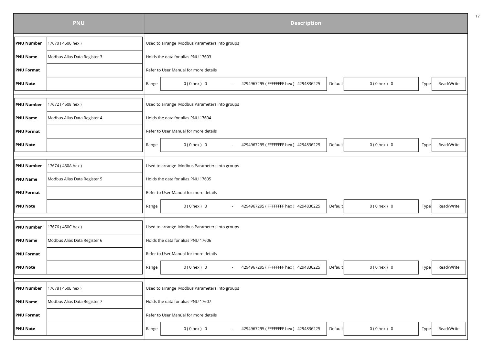|                   | <b>PNU</b>                   |       | <b>Description</b>                                                                    |      |            |  |  |  |  |  |
|-------------------|------------------------------|-------|---------------------------------------------------------------------------------------|------|------------|--|--|--|--|--|
| <b>PNU Number</b> | 17670 (4506 hex)             |       | Used to arrange Modbus Parameters into groups                                         |      |            |  |  |  |  |  |
| <b>PNU Name</b>   | Modbus Alias Data Register 3 |       | Holds the data for alias PNU 17603                                                    |      |            |  |  |  |  |  |
| <b>PNU Format</b> |                              |       | Refer to User Manual for more details                                                 |      |            |  |  |  |  |  |
| <b>PNU Note</b>   |                              | Range | 4294967295 (FFFFFFFF hex) 4294836225<br>$0(0$ hex $) 0$<br>$0(0$ hex $)$ 0<br>Default | Type | Read/Write |  |  |  |  |  |
| <b>PNU Number</b> | 17672 (4508 hex)             |       | Used to arrange Modbus Parameters into groups                                         |      |            |  |  |  |  |  |
| <b>PNU Name</b>   | Modbus Alias Data Register 4 |       | Holds the data for alias PNU 17604                                                    |      |            |  |  |  |  |  |
| <b>PNU Format</b> |                              |       | Refer to User Manual for more details                                                 |      |            |  |  |  |  |  |
| <b>PNU Note</b>   |                              | Range | 4294967295 (FFFFFFFF hex) 4294836225<br>$0(0$ hex $) 0$<br>$0(0$ hex $)$ 0<br>Default | Type | Read/Write |  |  |  |  |  |
| <b>PNU Number</b> | 17674 (450A hex)             |       | Used to arrange Modbus Parameters into groups                                         |      |            |  |  |  |  |  |
| <b>PNU Name</b>   | Modbus Alias Data Register 5 |       | Holds the data for alias PNU 17605                                                    |      |            |  |  |  |  |  |
| <b>PNU Format</b> |                              |       | Refer to User Manual for more details                                                 |      |            |  |  |  |  |  |
| <b>PNU Note</b>   |                              | Range | 4294967295 (FFFFFFFF hex) 4294836225<br>$0(0$ hex $) 0$<br>$0(0$ hex $)$ 0<br>Default | Type | Read/Write |  |  |  |  |  |
| <b>PNU Number</b> | 17676 (450C hex)             |       | Used to arrange Modbus Parameters into groups                                         |      |            |  |  |  |  |  |
| <b>PNU Name</b>   | Modbus Alias Data Register 6 |       | Holds the data for alias PNU 17606                                                    |      |            |  |  |  |  |  |
| <b>PNU Format</b> |                              |       | Refer to User Manual for more details                                                 |      |            |  |  |  |  |  |
| <b>PNU Note</b>   |                              | Range | $0(0$ hex $)$ 0<br>4294967295 (FFFFFFFF hex) 4294836225<br>$0(0$ hex $) 0$<br>Default | Type | Read/Write |  |  |  |  |  |
| PNU Number        | 17678 (450E hex)             |       | Used to arrange Modbus Parameters into groups                                         |      |            |  |  |  |  |  |
| <b>PNU Name</b>   | Modbus Alias Data Register 7 |       | Holds the data for alias PNU 17607                                                    |      |            |  |  |  |  |  |
|                   |                              |       | Refer to User Manual for more details                                                 |      |            |  |  |  |  |  |
| <b>PNU Format</b> |                              |       |                                                                                       |      |            |  |  |  |  |  |
| <b>PNU Note</b>   |                              | Range | $0(0$ hex $)$ 0<br>4294967295 (FFFFFFFF hex) 4294836225<br>$0(0$ hex $) 0$<br>Default | Type | Read/Write |  |  |  |  |  |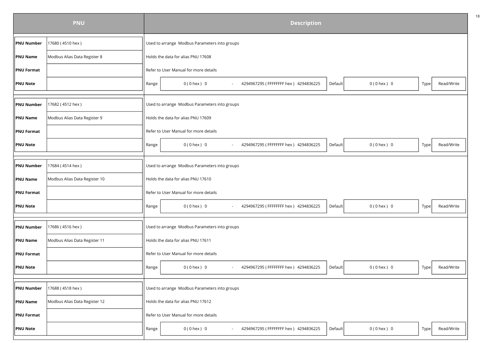|                   | <b>PNU</b>                    |       | <b>Description</b>                                                                    |      |            |  |  |  |  |  |
|-------------------|-------------------------------|-------|---------------------------------------------------------------------------------------|------|------------|--|--|--|--|--|
| <b>PNU Number</b> | 17680 (4510 hex)              |       | Used to arrange Modbus Parameters into groups                                         |      |            |  |  |  |  |  |
| <b>PNU Name</b>   | Modbus Alias Data Register 8  |       | Holds the data for alias PNU 17608                                                    |      |            |  |  |  |  |  |
| <b>PNU Format</b> |                               |       | Refer to User Manual for more details                                                 |      |            |  |  |  |  |  |
| <b>PNU Note</b>   |                               | Range | 4294967295 (FFFFFFFF hex) 4294836225<br>$0(0$ hex $) 0$<br>$0(0$ hex $)$ 0<br>Default | Type | Read/Write |  |  |  |  |  |
| <b>PNU Number</b> | 17682 (4512 hex)              |       | Used to arrange Modbus Parameters into groups                                         |      |            |  |  |  |  |  |
| <b>PNU Name</b>   | Modbus Alias Data Register 9  |       | Holds the data for alias PNU 17609                                                    |      |            |  |  |  |  |  |
| <b>PNU Format</b> |                               |       | Refer to User Manual for more details                                                 |      |            |  |  |  |  |  |
| <b>PNU Note</b>   |                               | Range | 4294967295 (FFFFFFFF hex) 4294836225<br>$0(0$ hex $) 0$<br>$0(0$ hex $)$ 0<br>Default | Type | Read/Write |  |  |  |  |  |
| <b>PNU Number</b> | 17684 (4514 hex)              |       | Used to arrange Modbus Parameters into groups                                         |      |            |  |  |  |  |  |
| <b>PNU Name</b>   | Modbus Alias Data Register 10 |       | Holds the data for alias PNU 17610                                                    |      |            |  |  |  |  |  |
| <b>PNU Format</b> |                               |       | Refer to User Manual for more details                                                 |      |            |  |  |  |  |  |
| <b>PNU Note</b>   |                               | Range | 4294967295 (FFFFFFFF hex) 4294836225<br>$0(0$ hex $) 0$<br>$0(0$ hex $)$ 0<br>Default | Type | Read/Write |  |  |  |  |  |
| <b>PNU Number</b> | 17686 (4516 hex)              |       | Used to arrange Modbus Parameters into groups                                         |      |            |  |  |  |  |  |
| <b>PNU Name</b>   | Modbus Alias Data Register 11 |       | Holds the data for alias PNU 17611                                                    |      |            |  |  |  |  |  |
| PNU Format        |                               |       | Refer to User Manual for more details                                                 |      |            |  |  |  |  |  |
| <b>PNU Note</b>   |                               | Range | $0(0$ hex $)$ 0<br>4294967295 (FFFFFFFF hex) 4294836225<br>$0(0$ hex $)$ 0<br>Default | Type | Read/Write |  |  |  |  |  |
| PNU Number        | 17688 (4518 hex)              |       | Used to arrange Modbus Parameters into groups                                         |      |            |  |  |  |  |  |
| <b>PNU Name</b>   | Modbus Alias Data Register 12 |       | Holds the data for alias PNU 17612                                                    |      |            |  |  |  |  |  |
| <b>PNU Format</b> |                               |       | Refer to User Manual for more details                                                 |      |            |  |  |  |  |  |
| <b>PNU Note</b>   |                               | Range | $0(0$ hex $)$ 0<br>4294967295 (FFFFFFFF hex) 4294836225<br>$0(0$ hex $) 0$<br>Default | Type | Read/Write |  |  |  |  |  |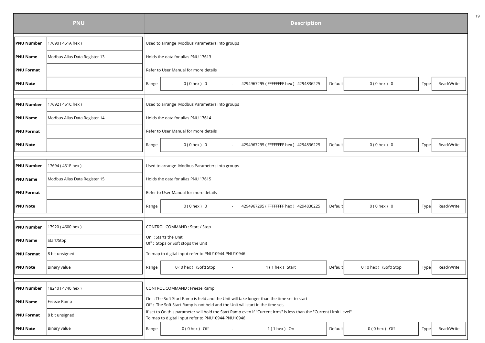|                   | <b>PNU</b>                    | <b>Description</b>                                                                                                                                                       |
|-------------------|-------------------------------|--------------------------------------------------------------------------------------------------------------------------------------------------------------------------|
| <b>PNU Number</b> | 17690 (451A hex)              | Used to arrange Modbus Parameters into groups                                                                                                                            |
| <b>PNU Name</b>   | Modbus Alias Data Register 13 | Holds the data for alias PNU 17613                                                                                                                                       |
| <b>PNU Format</b> |                               | Refer to User Manual for more details                                                                                                                                    |
| <b>PNU Note</b>   |                               | 4294967295 (FFFFFFFF hex) 4294836225<br>$0(0$ hex $) 0$<br>Read/Write<br>Range<br>$0(0$ hex $)$ 0<br>Default<br>Type                                                     |
| <b>PNU Number</b> | 17692 (451C hex)              | Used to arrange Modbus Parameters into groups                                                                                                                            |
| <b>PNU Name</b>   | Modbus Alias Data Register 14 | Holds the data for alias PNU 17614                                                                                                                                       |
| <b>PNU Format</b> |                               | Refer to User Manual for more details                                                                                                                                    |
| <b>PNU Note</b>   |                               | 4294967295 (FFFFFFFF hex) 4294836225<br>$0(0$ hex $) 0$<br>Read/Write<br>Range<br>$0(0$ hex $)$ 0<br>Default<br>Type                                                     |
| <b>PNU Number</b> | 17694 (451E hex)              | Used to arrange Modbus Parameters into groups                                                                                                                            |
| <b>PNU Name</b>   | Modbus Alias Data Register 15 | Holds the data for alias PNU 17615                                                                                                                                       |
| <b>PNU Format</b> |                               | Refer to User Manual for more details                                                                                                                                    |
| <b>PNU Note</b>   |                               | Default<br>Read/Write<br>Range<br>$0(0$ hex $)$ 0<br>4294967295 (FFFFFFFF hex) 4294836225<br>$0(0$ hex $) 0$<br>Type                                                     |
| <b>PNU Number</b> | 17920 (4600 hex)              | CONTROL COMMAND: Start / Stop                                                                                                                                            |
| <b>PNU Name</b>   | Start/Stop                    | On: Starts the Unit<br>Off: Stops or Soft stops the Unit                                                                                                                 |
| <b>PNU Format</b> | 8 bit unsigned                | To map to digital input refer to PNU10944-PNU10946                                                                                                                       |
| <b>PNU Note</b>   | Binary value                  | Range<br>0 (0 hex ) (Soft) Stop<br>1 (1 hex ) Start<br>Default<br>0 (0 hex) (Soft) Stop<br>Read/Write<br>Type<br>$\blacksquare$                                          |
|                   |                               |                                                                                                                                                                          |
| <b>PNU Number</b> | 18240 (4740 hex)              | <b>CONTROL COMMAND: Freeze Ramp</b><br>On: The Soft Start Ramp is held and the Unit will take longer than the time set to start                                          |
| <b>PNU Name</b>   | Freeze Ramp                   | Off: The Soft Start Ramp is not held and the Unit will start in the time set.                                                                                            |
| <b>PNU Format</b> | 8 bit unsigned                | If set to On this parameter will hold the Start Ramp even if "Current Irms" is less than the "Current Limit Level"<br>To map to digital input refer to PNU10944-PNU10946 |
| <b>PNU Note</b>   | Binary value                  | $0(0$ hex ) Off<br>$1(1$ hex ) On<br>Default<br>0 (0 hex) Off<br>Read/Write<br>Range<br>Type                                                                             |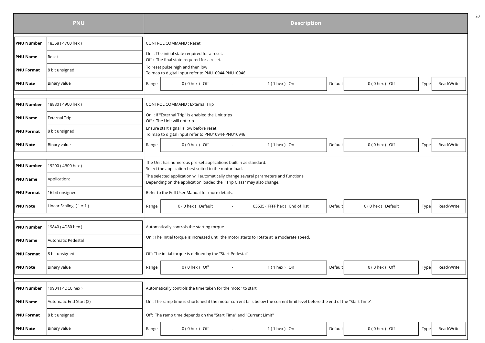|                   | <b>PNU</b>               | <b>Description</b>                                                                                                                                            |  |  |  |  |  |  |
|-------------------|--------------------------|---------------------------------------------------------------------------------------------------------------------------------------------------------------|--|--|--|--|--|--|
| <b>PNU Number</b> | 18368 (47C0 hex)         | <b>CONTROL COMMAND: Reset</b>                                                                                                                                 |  |  |  |  |  |  |
| <b>PNU Name</b>   | Reset                    | On: The initial state required for a reset.<br>Off : The final state required for a reset.                                                                    |  |  |  |  |  |  |
| <b>PNU Format</b> | 8 bit unsigned           | To reset pulse high and then low<br>To map to digital input refer to PNU10944-PNU10946                                                                        |  |  |  |  |  |  |
| <b>PNU Note</b>   | Binary value             | $1(1$ hex $)$ On<br>$0(0$ hex ) Off<br>$0(0$ hex $)$ Off<br>Read/Write<br>Range<br>Default<br>Type<br>$\overline{\phantom{a}}$                                |  |  |  |  |  |  |
|                   |                          |                                                                                                                                                               |  |  |  |  |  |  |
| <b>PNU Number</b> | 18880 (49C0 hex)         | CONTROL COMMAND : External Trip                                                                                                                               |  |  |  |  |  |  |
| <b>PNU Name</b>   | <b>External Trip</b>     | On: If "External Trip" is enabled the Unit trips<br>Off : The Unit will not trip                                                                              |  |  |  |  |  |  |
| <b>PNU Format</b> | 8 bit unsigned           | Ensure start signal is low before reset.<br>To map to digital input refer to PNU10944-PNU10946                                                                |  |  |  |  |  |  |
| <b>PNU Note</b>   | Binary value             | $0(0$ hex $)$ Off<br>$1(1$ hex $)$ On<br>Read/Write<br><b>Default</b><br>$0(0$ hex $)$ Off<br>Range<br>Type<br>$\sim$                                         |  |  |  |  |  |  |
|                   |                          |                                                                                                                                                               |  |  |  |  |  |  |
| <b>PNU Number</b> | 19200 (4B00 hex)         | The Unit has numerous pre-set applications built in as standard.<br>Select the application best suited to the motor load.                                     |  |  |  |  |  |  |
| <b>PNU Name</b>   | Application:             | The selected application will automatically change several parameters and functions.<br>Depending on the application loaded the "Trip Class" may also change. |  |  |  |  |  |  |
| <b>PNU Format</b> | 16 bit unsigned          | Refer to the Full User Manual for more details.                                                                                                               |  |  |  |  |  |  |
| <b>PNU Note</b>   | Linear Scaling $(1 = 1)$ | 0 (0 hex ) Default<br>0(0 hex) Default<br>Read/Write<br>65535 (FFFF hex) End of list<br>Default<br>Range<br>Type                                              |  |  |  |  |  |  |
|                   |                          |                                                                                                                                                               |  |  |  |  |  |  |
| <b>PNU Number</b> | 19840 (4D80 hex)         | Automatically controls the starting torque                                                                                                                    |  |  |  |  |  |  |
| <b>PNU Name</b>   | Automatic Pedestal       | On : The initial torque is increased until the motor starts to rotate at a moderate speed.                                                                    |  |  |  |  |  |  |
| <b>PNU Format</b> | 8 bit unsigned           | Off: The initial torque is defined by the "Start Pedestal"                                                                                                    |  |  |  |  |  |  |
| <b>PNU Note</b>   | Binary value             | $0(0$ hex ) Off<br>$0(0$ hex $)$ Off<br>$1(1$ hex $)$ On<br>Default<br>Read/Write<br>Range<br>Type<br>$\sim$                                                  |  |  |  |  |  |  |
|                   |                          |                                                                                                                                                               |  |  |  |  |  |  |
| <b>PNU Number</b> | 19904 (4DC0 hex)         | Automatically controls the time taken for the motor to start                                                                                                  |  |  |  |  |  |  |
| <b>PNU Name</b>   | Automatic End Start (2)  | On : The ramp time is shortened if the motor current falls below the current limit level before the end of the "Start Time".                                  |  |  |  |  |  |  |
| <b>PNU Format</b> | 8 bit unsigned           | Off: The ramp time depends on the "Start Time" and "Current Limit"                                                                                            |  |  |  |  |  |  |
| <b>PNU Note</b>   | Binary value             | $0(0$ hex ) Off<br>$1(1$ hex $)$ On<br>$0(0$ hex $)$ Off<br>Read/Write<br>Default<br>Range<br>Type                                                            |  |  |  |  |  |  |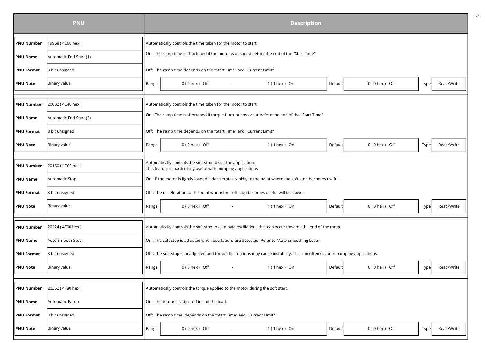|                   | <b>PNU</b>              |       |                                                                                                                                | <b>Description</b> |         |                   |      |            |  |  |  |  |
|-------------------|-------------------------|-------|--------------------------------------------------------------------------------------------------------------------------------|--------------------|---------|-------------------|------|------------|--|--|--|--|
| <b>PNU Number</b> | 19968 (4E00 hex)        |       | Automatically controls the time taken for the motor to start                                                                   |                    |         |                   |      |            |  |  |  |  |
| <b>PNU Name</b>   | Automatic End Start (1) |       | On : The ramp time is shortened if the motor is at speed before the end of the "Start Time"                                    |                    |         |                   |      |            |  |  |  |  |
| <b>PNU Format</b> | 8 bit unsigned          |       | Off: The ramp time depends on the "Start Time" and "Current Limit"                                                             |                    |         |                   |      |            |  |  |  |  |
| <b>PNU Note</b>   | Binary value            | Range | $0(0$ hex $)$ Off                                                                                                              | $1(1$ hex $)$ On   | Default | $0(0$ hex $)$ Off | Type | Read/Write |  |  |  |  |
|                   |                         |       |                                                                                                                                |                    |         |                   |      |            |  |  |  |  |
| <b>PNU Number</b> | 20032 (4E40 hex)        |       | Automatically controls the time taken for the motor to start                                                                   |                    |         |                   |      |            |  |  |  |  |
| <b>PNU Name</b>   | Automatic End Start (3) |       | On : The ramp time is shortened if torque fluctuations occur before the end of the "Start Time"                                |                    |         |                   |      |            |  |  |  |  |
| <b>PNU Format</b> | 8 bit unsigned          |       | Off: The ramp time depends on the "Start Time" and "Current Limit"                                                             |                    |         |                   |      |            |  |  |  |  |
| <b>PNU Note</b>   | Binary value            | Range | $0(0$ hex $)$ Off                                                                                                              | $1(1$ hex $)$ On   | Default | $0(0$ hex $)$ Off | Type | Read/Write |  |  |  |  |
|                   |                         |       |                                                                                                                                |                    |         |                   |      |            |  |  |  |  |
| <b>PNU Number</b> | 20160 (4EC0 hex)        |       | Automatically controls the soft stop to suit the application.<br>This feature is particularly useful with pumping applications |                    |         |                   |      |            |  |  |  |  |
| <b>PNU Name</b>   | Automatic Stop          |       | On : If the motor is lightly loaded it decelerates rapidly to the point where the soft stop becomes useful.                    |                    |         |                   |      |            |  |  |  |  |
| <b>PNU Format</b> | 8 bit unsigned          |       | Off : The deceleration to the point where the soft stop becomes useful will be slower.                                         |                    |         |                   |      |            |  |  |  |  |
| <b>PNU Note</b>   | Binary value            | Range | $0(0$ hex $)$ Off<br>$\sim$                                                                                                    | $1(1$ hex $)$ On   | Default | $0(0$ hex $)$ Off | Type | Read/Write |  |  |  |  |
|                   |                         |       |                                                                                                                                |                    |         |                   |      |            |  |  |  |  |
| <b>PNU Number</b> | 20224 (4F00 hex)        |       | Automatically controls the soft stop to eliminate oscillations that can occur towards the end of the ramp                      |                    |         |                   |      |            |  |  |  |  |
| <b>PNU Name</b>   | Auto Smooth Stop        |       | On : The soft stop is adjusted when oscillations are detected. Refer to "Auto smoothing Level"                                 |                    |         |                   |      |            |  |  |  |  |
| <b>PNU Format</b> | 8 bit unsigned          |       | Off: The soft stop is unadjusted and torque fluctuations may cause instability. This can often occur in pumping applications   |                    |         |                   |      |            |  |  |  |  |
| <b>PNU Note</b>   | Binary value            | Range | $0(0$ hex $)$ Off<br>$\sim$                                                                                                    | $1(1$ hex $)$ On   | Default | $0(0$ hex $)$ Off | Type | Read/Write |  |  |  |  |
|                   |                         |       |                                                                                                                                |                    |         |                   |      |            |  |  |  |  |
| <b>PNU Number</b> | 20352 (4F80 hex)        |       | Automatically controls the torque applied to the motor during the soft start.                                                  |                    |         |                   |      |            |  |  |  |  |
| <b>PNU Name</b>   | Automatic Ramp          |       | On : The torque is adjusted to suit the load.                                                                                  |                    |         |                   |      |            |  |  |  |  |
| <b>PNU Format</b> | 8 bit unsigned          |       | Off: The ramp time depends on the "Start Time" and "Current Limit"                                                             |                    |         |                   |      |            |  |  |  |  |
| <b>PNU Note</b>   | Binary value            | Range | $0(0$ hex $)$ Off                                                                                                              | $1(1$ hex $)$ On   | Default | $0(0$ hex $)$ Off | Type | Read/Write |  |  |  |  |
|                   |                         |       |                                                                                                                                |                    |         |                   |      |            |  |  |  |  |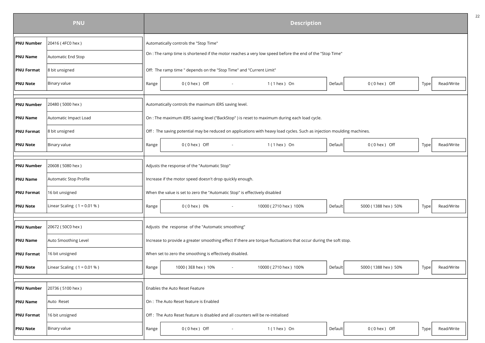|                   | <b>PNU</b>                    |       |                                                                                                                       | <b>Description</b>    |         |                     |      |            |  |  |  |  |
|-------------------|-------------------------------|-------|-----------------------------------------------------------------------------------------------------------------------|-----------------------|---------|---------------------|------|------------|--|--|--|--|
| <b>PNU Number</b> | 20416 (4FC0 hex)              |       | Automatically controls the "Stop Time"                                                                                |                       |         |                     |      |            |  |  |  |  |
| <b>PNU Name</b>   | Automatic End Stop            |       | On : The ramp time is shortened if the motor reaches a very low speed before the end of the "Stop Time"               |                       |         |                     |      |            |  |  |  |  |
| <b>PNU Format</b> | 8 bit unsigned                |       | Off: The ramp time " depends on the "Stop Time" and "Current Limit"                                                   |                       |         |                     |      |            |  |  |  |  |
| <b>PNU Note</b>   | Binary value                  | Range | $0(0$ hex $)$ Off<br>$1(1$ hex $)$ On<br>$0(0$ hex $)$ Off<br>Read/Write<br>Default<br>Type                           |                       |         |                     |      |            |  |  |  |  |
|                   |                               |       |                                                                                                                       |                       |         |                     |      |            |  |  |  |  |
| <b>PNU Number</b> | 20480 (5000 hex)              |       | Automatically controls the maximum iERS saving level.                                                                 |                       |         |                     |      |            |  |  |  |  |
| <b>PNU Name</b>   | Automatic Impact Load         |       | On : The maximum iERS saving level ("BackStop") is reset to maximum during each load cycle.                           |                       |         |                     |      |            |  |  |  |  |
| <b>PNU Format</b> | 8 bit unsigned                |       | Off: The saving potential may be reduced on applications with heavy load cycles. Such as injection moulding machines. |                       |         |                     |      |            |  |  |  |  |
| <b>PNU Note</b>   | Binary value                  | Range | $0(0$ hex $)$ Off                                                                                                     | $1(1$ hex $)$ On      | Default | $0(0$ hex $)$ Off   | Type | Read/Write |  |  |  |  |
|                   |                               |       |                                                                                                                       |                       |         |                     |      |            |  |  |  |  |
| <b>PNU Number</b> | 20608 (5080 hex)              |       | Adjusts the response of the "Automatic Stop"                                                                          |                       |         |                     |      |            |  |  |  |  |
| <b>PNU Name</b>   | Automatic Stop Profile        |       | Increase if the motor speed doesn't drop quickly enough.                                                              |                       |         |                     |      |            |  |  |  |  |
| <b>PNU Format</b> | 16 bit unsigned               |       | When the value is set to zero the "Automatic Stop" is effectively disabled                                            |                       |         |                     |      |            |  |  |  |  |
| <b>PNU Note</b>   | Linear Scaling $(1 = 0.01 %)$ | Range | 0 (0 hex) 0%                                                                                                          | 10000 (2710 hex) 100% | Default | 5000 (1388 hex) 50% | Type | Read/Write |  |  |  |  |
|                   |                               |       |                                                                                                                       |                       |         |                     |      |            |  |  |  |  |
| <b>PNU Number</b> | 20672 (50C0 hex)              |       | Adjusts the response of the "Automatic smoothing"                                                                     |                       |         |                     |      |            |  |  |  |  |
| <b>PNU Name</b>   | Auto Smoothing Level          |       | Increase to provide a greater smoothing effect If there are torque fluctuations that occur during the soft stop.      |                       |         |                     |      |            |  |  |  |  |
| <b>PNU Format</b> | 16 bit unsigned               |       | When set to zero the smoothing is effectively disabled.                                                               |                       |         |                     |      |            |  |  |  |  |
| <b>PNU Note</b>   | Linear Scaling $(1 = 0.01 %)$ | Range | 1000 (3E8 hex) 10%                                                                                                    | 10000 (2710 hex) 100% | Default | 5000 (1388 hex) 50% | Type | Read/Write |  |  |  |  |
|                   |                               |       |                                                                                                                       |                       |         |                     |      |            |  |  |  |  |
| <b>PNU Number</b> | 20736 (5100 hex)              |       | Enables the Auto Reset Feature                                                                                        |                       |         |                     |      |            |  |  |  |  |
| <b>PNU Name</b>   | Auto Reset                    |       | On : The Auto Reset feature is Enabled                                                                                |                       |         |                     |      |            |  |  |  |  |
| <b>PNU Format</b> | 16 bit unsigned               |       | Off: The Auto Reset feature is disabled and all counters will be re-initialised                                       |                       |         |                     |      |            |  |  |  |  |
| <b>PNU Note</b>   | Binary value                  | Range | $0(0$ hex ) Off                                                                                                       | $1(1$ hex $)$ On      | Default | $0(0$ hex ) Off     | Type | Read/Write |  |  |  |  |
|                   |                               |       |                                                                                                                       |                       |         |                     |      |            |  |  |  |  |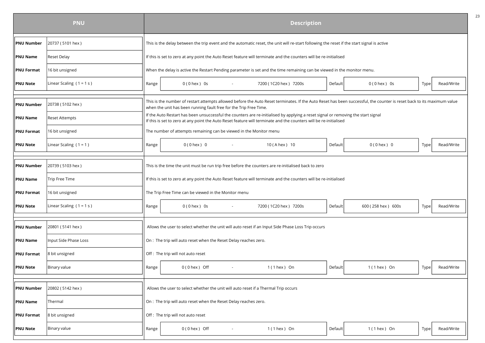|                   | <b>PNU</b>                 |       | <b>Description</b>                                                                                                                                                                                                                                     | 23 |  |  |  |  |  |  |  |
|-------------------|----------------------------|-------|--------------------------------------------------------------------------------------------------------------------------------------------------------------------------------------------------------------------------------------------------------|----|--|--|--|--|--|--|--|
| <b>PNU Number</b> | 20737 (5101 hex)           |       | This is the delay between the trip event and the automatic reset, the unit will re-start following the reset if the start signal is active                                                                                                             |    |  |  |  |  |  |  |  |
| PNU Name          | <b>Reset Delay</b>         |       | If this is set to zero at any point the Auto Reset feature will terminate and the counters will be re-initialised                                                                                                                                      |    |  |  |  |  |  |  |  |
| <b>PNU Format</b> | 16 bit unsigned            |       | When the delay is active the Restart Pending parameter is set and the time remaining can be viewed in the monitor menu.                                                                                                                                |    |  |  |  |  |  |  |  |
| <b>PNU Note</b>   | Linear Scaling $(1 = 1 s)$ | Range | Read/Write<br>$0(0$ hex $)$ 0s<br>7200 (1C20 hex) 7200s<br>Default<br>$0(0$ hex $)$ 0s<br>Type<br>$\sim 100$                                                                                                                                           |    |  |  |  |  |  |  |  |
|                   |                            |       |                                                                                                                                                                                                                                                        |    |  |  |  |  |  |  |  |
| <b>PNU Number</b> | 20738 (5102 hex)           |       | This is the number of restart attempts allowed before the Auto Reset terminates. If the Auto Reset has been successful, the counter is reset back to its maximum value<br>when the unit has been running fault free for the Trip Free Time.            |    |  |  |  |  |  |  |  |
| PNU Name          | Reset Attempts             |       | If the Auto Restart has been unsuccessful the counters are re-initialised by applying a reset signal or removing the start signal<br>If this is set to zero at any point the Auto Reset feature will terminate and the counters will be re-initialised |    |  |  |  |  |  |  |  |
| <b>PNU Format</b> | 16 bit unsigned            |       | The number of attempts remaining can be viewed in the Monitor menu                                                                                                                                                                                     |    |  |  |  |  |  |  |  |
| <b>PNU Note</b>   | Linear Scaling $(1 = 1)$   | Range | $0(0$ hex $)$ 0<br>10 (A hex) 10<br>Default<br>$0(0$ hex $)$ 0<br>Read/Write<br>Type                                                                                                                                                                   |    |  |  |  |  |  |  |  |
|                   |                            |       |                                                                                                                                                                                                                                                        |    |  |  |  |  |  |  |  |
| <b>PNU Number</b> | 20739 (5103 hex)           |       | This is the time the unit must be run trip free before the counters are re-initialised back to zero                                                                                                                                                    |    |  |  |  |  |  |  |  |
| <b>PNU Name</b>   | Trip Free Time             |       | If this is set to zero at any point the Auto Reset feature will terminate and the counters will be re-initialised                                                                                                                                      |    |  |  |  |  |  |  |  |
| <b>PNU Format</b> | 16 bit unsigned            |       | The Trip Free Time can be viewed in the Monitor menu                                                                                                                                                                                                   |    |  |  |  |  |  |  |  |
| <b>PNU Note</b>   | Linear Scaling $(1 = 1 s)$ | Range | Read/Write<br>$0(0$ hex $)$ 0s<br>7200 (1C20 hex) 7200s<br>Default<br>600 (258 hex) 600s<br>Type                                                                                                                                                       |    |  |  |  |  |  |  |  |
|                   |                            |       |                                                                                                                                                                                                                                                        |    |  |  |  |  |  |  |  |
| <b>PNU Number</b> | 20801 (5141 hex)           |       | Allows the user to select whether the unit will auto reset if an Input Side Phase Loss Trip occurs                                                                                                                                                     |    |  |  |  |  |  |  |  |
| PNU Name          | Input Side Phase Loss      |       | On : The trip will auto reset when the Reset Delay reaches zero.                                                                                                                                                                                       |    |  |  |  |  |  |  |  |
| <b>PNU Format</b> | 8 bit unsigned             |       | Off : The trip will not auto reset                                                                                                                                                                                                                     |    |  |  |  |  |  |  |  |
| <b>PNU Note</b>   | Binary value               | Range | Read/Write<br>$0(0$ hex $)$ Off<br>$1(1$ hex $)$ On<br>Default<br>$1(1$ hex $)$ On<br>Type <br>$\sim$                                                                                                                                                  |    |  |  |  |  |  |  |  |
|                   |                            |       |                                                                                                                                                                                                                                                        |    |  |  |  |  |  |  |  |
| <b>PNU Number</b> | 20802 (5142 hex)           |       | Allows the user to select whether the unit will auto reset if a Thermal Trip occurs                                                                                                                                                                    |    |  |  |  |  |  |  |  |
| <b>PNU Name</b>   | Thermal                    |       | On : The trip will auto reset when the Reset Delay reaches zero.                                                                                                                                                                                       |    |  |  |  |  |  |  |  |
| <b>PNU Format</b> | 8 bit unsigned             |       | Off : The trip will not auto reset                                                                                                                                                                                                                     |    |  |  |  |  |  |  |  |
| <b>PNU Note</b>   | Binary value               | Range | $0(0$ hex ) Off<br>$1(1$ hex ) On<br>Default<br>$1(1$ hex ) On<br>Read/Write<br>Type                                                                                                                                                                   |    |  |  |  |  |  |  |  |
|                   |                            |       |                                                                                                                                                                                                                                                        |    |  |  |  |  |  |  |  |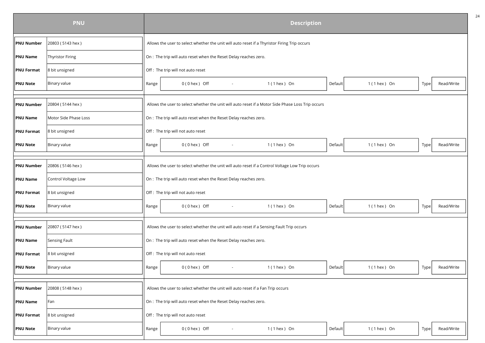|                   | <b>PNU</b>            |       |                                                                                                   |  | <b>Description</b> |         |                  |      |            |  |  |
|-------------------|-----------------------|-------|---------------------------------------------------------------------------------------------------|--|--------------------|---------|------------------|------|------------|--|--|
| <b>PNU Number</b> | 20803 (5143 hex)      |       | Allows the user to select whether the unit will auto reset if a Thyristor Firing Trip occurs      |  |                    |         |                  |      |            |  |  |
| <b>PNU Name</b>   | Thyristor Firing      |       | On : The trip will auto reset when the Reset Delay reaches zero.                                  |  |                    |         |                  |      |            |  |  |
| <b>PNU Format</b> | 8 bit unsigned        |       | Off : The trip will not auto reset                                                                |  |                    |         |                  |      |            |  |  |
| <b>PNU Note</b>   | Binary value          | Range | $0(0$ hex $)$ Off<br>$\sim$                                                                       |  | $1(1$ hex ) On     | Default | $1(1$ hex $)$ On | Type | Read/Write |  |  |
| <b>PNU Number</b> | 20804 (5144 hex)      |       | Allows the user to select whether the unit will auto reset if a Motor Side Phase Loss Trip occurs |  |                    |         |                  |      |            |  |  |
| <b>PNU Name</b>   | Motor Side Phase Loss |       | On : The trip will auto reset when the Reset Delay reaches zero.                                  |  |                    |         |                  |      |            |  |  |
| <b>PNU Format</b> | 8 bit unsigned        |       | Off : The trip will not auto reset                                                                |  |                    |         |                  |      |            |  |  |
| <b>PNU Note</b>   | Binary value          | Range | $0(0$ hex $)$ Off                                                                                 |  | $1(1$ hex ) On     | Default | 1 (1 hex ) On    | Type | Read/Write |  |  |
| <b>PNU Number</b> | 20806 (5146 hex)      |       | Allows the user to select whether the unit will auto reset if a Control Voltage Low Trip occurs   |  |                    |         |                  |      |            |  |  |
| <b>PNU Name</b>   | Control Voltage Low   |       | On : The trip will auto reset when the Reset Delay reaches zero.                                  |  |                    |         |                  |      |            |  |  |
| <b>PNU Format</b> | 8 bit unsigned        |       | Off : The trip will not auto reset                                                                |  |                    |         |                  |      |            |  |  |
| <b>PNU Note</b>   | Binary value          | Range | $0(0$ hex ) Off<br>$\sim$                                                                         |  | $1(1$ hex ) On     | Default | $1(1$ hex $)$ On | Type | Read/Write |  |  |
| <b>PNU Number</b> | 20807 (5147 hex)      |       | Allows the user to select whether the unit will auto reset if a Sensing Fault Trip occurs         |  |                    |         |                  |      |            |  |  |
| <b>PNU Name</b>   | Sensing Fault         |       | On : The trip will auto reset when the Reset Delay reaches zero.                                  |  |                    |         |                  |      |            |  |  |
| <b>PNU Format</b> | 8 bit unsigned        |       | Off : The trip will not auto reset                                                                |  |                    |         |                  |      |            |  |  |
| <b>PNU Note</b>   | Binary value          | Range | $0(0$ hex $)$ Off<br>$\sim$                                                                       |  | $1(1$ hex $)$ On   | Default | $1(1$ hex $)$ On | Type | Read/Write |  |  |
| <b>PNU Number</b> | 20808 (5148 hex)      |       | Allows the user to select whether the unit will auto reset if a Fan Trip occurs                   |  |                    |         |                  |      |            |  |  |
| <b>PNU Name</b>   | Fan                   |       | On : The trip will auto reset when the Reset Delay reaches zero.                                  |  |                    |         |                  |      |            |  |  |
| <b>PNU Format</b> | 8 bit unsigned        |       | Off : The trip will not auto reset                                                                |  |                    |         |                  |      |            |  |  |
| <b>PNU Note</b>   | Binary value          | Range | $0(0$ hex $)$ Off                                                                                 |  | $1(1$ hex ) On     | Default | $1(1$ hex ) On   | Type | Read/Write |  |  |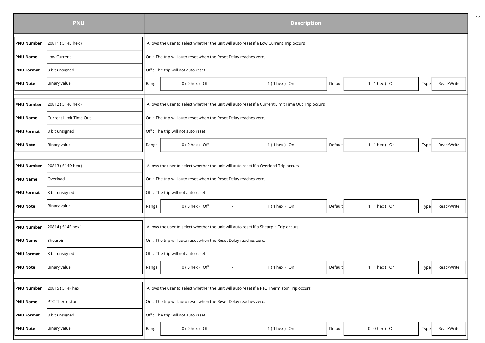|                   | <b>PNU</b>             |       | <b>Description</b>                                                                                 |                  |         |                  |      |            |  |  |  |
|-------------------|------------------------|-------|----------------------------------------------------------------------------------------------------|------------------|---------|------------------|------|------------|--|--|--|
| <b>PNU Number</b> | 20811 (514B hex)       |       | Allows the user to select whether the unit will auto reset if a Low Current Trip occurs            |                  |         |                  |      |            |  |  |  |
| <b>PNU Name</b>   | Low Current            |       | On : The trip will auto reset when the Reset Delay reaches zero.                                   |                  |         |                  |      |            |  |  |  |
| <b>PNU Format</b> | 8 bit unsigned         |       | Off : The trip will not auto reset                                                                 |                  |         |                  |      |            |  |  |  |
| <b>PNU Note</b>   | Binary value           | Range | $0(0$ hex $)$ Off<br>$\sim$                                                                        | $1(1$ hex $)$ On | Default | $1(1$ hex $)$ On | Type | Read/Write |  |  |  |
| <b>PNU Number</b> | 20812 (514C hex)       |       | Allows the user to select whether the unit will auto reset if a Current Limit Time Out Trip occurs |                  |         |                  |      |            |  |  |  |
| <b>PNU Name</b>   | Current Limit Time Out |       | On : The trip will auto reset when the Reset Delay reaches zero.                                   |                  |         |                  |      |            |  |  |  |
| <b>PNU Format</b> | 8 bit unsigned         |       | Off: The trip will not auto reset                                                                  |                  |         |                  |      |            |  |  |  |
| <b>PNU Note</b>   | Binary value           | Range | $0(0$ hex $)$ Off                                                                                  | $1(1$ hex ) On   | Default | $1(1$ hex $)$ On | Type | Read/Write |  |  |  |
| <b>PNU Number</b> | 20813 (514D hex)       |       | Allows the user to select whether the unit will auto reset if a Overload Trip occurs               |                  |         |                  |      |            |  |  |  |
| <b>PNU Name</b>   | Overload               |       | On : The trip will auto reset when the Reset Delay reaches zero.                                   |                  |         |                  |      |            |  |  |  |
| <b>PNU Format</b> | 8 bit unsigned         |       | Off: The trip will not auto reset                                                                  |                  |         |                  |      |            |  |  |  |
| <b>PNU Note</b>   | Binary value           | Range | $0(0$ hex $)$ Off<br>$\sim$                                                                        | $1(1$ hex ) On   | Default | $1(1$ hex $)$ On | Type | Read/Write |  |  |  |
| <b>PNU Number</b> | 20814 (514E hex)       |       | Allows the user to select whether the unit will auto reset if a Shearpin Trip occurs               |                  |         |                  |      |            |  |  |  |
| <b>PNU Name</b>   | Shearpin               |       | On : The trip will auto reset when the Reset Delay reaches zero.                                   |                  |         |                  |      |            |  |  |  |
| <b>PNU Format</b> | 8 bit unsigned         |       | Off : The trip will not auto reset                                                                 |                  |         |                  |      |            |  |  |  |
| <b>PNU Note</b>   | Binary value           | Range | $0(0$ hex $)$ Off<br>$\sim$                                                                        | $1(1$ hex $)$ On | Default | $1(1$ hex $)$ On | Type | Read/Write |  |  |  |
| <b>PNU Number</b> | 20815 (514F hex)       |       | Allows the user to select whether the unit will auto reset if a PTC Thermistor Trip occurs         |                  |         |                  |      |            |  |  |  |
| <b>PNU Name</b>   | PTC Thermistor         |       | On : The trip will auto reset when the Reset Delay reaches zero.                                   |                  |         |                  |      |            |  |  |  |
| <b>PNU Format</b> | 8 bit unsigned         |       | Off : The trip will not auto reset                                                                 |                  |         |                  |      |            |  |  |  |
| <b>PNU Note</b>   | Binary value           | Range | $0(0$ hex $)$ Off                                                                                  | $1(1$ hex ) On   | Default | 0 (0 hex) Off    | Type | Read/Write |  |  |  |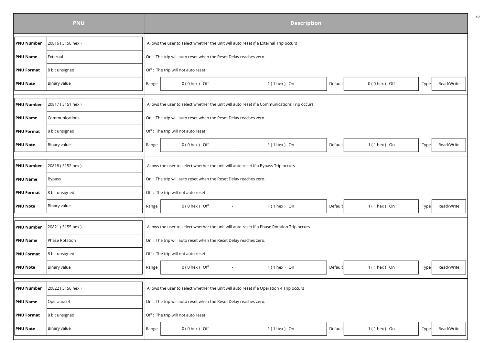|                   | <b>PNU</b>       | <b>Description</b> |                                                                                    |  |        |                                                                                            |         |                   |      |            |  |
|-------------------|------------------|--------------------|------------------------------------------------------------------------------------|--|--------|--------------------------------------------------------------------------------------------|---------|-------------------|------|------------|--|
| <b>PNU Number</b> | 20816 (5150 hex) |                    |                                                                                    |  |        | Allows the user to select whether the unit will auto reset if a External Trip occurs       |         |                   |      |            |  |
| <b>PNU Name</b>   | External         |                    | On : The trip will auto reset when the Reset Delay reaches zero.                   |  |        |                                                                                            |         |                   |      |            |  |
| <b>PNU Format</b> | 8 bit unsigned   |                    | Off : The trip will not auto reset                                                 |  |        |                                                                                            |         |                   |      |            |  |
| <b>PNU Note</b>   | Binary value     | Range              | $0(0$ hex $)$ Off                                                                  |  | $\sim$ | $1(1$ hex ) On                                                                             | Default | $0(0$ hex $)$ Off | Type | Read/Write |  |
| <b>PNU Number</b> | 20817 (5151 hex) |                    |                                                                                    |  |        | Allows the user to select whether the unit will auto reset if a Communications Trip occurs |         |                   |      |            |  |
| <b>PNU Name</b>   | Communications   |                    | On : The trip will auto reset when the Reset Delay reaches zero.                   |  |        |                                                                                            |         |                   |      |            |  |
| <b>PNU Format</b> | 8 bit unsigned   |                    | Off: The trip will not auto reset                                                  |  |        |                                                                                            |         |                   |      |            |  |
| <b>PNU Note</b>   | Binary value     | Range              | $0(0$ hex $)$ Off                                                                  |  | $\sim$ | $1(1$ hex ) On                                                                             | Default | 1 (1 hex ) On     | Type | Read/Write |  |
| <b>PNU Number</b> | 20818 (5152 hex) |                    | Allows the user to select whether the unit will auto reset if a Bypass Trip occurs |  |        |                                                                                            |         |                   |      |            |  |
| <b>PNU Name</b>   | Bypass           |                    | On : The trip will auto reset when the Reset Delay reaches zero.                   |  |        |                                                                                            |         |                   |      |            |  |
| <b>PNU Format</b> | 8 bit unsigned   |                    | Off : The trip will not auto reset                                                 |  |        |                                                                                            |         |                   |      |            |  |
| <b>PNU Note</b>   | Binary value     | Range              | $0(0$ hex $)$ Off                                                                  |  | $\sim$ | $1(1$ hex $)$ On                                                                           | Default | $1(1$ hex $)$ On  | Type | Read/Write |  |
| <b>PNU Number</b> | 20821 (5155 hex) |                    |                                                                                    |  |        | Allows the user to select whether the unit will auto reset if a Phase Rotation Trip occurs |         |                   |      |            |  |
| <b>PNU Name</b>   | Phase Rotation   |                    | On : The trip will auto reset when the Reset Delay reaches zero.                   |  |        |                                                                                            |         |                   |      |            |  |
| <b>PNU Format</b> | 8 bit unsigned   |                    | Off : The trip will not auto reset                                                 |  |        |                                                                                            |         |                   |      |            |  |
| <b>PNU Note</b>   | Binary value     | Range              | $0(0$ hex $)$ Off                                                                  |  | $\sim$ | $1(1$ hex $)$ On                                                                           | Default | $1(1$ hex ) On    | Type | Read/Write |  |
| <b>PNU Number</b> | 20822 (5156 hex) |                    |                                                                                    |  |        | Allows the user to select whether the unit will auto reset if a Operation 4 Trip occurs    |         |                   |      |            |  |
| <b>PNU Name</b>   | Operation 4      |                    | On : The trip will auto reset when the Reset Delay reaches zero.                   |  |        |                                                                                            |         |                   |      |            |  |
| <b>PNU Format</b> | 8 bit unsigned   |                    | Off : The trip will not auto reset                                                 |  |        |                                                                                            |         |                   |      |            |  |
| <b>PNU Note</b>   | Binary value     | Range              | $0(0$ hex $)$ Off                                                                  |  |        | $1(1$ hex ) On                                                                             | Default | $1(1$ hex ) On    | Type | Read/Write |  |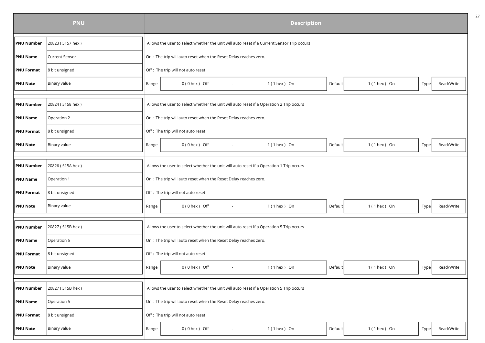|                   | <b>PNU</b>            | <b>Description</b>                                                                                          |  |
|-------------------|-----------------------|-------------------------------------------------------------------------------------------------------------|--|
| <b>PNU Number</b> | 20823 (5157 hex)      | Allows the user to select whether the unit will auto reset if a Current Sensor Trip occurs                  |  |
| <b>PNU Name</b>   | <b>Current Sensor</b> | On : The trip will auto reset when the Reset Delay reaches zero.                                            |  |
| <b>PNU Format</b> | 8 bit unsigned        | Off : The trip will not auto reset                                                                          |  |
| <b>PNU Note</b>   | Binary value          | $0(0$ hex ) Off<br>$1(1$ hex ) On<br>Default<br>$1(1$ hex ) On<br>Read/Write<br>Range<br>Type<br>$\sim$     |  |
| <b>PNU Number</b> | 20824 (5158 hex)      | Allows the user to select whether the unit will auto reset if a Operation 2 Trip occurs                     |  |
| <b>PNU Name</b>   | Operation 2           | On : The trip will auto reset when the Reset Delay reaches zero.                                            |  |
| <b>PNU Format</b> | 8 bit unsigned        | Off: The trip will not auto reset                                                                           |  |
| <b>PNU Note</b>   | Binary value          | $0(0$ hex $)$ Off<br>$1(1$ hex $)$ On<br>$1(1$ hex ) On<br>Read/Write<br>Default<br>Type<br>Range<br>$\sim$ |  |
| <b>PNU Number</b> | 20826 (515A hex)      | Allows the user to select whether the unit will auto reset if a Operation 1 Trip occurs                     |  |
| <b>PNU Name</b>   | Operation 1           | On : The trip will auto reset when the Reset Delay reaches zero.                                            |  |
| <b>PNU Format</b> | 8 bit unsigned        | Off : The trip will not auto reset                                                                          |  |
| <b>PNU Note</b>   | Binary value          | 0(0 hex) Off<br>$1(1$ hex $)$ On<br>Read/Write<br>Default<br>$1(1$ hex $)$ On<br>Range<br>Type<br>$\sim$    |  |
| <b>PNU Number</b> | 20827 (515B hex)      | Allows the user to select whether the unit will auto reset if a Operation 5 Trip occurs                     |  |
| <b>PNU Name</b>   | Operation 5           | On : The trip will auto reset when the Reset Delay reaches zero.                                            |  |
| <b>PNU Format</b> | 8 bit unsigned        | Off : The trip will not auto reset                                                                          |  |
| <b>PNU Note</b>   | Binary value          | $1(1$ hex ) On<br>Read/Write<br>Range<br>$0(0$ hex $)$ Off<br>$1(1$ hex $)$ On<br>Default<br>Type<br>$\sim$ |  |
| <b>PNU Number</b> | 20827 (515B hex)      | Allows the user to select whether the unit will auto reset if a Operation 5 Trip occurs                     |  |
| <b>PNU Name</b>   | Operation 5           | On : The trip will auto reset when the Reset Delay reaches zero.                                            |  |
| <b>PNU Format</b> | 8 bit unsigned        | Off : The trip will not auto reset                                                                          |  |
| <b>PNU Note</b>   | Binary value          | 0(0 hex) Off<br>$1(1$ hex ) On<br>Default<br>$1(1$ hex $)$ On<br>Read/Write<br>Range<br>Type                |  |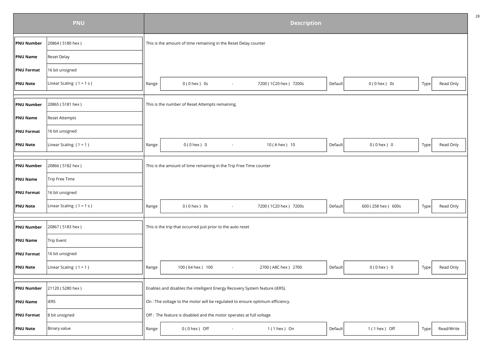|                   | <b>PNU</b>                 |       |                                                                               | <b>Description</b>    |         |                    |      |            |
|-------------------|----------------------------|-------|-------------------------------------------------------------------------------|-----------------------|---------|--------------------|------|------------|
| <b>PNU Number</b> | 20864 (5180 hex)           |       | This is the amount of time remaining in the Reset Delay counter               |                       |         |                    |      |            |
| <b>PNU Name</b>   | <b>Reset Delay</b>         |       |                                                                               |                       |         |                    |      |            |
| <b>PNU Format</b> | 16 bit unsigned            |       |                                                                               |                       |         |                    |      |            |
| <b>PNU Note</b>   | Linear Scaling $(1 = 1 s)$ | Range | $0(0$ hex $)$ 0s<br>$\sim$                                                    | 7200 (1C20 hex) 7200s | Default | $0(0$ hex $)$ 0s   | Type | Read Only  |
|                   |                            |       |                                                                               |                       |         |                    |      |            |
| <b>PNU Number</b> | 20865 (5181 hex)           |       | This is the number of Reset Attempts remaining.                               |                       |         |                    |      |            |
| PNU Name          | <b>Reset Attempts</b>      |       |                                                                               |                       |         |                    |      |            |
| <b>PNU Format</b> | 16 bit unsigned            |       |                                                                               |                       |         |                    |      |            |
| <b>PNU Note</b>   | Linear Scaling $(1 = 1)$   | Range | $0(0$ hex $)$ 0                                                               | 10 (A hex) 10         | Default | $0(0$ hex $) 0$    | Type | Read Only  |
|                   |                            |       |                                                                               |                       |         |                    |      |            |
| <b>PNU Number</b> | 20866 (5182 hex)           |       | This is the amount of time remaining in the Trip Free Time counter            |                       |         |                    |      |            |
| <b>PNU Name</b>   | Trip Free Time             |       |                                                                               |                       |         |                    |      |            |
| <b>PNU Format</b> | 16 bit unsigned            |       |                                                                               |                       |         |                    |      |            |
| <b>PNU Note</b>   | Linear Scaling $(1 = 1 s)$ | Range | $0(0$ hex $)$ 0s<br>$\sim$                                                    | 7200 (1C20 hex) 7200s | Default | 600 (258 hex) 600s | Type | Read Only  |
|                   |                            |       |                                                                               |                       |         |                    |      |            |
| <b>PNU Number</b> | 20867 (5183 hex)           |       | This is the trip that occurred just prior to the auto reset                   |                       |         |                    |      |            |
| <b>PNU Name</b>   | <b>Trip Event</b>          |       |                                                                               |                       |         |                    |      |            |
| <b>PNU Format</b> | 16 bit unsigned            |       |                                                                               |                       |         |                    |      |            |
| <b>PNU Note</b>   | Linear Scaling $(1 = 1)$   | Range | 100 (64 hex) 100<br>$\sim$                                                    | 2700 (A8C hex) 2700   | Default | $0(0$ hex $) 0$    | Type | Read Only  |
|                   |                            |       |                                                                               |                       |         |                    |      |            |
| PNU Number        | 21120 (5280 hex)           |       | Enables and disables the intelligent Energy Recovery System feature (iERS).   |                       |         |                    |      |            |
| <b>PNU Name</b>   | <b>iERS</b>                |       | On : The voltage to the motor will be regulated to ensure optimum efficiency. |                       |         |                    |      |            |
| <b>PNU Format</b> | 8 bit unsigned             |       | Off : The feature is disabled and the motor operates at full voltage          |                       |         |                    |      |            |
| <b>PNU Note</b>   | Binary value               | Range | $0(0$ hex $)$ Off                                                             | $1(1$ hex $)$ On      | Default | 1 (1 hex ) Off     | Type | Read/Write |
|                   |                            |       |                                                                               |                       |         |                    |      |            |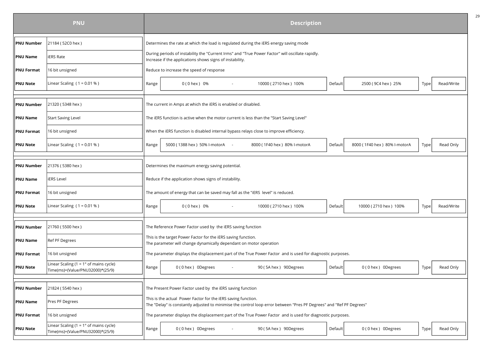|                   | <b>PNU</b>                                                                          | <b>Description</b> |                                                                                                                                     |                                                                                                                      |         |                              |      |            |  |  |
|-------------------|-------------------------------------------------------------------------------------|--------------------|-------------------------------------------------------------------------------------------------------------------------------------|----------------------------------------------------------------------------------------------------------------------|---------|------------------------------|------|------------|--|--|
| <b>PNU Number</b> | 21184 (52C0 hex)                                                                    |                    | Determines the rate at which the load is regulated during the iERS energy saving mode                                               |                                                                                                                      |         |                              |      |            |  |  |
| <b>PNU Name</b>   | <b>ERS Rate</b>                                                                     |                    | Increase if the applications shows signs of instability.                                                                            | During periods of instability the "Current Irms" and "True Power Factor" will oscillate rapidly.                     |         |                              |      |            |  |  |
| <b>PNU Format</b> | 16 bit unsigned                                                                     |                    | Reduce to increase the speed of response                                                                                            |                                                                                                                      |         |                              |      |            |  |  |
| <b>PNU Note</b>   | Linear Scaling $(1 = 0.01 %)$                                                       | Range              | 0 (0 hex) 0%                                                                                                                        | 10000 (2710 hex) 100%                                                                                                | Default | 2500 (9C4 hex) 25%           | Type | Read/Write |  |  |
|                   |                                                                                     |                    |                                                                                                                                     |                                                                                                                      |         |                              |      |            |  |  |
| <b>PNU Number</b> | 21320 (5348 hex)                                                                    |                    | The current in Amps at which the iERS is enabled or disabled.                                                                       |                                                                                                                      |         |                              |      |            |  |  |
| <b>PNU Name</b>   | <b>Start Saving Level</b>                                                           |                    | The iERS function is active when the motor current is less than the "Start Saving Level"                                            |                                                                                                                      |         |                              |      |            |  |  |
| <b>PNU Format</b> | 16 bit unsigned                                                                     |                    | When the iERS function is disabled internal bypass relays close to improve efficiency.                                              |                                                                                                                      |         |                              |      |            |  |  |
| <b>PNU Note</b>   | Linear Scaling ( $1 = 0.01 %$ )                                                     | Range              | 5000 (1388 hex ) 50% l-motorA -                                                                                                     | 8000 (1F40 hex) 80% l-motorA                                                                                         | Default | 8000 (1F40 hex) 80% l-motorA | Type | Read Only  |  |  |
|                   |                                                                                     |                    |                                                                                                                                     |                                                                                                                      |         |                              |      |            |  |  |
| <b>PNU Number</b> | 21376 (5380 hex)                                                                    |                    | Determines the maximum energy saving potential.                                                                                     |                                                                                                                      |         |                              |      |            |  |  |
| <b>PNU Name</b>   | <b>ERS Level</b>                                                                    |                    | Reduce if the application shows signs of instability.                                                                               |                                                                                                                      |         |                              |      |            |  |  |
| <b>PNU Format</b> | 16 bit unsigned                                                                     |                    | The amount of energy that can be saved may fall as the "iERS level" is reduced.                                                     |                                                                                                                      |         |                              |      |            |  |  |
| <b>PNU Note</b>   | Linear Scaling $(1 = 0.01 %)$                                                       | Range              | $0(0$ hex $)$ 0%                                                                                                                    | 10000 (2710 hex) 100%                                                                                                | Default | 10000 (2710 hex) 100%        | Type | Read/Write |  |  |
|                   |                                                                                     |                    |                                                                                                                                     |                                                                                                                      |         |                              |      |            |  |  |
| <b>PNU Number</b> | 21760 (5500 hex)                                                                    |                    | The Reference Power Factor used by the iERS saving function                                                                         |                                                                                                                      |         |                              |      |            |  |  |
| <b>PNU Name</b>   | Ref PF Degrees                                                                      |                    | This is the target Power Factor for the iERS saving function.<br>The parameter will change dynamically dependant on motor operation |                                                                                                                      |         |                              |      |            |  |  |
| <b>PNU Format</b> | 16 bit unsigned                                                                     |                    |                                                                                                                                     | The parameter displays the displacement part of the True Power Factor and is used for diagnostic purposes.           |         |                              |      |            |  |  |
| <b>PNU Note</b>   | Linear Scaling (1 = $1^{\circ}$ of mains cycle)<br>Time(ms)=(Value/PNU32000)*(25/9) | Range              | 0(0 hex) 0Degrees<br>$\sim$                                                                                                         | 90 (5A hex) 90Degrees                                                                                                | Default | 0(0 hex) ODegrees            | Type | Read Only  |  |  |
|                   |                                                                                     |                    |                                                                                                                                     |                                                                                                                      |         |                              |      |            |  |  |
| <b>PNU Number</b> | 21824 (5540 hex)                                                                    |                    | The Present Power Factor used by the iERS saving function                                                                           |                                                                                                                      |         |                              |      |            |  |  |
| <b>PNU Name</b>   | Pres PF Degrees                                                                     |                    | This is the actual Power Factor for the iERS saving function.                                                                       | The "Delay" is constantly adjusted to minimise the control loop error between "Pres PF Degrees" and "Ref PF Degrees" |         |                              |      |            |  |  |
| <b>PNU Format</b> | 16 bit unsigned                                                                     |                    |                                                                                                                                     | The parameter displays the displacement part of the True Power Factor and is used for diagnostic purposes.           |         |                              |      |            |  |  |
| <b>PNU Note</b>   | Linear Scaling (1 = $1^{\circ}$ of mains cycle)<br>Time(ms)=(Value/PNU32000)*(25/9) | Range              | 0 (0 hex) ODegrees                                                                                                                  | 90 (5A hex) 90Degrees                                                                                                | Default | 0(0 hex) ODegrees            | Type | Read Only  |  |  |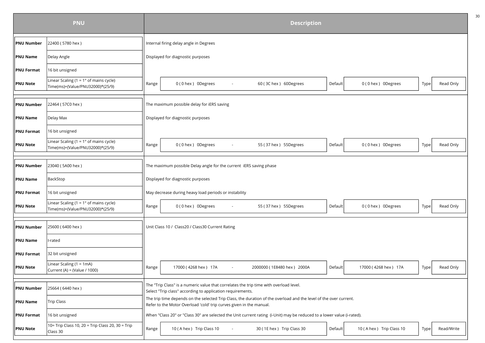|                   | <b>PNU</b>                                                                          | <b>Description</b> |                                                                                                                                                                                          |  |  |  |  |  |  |  |
|-------------------|-------------------------------------------------------------------------------------|--------------------|------------------------------------------------------------------------------------------------------------------------------------------------------------------------------------------|--|--|--|--|--|--|--|
| <b>PNU Number</b> | 22400 (5780 hex)                                                                    |                    | Internal firing delay angle in Degrees                                                                                                                                                   |  |  |  |  |  |  |  |
| <b>PNU Name</b>   | Delay Angle                                                                         |                    | Displayed for diagnostic purposes                                                                                                                                                        |  |  |  |  |  |  |  |
| <b>PNU Format</b> | 16 bit unsigned                                                                     |                    |                                                                                                                                                                                          |  |  |  |  |  |  |  |
| <b>PNU Note</b>   | Linear Scaling $(1 = 1°)$ of mains cycle)<br>Time(ms)=(Value/PNU32000)*(25/9)       | Range              | 0(0 hex) 0Degrees<br>60 (3C hex) 60Degrees<br>0(0 hex) 0Degrees<br>Read Only<br>Default<br>Type                                                                                          |  |  |  |  |  |  |  |
|                   |                                                                                     |                    |                                                                                                                                                                                          |  |  |  |  |  |  |  |
| <b>PNU Number</b> | 22464 (57C0 hex)                                                                    |                    | The maximum possible delay for iERS saving                                                                                                                                               |  |  |  |  |  |  |  |
| <b>PNU Name</b>   | Delay Max                                                                           |                    | Displayed for diagnostic purposes                                                                                                                                                        |  |  |  |  |  |  |  |
| <b>PNU Format</b> | 16 bit unsigned                                                                     |                    |                                                                                                                                                                                          |  |  |  |  |  |  |  |
| <b>PNU Note</b>   | Linear Scaling (1 = $1^{\circ}$ of mains cycle)<br>Time(ms)=(Value/PNU32000)*(25/9) | Range              | 55 (37 hex) 55Degrees<br>Read Only<br>0 (0 hex) ODegrees<br>0 (0 hex) ODegrees<br>Default<br>Type                                                                                        |  |  |  |  |  |  |  |
|                   |                                                                                     |                    |                                                                                                                                                                                          |  |  |  |  |  |  |  |
| <b>PNU Number</b> | 23040 (5A00 hex)                                                                    |                    | The maximum possible Delay angle for the current iERS saving phase                                                                                                                       |  |  |  |  |  |  |  |
| <b>PNU Name</b>   | BackStop                                                                            |                    | Displayed for diagnostic purposes                                                                                                                                                        |  |  |  |  |  |  |  |
| <b>PNU Format</b> | 16 bit unsigned                                                                     |                    | May decrease during heavy load periods or instability                                                                                                                                    |  |  |  |  |  |  |  |
| <b>PNU Note</b>   | Linear Scaling (1 = $1^{\circ}$ of mains cycle)<br>Time(ms)=(Value/PNU32000)*(25/9) | Range              | 0(0 hex) ODegrees<br>55 (37 hex) 55Degrees<br>0(0 hex) ODegrees<br>Read Only<br>Default<br>Type                                                                                          |  |  |  |  |  |  |  |
| <b>PNU Number</b> | 25600 (6400 hex)                                                                    |                    | Unit Class 10 / Class20 / Class30 Current Rating                                                                                                                                         |  |  |  |  |  |  |  |
| <b>PNU Name</b>   | l-rated                                                                             |                    |                                                                                                                                                                                          |  |  |  |  |  |  |  |
| <b>PNU Format</b> | 32 bit unsigned                                                                     |                    |                                                                                                                                                                                          |  |  |  |  |  |  |  |
| <b>PNU Note</b>   | Linear Scaling $(1 = 1mA)$<br>Current (A) = (Value / 1000)                          | Range              | 17000 (4268 hex) 17A<br>2000000 (1E8480 hex) 2000A<br>17000 (4268 hex) 17A<br>Read Only<br>Default<br>Type<br>$\sim$                                                                     |  |  |  |  |  |  |  |
|                   |                                                                                     |                    | The "Trip Class" is a numeric value that correlates the trip time with overload level.                                                                                                   |  |  |  |  |  |  |  |
| <b>PNU Number</b> | 25664 (6440 hex)                                                                    |                    | Select "Trip class" according to application requirements.                                                                                                                               |  |  |  |  |  |  |  |
| <b>PNU Name</b>   | <b>Trip Class</b>                                                                   |                    | The trip time depends on the selected Trip Class, the duration of the overload and the level of the over current.<br>Refer to the Motor Overload 'cold' trip curves given in the manual. |  |  |  |  |  |  |  |
| <b>PNU Format</b> | 16 bit unsigned                                                                     |                    | When "Class 20" or "Class 30" are selected the Unit current rating (i-Unit) may be reduced to a lower value (i-rated).                                                                   |  |  |  |  |  |  |  |
| <b>PNU Note</b>   | 10= Trip Class 10, 20 = Trip Class 20, 30 = Trip<br>Class 30                        | Range              | 10 (A hex ) Trip Class 10<br>30 (1E hex ) Trip Class 30<br>10 (A hex ) Trip Class 10<br>Default<br>Type<br>Read/Write                                                                    |  |  |  |  |  |  |  |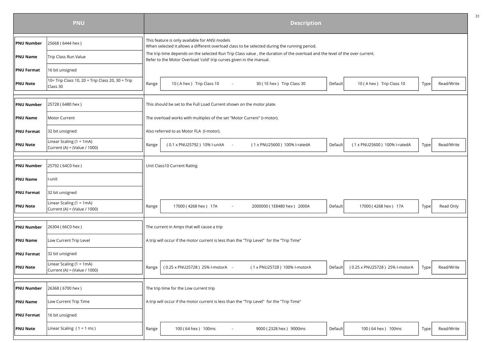|                   | <b>PNU</b>                                                   | <b>Description</b> |                                                                                                                                                |                                                                                                                             |         |                                |      |            |  |  |
|-------------------|--------------------------------------------------------------|--------------------|------------------------------------------------------------------------------------------------------------------------------------------------|-----------------------------------------------------------------------------------------------------------------------------|---------|--------------------------------|------|------------|--|--|
| <b>PNU Number</b> | 25668 (6444 hex)                                             |                    | This feature is only available for ANSI models<br>When selected it allows a different overload class to be selected during the running period. |                                                                                                                             |         |                                |      |            |  |  |
| <b>PNU Name</b>   | Trip Class Run Value                                         |                    | Refer to the Motor Overload 'cold' trip curves given in the manual.                                                                            | The trip time depends on the selected Run Trip Class value, the duration of the overload and the level of the over current. |         |                                |      |            |  |  |
| <b>PNU Format</b> | 16 bit unsigned                                              |                    |                                                                                                                                                |                                                                                                                             |         |                                |      |            |  |  |
| <b>PNU Note</b>   | 10= Trip Class 10, 20 = Trip Class 20, 30 = Trip<br>Class 30 | Range              | 10 (A hex ) Trip Class 10<br>$\sim$                                                                                                            | 30 (1E hex ) Trip Class 30                                                                                                  | Default | 10 (A hex) Trip Class 10       | Type | Read/Write |  |  |
| <b>PNU Number</b> | 25728 (6480 hex)                                             |                    | This should be set to the Full Load Current shown on the motor plate.                                                                          |                                                                                                                             |         |                                |      |            |  |  |
| <b>PNU Name</b>   | Motor Current                                                |                    | The overload works with multiples of the set "Motor Current" (i-motor).                                                                        |                                                                                                                             |         |                                |      |            |  |  |
| <b>PNU Format</b> | 32 bit unsigned                                              |                    | Also referred to as Motor FLA (I-motor).                                                                                                       |                                                                                                                             |         |                                |      |            |  |  |
| <b>PNU Note</b>   | Linear Scaling $(1 = 1mA)$<br>Current (A) = (Value / 1000)   | Range              | (0.1 x PNU25792) 10% l-unitA<br>$\sim$                                                                                                         | (1 x PNU25600) 100% l-ratedA                                                                                                | Default | (1 x PNU25600) 100% l-ratedA   | Type | Read/Write |  |  |
| <b>PNU Number</b> | 25792 (64C0 hex)                                             |                    | Unit Class10 Current Rating                                                                                                                    |                                                                                                                             |         |                                |      |            |  |  |
| <b>PNU Name</b>   | l-unit                                                       |                    |                                                                                                                                                |                                                                                                                             |         |                                |      |            |  |  |
| <b>PNU Format</b> | 32 bit unsigned                                              |                    |                                                                                                                                                |                                                                                                                             |         |                                |      |            |  |  |
| <b>PNU Note</b>   | Linear Scaling $(1 = 1mA)$<br>Current (A) = (Value / 1000)   | Range              | 17000 (4268 hex) 17A<br>$\sim$                                                                                                                 | 2000000 (1E8480 hex) 2000A                                                                                                  | Default | 17000 (4268 hex) 17A           | Type | Read Only  |  |  |
| <b>PNU Number</b> | 26304 (66C0 hex)                                             |                    | The current in Amps that will cause a trip                                                                                                     |                                                                                                                             |         |                                |      |            |  |  |
| <b>PNU Name</b>   | Low Current Trip Level                                       |                    | A trip will occur if the motor current is less than the "Trip Level" for the "Trip Time"                                                       |                                                                                                                             |         |                                |      |            |  |  |
| <b>PNU Format</b> | 32 bit unsigned                                              |                    |                                                                                                                                                |                                                                                                                             |         |                                |      |            |  |  |
| <b>PNU Note</b>   | Linear Scaling $(1 = 1mA)$<br>Current (A) = (Value / 1000)   | Range              | (0.25 x PNU25728) 25% l-motorA -                                                                                                               | (1 x PNU25728) 100% l-motorA                                                                                                | Default | (0.25 x PNU25728) 25% l-motorA | Type | Read/Write |  |  |
| <b>PNU Number</b> | 26368 (6700 hex)                                             |                    | The trip time for the Low current trip                                                                                                         |                                                                                                                             |         |                                |      |            |  |  |
| <b>PNU Name</b>   | Low Current Trip Time                                        |                    | A trip will occur if the motor current is less than the "Trip Level" for the "Trip Time"                                                       |                                                                                                                             |         |                                |      |            |  |  |
| <b>PNU Format</b> | 16 bit unsigned                                              |                    |                                                                                                                                                |                                                                                                                             |         |                                |      |            |  |  |
| <b>PNU Note</b>   | Linear Scaling $(1 = 1$ ms)                                  | Range              | 100 (64 hex) 100ms                                                                                                                             | 9000 (2328 hex) 9000ms                                                                                                      | Default | 100 (64 hex) 100ms             | Type | Read/Write |  |  |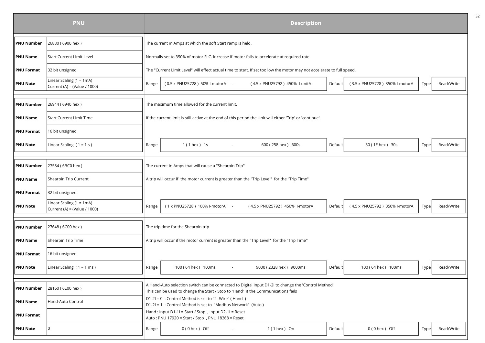|                   | <b>PNU</b>                                                 | <b>Description</b> |                                                                                                                      |                                                                                                                        |         |                                |      |            |  |  |
|-------------------|------------------------------------------------------------|--------------------|----------------------------------------------------------------------------------------------------------------------|------------------------------------------------------------------------------------------------------------------------|---------|--------------------------------|------|------------|--|--|
| <b>PNU Number</b> | 26880 (6900 hex)                                           |                    | The current in Amps at which the soft Start ramp is held.                                                            |                                                                                                                        |         |                                |      |            |  |  |
| <b>PNU Name</b>   | <b>Start Current Limit Level</b>                           |                    | Normally set to 350% of motor FLC. Increase if motor fails to accelerate at required rate                            |                                                                                                                        |         |                                |      |            |  |  |
| <b>PNU Format</b> | 32 bit unsigned                                            |                    |                                                                                                                      | The "Current Limit Level" will effect actual time to start. If set too low the motor may not accelerate to full speed. |         |                                |      |            |  |  |
| <b>PNU Note</b>   | Linear Scaling $(1 = 1mA)$<br>Current (A) = (Value / 1000) | Range              | (0.5 x PNU25728) 50% l-motorA -                                                                                      | (4.5 x PNU25792) 450% I-unitA                                                                                          | Default | (3.5 x PNU25728) 350% l-motorA | Type | Read/Write |  |  |
| <b>PNU Number</b> | 26944 (6940 hex)                                           |                    | The maximum time allowed for the current limit.                                                                      |                                                                                                                        |         |                                |      |            |  |  |
| <b>PNU Name</b>   | <b>Start Current Limit Time</b>                            |                    | If the current limit is still active at the end of this period the Unit will either 'Trip' or 'continue'             |                                                                                                                        |         |                                |      |            |  |  |
| <b>PNU Format</b> | 16 bit unsigned                                            |                    |                                                                                                                      |                                                                                                                        |         |                                |      |            |  |  |
| <b>PNU Note</b>   | Linear Scaling $(1 = 1 s)$                                 | Range              | $1(1$ hex $)$ 1s                                                                                                     | 600 (258 hex) 600s                                                                                                     | Default | 30 (1E hex ) 30s               | Type | Read/Write |  |  |
| <b>PNU Number</b> | 27584 (6BC0 hex)                                           |                    | The current in Amps that will cause a "Shearpin Trip"                                                                |                                                                                                                        |         |                                |      |            |  |  |
| <b>PNU Name</b>   | Shearpin Trip Current                                      |                    | A trip will occur if the motor current is greater than the "Trip Level" for the "Trip Time"                          |                                                                                                                        |         |                                |      |            |  |  |
| <b>PNU Format</b> | 32 bit unsigned                                            |                    |                                                                                                                      |                                                                                                                        |         |                                |      |            |  |  |
| <b>PNU Note</b>   | Linear Scaling $(1 = 1mA)$<br>Current (A) = (Value / 1000) | Range              | (1 x PNU25728) 100% l-motorA -                                                                                       | (4.5 x PNU25792) 450% I-motorA                                                                                         | Default | (4.5 x PNU25792) 350% l-motorA | Type | Read/Write |  |  |
| <b>PNU Number</b> | 27648 (6C00 hex)                                           |                    | The trip time for the Shearpin trip                                                                                  |                                                                                                                        |         |                                |      |            |  |  |
| <b>PNU Name</b>   | Shearpin Trip Time                                         |                    | A trip will occur if the motor current is greater than the "Trip Level" for the "Trip Time"                          |                                                                                                                        |         |                                |      |            |  |  |
| <b>PNU Format</b> | 16 bit unsigned                                            |                    |                                                                                                                      |                                                                                                                        |         |                                |      |            |  |  |
| <b>PNU Note</b>   | Linear Scaling $(1 = 1$ ms)                                | Range              | 100 (64 hex) 100ms                                                                                                   | 9000 (2328 hex) 9000ms                                                                                                 | Default | 100 (64 hex) 100ms             | Type | Read/Write |  |  |
| <b>PNU Number</b> | 28160 (6E00 hex)                                           |                    | This can be used to change the Start / Stop to 'Hand' it the Communications fails                                    | A Hand-Auto selection switch can be connected to Digital Input D1-2I to change the 'Control Method'                    |         |                                |      |            |  |  |
| <b>PNU Name</b>   | Hand-Auto Control                                          |                    | D1-2I = 0: Control Method is set to "2 - Wire" (Hand)<br>D1-2I = 1: Control Method is set to "Modbus Network" (Auto) |                                                                                                                        |         |                                |      |            |  |  |
| <b>PNU Format</b> |                                                            |                    | Hand: Input D1-1I = Start / Stop, Input D2-1I = Reset<br>Auto: PNU 17920 = Start / Stop , PNU 18368 = Reset          |                                                                                                                        |         |                                |      |            |  |  |
| <b>PNU Note</b>   |                                                            | Range              | $0(0$ hex $)$ Off                                                                                                    | $1(1$ hex $)$ On                                                                                                       | Default | $0(0$ hex $)$ Off              | Type | Read/Write |  |  |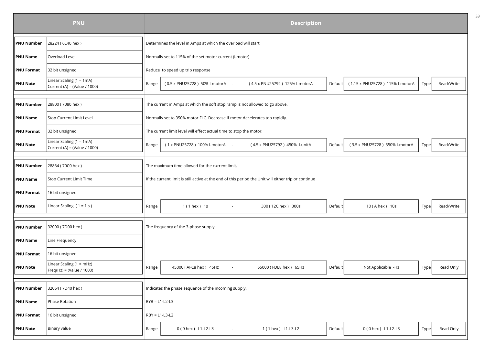|                   | <b>PNU</b>                                                 |                  |                                                                                                      | <b>Description</b>             |         |                                 |      |            |
|-------------------|------------------------------------------------------------|------------------|------------------------------------------------------------------------------------------------------|--------------------------------|---------|---------------------------------|------|------------|
| <b>PNU Number</b> | 28224 (6E40 hex)                                           |                  | Determines the level in Amps at which the overload will start.                                       |                                |         |                                 |      |            |
| <b>PNU Name</b>   | Overload Level                                             |                  | Normally set to 115% of the set motor current (i-motor)                                              |                                |         |                                 |      |            |
| <b>PNU Format</b> | 32 bit unsigned                                            |                  | Reduce to speed up trip response                                                                     |                                |         |                                 |      |            |
| <b>PNU Note</b>   | Linear Scaling $(1 = 1mA)$<br>Current (A) = (Value / 1000) | Range            | (0.5 x PNU25728) 50% l-motorA -                                                                      | (4.5 x PNU25792) 125% l-motorA | Default | (1.15 x PNU25728) 115% l-motorA | Type | Read/Write |
| <b>PNU Number</b> | 28800 (7080 hex)                                           |                  | The current in Amps at which the soft stop ramp is not allowed to go above.                          |                                |         |                                 |      |            |
| <b>PNU Name</b>   | Stop Current Limit Level                                   |                  | Normally set to 350% motor FLC. Decrease if motor decelerates too rapidly.                           |                                |         |                                 |      |            |
| <b>PNU Format</b> | 32 bit unsigned                                            |                  | The current limit level will effect actual time to stop the motor.                                   |                                |         |                                 |      |            |
| <b>PNU Note</b>   | Linear Scaling $(1 = 1mA)$<br>Current (A) = (Value / 1000) | Range            | (1 x PNU25728) 100% l-motorA -                                                                       | (4.5 x PNU25792) 450% l-unitA  | Default | (3.5 x PNU25728) 350% l-motorA  | Type | Read/Write |
| <b>PNU Number</b> | 28864 (70C0 hex)                                           |                  | The maximum time allowed for the current limit.                                                      |                                |         |                                 |      |            |
| <b>PNU Name</b>   | Stop Current Limit Time                                    |                  | If the current limit is still active at the end of this period the Unit will either trip or continue |                                |         |                                 |      |            |
| <b>PNU Format</b> | 16 bit unsigned                                            |                  |                                                                                                      |                                |         |                                 |      |            |
| <b>PNU Note</b>   | Linear Scaling $(1 = 1 s)$                                 | Range            | $1(1$ hex $)$ 1s<br>$\sim$                                                                           | 300 (12C hex) 300s             | Default | 10 (A hex ) 10s                 | Type | Read/Write |
| <b>PNU Number</b> | 32000 (7D00 hex)                                           |                  | The frequency of the 3-phase supply                                                                  |                                |         |                                 |      |            |
| <b>PNU Name</b>   | Line Frequency                                             |                  |                                                                                                      |                                |         |                                 |      |            |
| <b>PNU Format</b> | 16 bit unsigned                                            |                  |                                                                                                      |                                |         |                                 |      |            |
| <b>PNU Note</b>   | Linear Scaling $(1 = mHz)$<br>Freq(Hz) = (Value / 1000)    | Range            | 45000 (AFC8 hex) 45Hz<br>$\overline{\phantom{a}}$                                                    | 65000 (FDE8 hex) 65Hz          | Default | Not Applicable -Hz              | Type | Read Only  |
| <b>PNU Number</b> | 32064 (7D40 hex)                                           |                  | Indicates the phase sequence of the incoming supply.                                                 |                                |         |                                 |      |            |
| <b>PNU Name</b>   | Phase Rotation                                             | $RYB = L1-L2-L3$ |                                                                                                      |                                |         |                                 |      |            |
| <b>PNU Format</b> | 16 bit unsigned                                            | $RBY = L1-L3-L2$ |                                                                                                      |                                |         |                                 |      |            |
| <b>PNU Note</b>   | Binary value                                               | Range            | 0 (0 hex) L1-L2-L3                                                                                   | 1 (1 hex ) L1-L3-L2            | Default | 0 (0 hex) L1-L2-L3              | Type | Read Only  |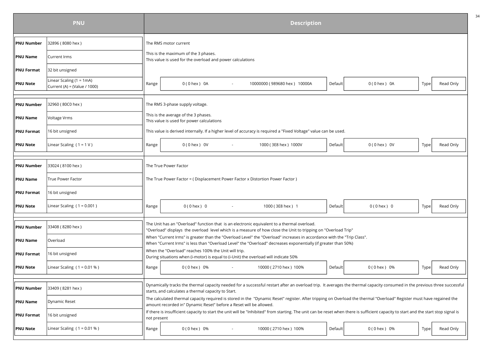|                   | <b>PNU</b>                                               |             |                                                                                                                                              |                          | <b>Description</b>                                                                                                                                                                                                                       |         |                  |      |           |
|-------------------|----------------------------------------------------------|-------------|----------------------------------------------------------------------------------------------------------------------------------------------|--------------------------|------------------------------------------------------------------------------------------------------------------------------------------------------------------------------------------------------------------------------------------|---------|------------------|------|-----------|
| <b>PNU Number</b> | 32896 (8080 hex)                                         |             | The RMS motor current                                                                                                                        |                          |                                                                                                                                                                                                                                          |         |                  |      |           |
| <b>PNU Name</b>   | Current Irms                                             |             | This is the maximum of the 3 phases.<br>This value is used for the overload and power calculations                                           |                          |                                                                                                                                                                                                                                          |         |                  |      |           |
| <b>PNU Format</b> | 32 bit unsigned                                          |             |                                                                                                                                              |                          |                                                                                                                                                                                                                                          |         |                  |      |           |
| <b>PNU Note</b>   | Linear Scaling (1 = 1mA)<br>Current (A) = (Value / 1000) | Range       | $0(0$ hex $)$ 0A                                                                                                                             | $\overline{\phantom{a}}$ | 10000000 (989680 hex) 10000A                                                                                                                                                                                                             | Default | $0(0$ hex $)$ 0A | Type | Read Only |
| <b>PNU Number</b> | 32960 (80C0 hex)                                         |             | The RMS 3-phase supply voltage.                                                                                                              |                          |                                                                                                                                                                                                                                          |         |                  |      |           |
| <b>PNU Name</b>   | Voltage Vrms                                             |             | This is the average of the 3 phases.<br>This value is used for power calculations                                                            |                          |                                                                                                                                                                                                                                          |         |                  |      |           |
| <b>PNU Format</b> | 16 bit unsigned                                          |             |                                                                                                                                              |                          | This value is derived internally. If a higher level of accuracy is required a "Fixed Voltage" value can be used.                                                                                                                         |         |                  |      |           |
| <b>PNU Note</b>   | Linear Scaling $(1 = 1 V)$                               | Range       | $0(0$ hex $)$ OV                                                                                                                             |                          | 1000 (3E8 hex) 1000V                                                                                                                                                                                                                     | Default | $0(0$ hex $)$ OV | Type | Read Only |
| <b>PNU Number</b> | 33024 (8100 hex )                                        |             | The True Power Factor                                                                                                                        |                          |                                                                                                                                                                                                                                          |         |                  |      |           |
| <b>PNU Name</b>   | <b>True Power Factor</b>                                 |             | The True Power Factor = ( Displacement Power Factor x Distortion Power Factor )                                                              |                          |                                                                                                                                                                                                                                          |         |                  |      |           |
| <b>PNU Format</b> | 16 bit unsigned                                          |             |                                                                                                                                              |                          |                                                                                                                                                                                                                                          |         |                  |      |           |
| <b>PNU Note</b>   | Linear Scaling $(1 = 0.001)$                             | Range       | $0(0$ hex $)$ 0                                                                                                                              | $\sim$                   | 1000 (3E8 hex) 1                                                                                                                                                                                                                         | Default | $0(0$ hex $) 0$  | Type | Read Only |
| <b>PNU Number</b> | 33408 (8280 hex)                                         |             |                                                                                                                                              |                          | The Unit has an "Overload" function that is an electronic equivalent to a thermal overload.<br>"Overload" displays the overload level which is a measure of how close the Unit to tripping on "Overload Trip"                            |         |                  |      |           |
| <b>PNU Name</b>   | Overload                                                 |             |                                                                                                                                              |                          | When "Current Irms" is greater than the "Overload Level" the "Overload" increases in accordance with the "Trip Class".<br>When "Current Irms" is less than "Overload Level" the "Overload" decreases exponentially (if greater than 50%) |         |                  |      |           |
| <b>PNU Format</b> | 16 bit unsigned                                          |             | When the "Overload" reaches 100% the Unit will trip.<br>During situations when (i-motor) is equal to (i-Unit) the overload will indicate 50% |                          |                                                                                                                                                                                                                                          |         |                  |      |           |
| <b>PNU Note</b>   | Linear Scaling $(1 = 0.01 %)$                            | Range       | 0 (0 hex ) 0%                                                                                                                                | and the company of       | 10000 (2710 hex) 100%                                                                                                                                                                                                                    | Default | $0(0$ hex $)$ 0% | Type | Read Only |
| <b>PNU Number</b> | 33409 (8281 hex)                                         |             | starts, and calculates a thermal capacity to Start.                                                                                          |                          | Dynamically tracks the thermal capacity needed for a successful restart after an overload trip. It averages the thermal capacity consumed in the previous three successful                                                               |         |                  |      |           |
| <b>PNU Name</b>   | Dynamic Reset                                            |             | amount recorded in" Dynamic Reset" before a Reset will be allowed.                                                                           |                          | The calculated thermal capacity required is stored in the "Dynamic Reset" register. After tripping on Overload the thermal "Overload" Register must have regained the                                                                    |         |                  |      |           |
| <b>PNU Format</b> | 16 bit unsigned                                          | not present |                                                                                                                                              |                          | If there is insufficient capacity to start the unit will be "Inhibited" from starting. The unit can be reset when there is sufficient capacity to start and the start stop signal is                                                     |         |                  |      |           |
| <b>PNU Note</b>   | Linear Scaling $(1 = 0.01 %)$                            | Range       | $0(0$ hex $)$ 0%                                                                                                                             |                          | 10000 (2710 hex) 100%                                                                                                                                                                                                                    | Default | $0(0$ hex $)$ 0% | Type | Read Only |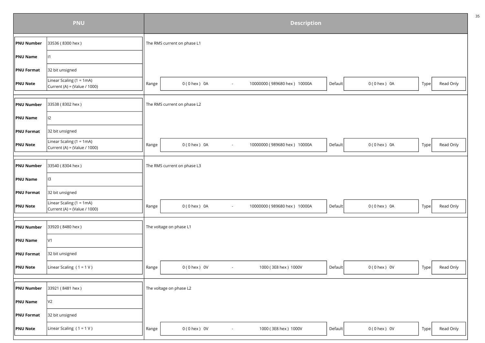|                   | <b>PNU</b>                                                 | <b>Description</b> |                                                                                                  |      |           |  |  |  |  |  |
|-------------------|------------------------------------------------------------|--------------------|--------------------------------------------------------------------------------------------------|------|-----------|--|--|--|--|--|
| <b>PNU Number</b> | 33536 (8300 hex)                                           |                    | The RMS current on phase L1                                                                      |      |           |  |  |  |  |  |
| PNU Name          | 1                                                          |                    |                                                                                                  |      |           |  |  |  |  |  |
| <b>PNU Format</b> | 32 bit unsigned                                            |                    |                                                                                                  |      |           |  |  |  |  |  |
| <b>PNU Note</b>   | Linear Scaling (1 = 1mA)<br>Current (A) = (Value / 1000)   | Range              | $0(0$ hex $)$ 0A<br>10000000 (989680 hex) 10000A<br>Default<br>0 (0 hex ) 0A<br>$\sim$           | Type | Read Only |  |  |  |  |  |
|                   |                                                            |                    |                                                                                                  |      |           |  |  |  |  |  |
| <b>PNU Number</b> | 33538 (8302 hex)                                           |                    | The RMS current on phase L2                                                                      |      |           |  |  |  |  |  |
| <b>PNU Name</b>   | <sup>12</sup>                                              |                    |                                                                                                  |      |           |  |  |  |  |  |
| <b>PNU</b> Format | 32 bit unsigned                                            |                    |                                                                                                  |      |           |  |  |  |  |  |
| <b>PNU Note</b>   | Linear Scaling (1 = 1mA)<br>Current (A) = (Value / 1000)   | Range              | $0(0$ hex $)$ 0A<br>10000000 (989680 hex) 10000A<br>$0(0$ hex $)$ 0A<br>Default<br>$\sim$        | Type | Read Only |  |  |  |  |  |
| <b>PNU Number</b> | 33540 (8304 hex)                                           |                    | The RMS current on phase L3                                                                      |      |           |  |  |  |  |  |
| PNU Name          | I3                                                         |                    |                                                                                                  |      |           |  |  |  |  |  |
| PNU Format        | 32 bit unsigned                                            |                    |                                                                                                  |      |           |  |  |  |  |  |
| <b>PNU Note</b>   | Linear Scaling $(1 = 1mA)$<br>Current (A) = (Value / 1000) | Range              | $0(0$ hex $)$ 0A<br>10000000 (989680 hex) 10000A<br>Default<br>$0(0$ hex $)$ 0A<br>$\sim$        | Type | Read Only |  |  |  |  |  |
|                   |                                                            |                    |                                                                                                  |      |           |  |  |  |  |  |
| <b>PNU Number</b> | 33920 (8480 hex)                                           |                    | The voltage on phase L1                                                                          |      |           |  |  |  |  |  |
| <b>PNU Name</b>   | V1                                                         |                    |                                                                                                  |      |           |  |  |  |  |  |
| <b>PNU Format</b> | 32 bit unsigned                                            |                    |                                                                                                  |      |           |  |  |  |  |  |
| <b>PNU Note</b>   | Linear Scaling $(1 = 1 V)$                                 | Range              | 1000 (3E8 hex) 1000V<br>$0(0$ hex $)$ OV<br>$0(0$ hex $)$ OV<br>Default<br>$\blacksquare$        | Type | Read Only |  |  |  |  |  |
|                   |                                                            |                    |                                                                                                  |      |           |  |  |  |  |  |
| <b>PNU Number</b> | 33921 (8481 hex)                                           |                    | The voltage on phase L2                                                                          |      |           |  |  |  |  |  |
| PNU Name          | V <sub>2</sub>                                             |                    |                                                                                                  |      |           |  |  |  |  |  |
| <b>PNU Format</b> | 32 bit unsigned                                            |                    |                                                                                                  |      |           |  |  |  |  |  |
| <b>PNU Note</b>   | Linear Scaling $(1 = 1 V)$                                 | Range              | 1000 (3E8 hex) 1000V<br>0 (0 hex ) 0V<br>Default<br>$0(0$ hex $)$ OV<br>$\overline{\phantom{a}}$ | Type | Read Only |  |  |  |  |  |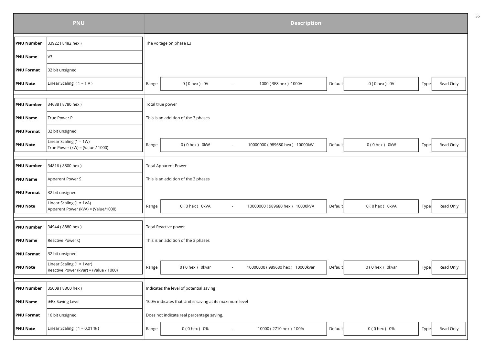|                   | <b>PNU</b>                                                              |                  | <b>Description</b>                                                                                          |      |           |  |  |  |  |  |  |
|-------------------|-------------------------------------------------------------------------|------------------|-------------------------------------------------------------------------------------------------------------|------|-----------|--|--|--|--|--|--|
| <b>PNU Number</b> | 33922 (8482 hex)                                                        |                  | The voltage on phase L3                                                                                     |      |           |  |  |  |  |  |  |
| PNU Name          | V3                                                                      |                  |                                                                                                             |      |           |  |  |  |  |  |  |
| <b>PNU Format</b> | 32 bit unsigned                                                         |                  |                                                                                                             |      |           |  |  |  |  |  |  |
| <b>PNU Note</b>   | Linear Scaling $(1 = 1 V)$                                              | Range            | 1000 (3E8 hex) 1000V<br>$0(0$ hex $)$ OV<br>0 ( 0 hex ) 0V<br>Default<br>$\overline{\phantom{a}}$           | Type | Read Only |  |  |  |  |  |  |
|                   |                                                                         |                  |                                                                                                             |      |           |  |  |  |  |  |  |
| PNU Number        | 34688 (8780 hex)                                                        | Total true power |                                                                                                             |      |           |  |  |  |  |  |  |
| <b>PNU Name</b>   | True Power P                                                            |                  | This is an addition of the 3 phases                                                                         |      |           |  |  |  |  |  |  |
| <b>PNU Format</b> | 32 bit unsigned                                                         |                  |                                                                                                             |      |           |  |  |  |  |  |  |
| <b>PNU Note</b>   | Linear Scaling $(1 = 1W)$<br>True Power (kW) = (Value / 1000)           | Range            | $0(0$ hex $)$ 0kW<br>10000000 (989680 hex) 10000kW<br>$0(0$ hex $)$ 0kW<br>Default<br>$\blacksquare$        | Type | Read Only |  |  |  |  |  |  |
|                   |                                                                         |                  |                                                                                                             |      |           |  |  |  |  |  |  |
| <b>PNU Number</b> | 34816 (8800 hex)                                                        |                  | <b>Total Apparent Power</b>                                                                                 |      |           |  |  |  |  |  |  |
| <b>PNU Name</b>   | Apparent Power S                                                        |                  | This is an addition of the 3 phases                                                                         |      |           |  |  |  |  |  |  |
| <b>PNU Format</b> | 32 bit unsigned                                                         |                  |                                                                                                             |      |           |  |  |  |  |  |  |
| <b>PNU Note</b>   | Linear Scaling (1 = 1VA)<br>Apparent Power (kVA) = (Value/1000)         | Range            | 0(0 hex) 0kVA<br>10000000 (989680 hex) 10000kVA<br>0(0 hex) 0kVA<br>Default<br>$\overline{\phantom{a}}$     | Type | Read Only |  |  |  |  |  |  |
|                   |                                                                         |                  |                                                                                                             |      |           |  |  |  |  |  |  |
| <b>PNU Number</b> | 34944 (8880 hex)                                                        |                  | Total Reactive power                                                                                        |      |           |  |  |  |  |  |  |
| <b>PNU Name</b>   | Reactive Power Q                                                        |                  | This is an addition of the 3 phases                                                                         |      |           |  |  |  |  |  |  |
| <b>PNU Format</b> | 32 bit unsigned                                                         |                  |                                                                                                             |      |           |  |  |  |  |  |  |
| <b>PNU Note</b>   | Linear Scaling ( $1 = 1Var$ )<br>Reactive Power (kVar) = (Value / 1000) | Range            | 10000000 (989680 hex) 10000kvar<br>0(0 hex) 0kvar<br>0 (0 hex) 0kvar<br>Default<br>$\overline{\phantom{a}}$ | Type | Read Only |  |  |  |  |  |  |
|                   |                                                                         |                  |                                                                                                             |      |           |  |  |  |  |  |  |
| <b>PNU Number</b> | 35008 (88C0 hex)                                                        |                  | Indicates the level of potential saving                                                                     |      |           |  |  |  |  |  |  |
| PNU Name          | <b>iERS Saving Level</b>                                                |                  | 100% indicates that Unit is saving at its maximum level                                                     |      |           |  |  |  |  |  |  |
| <b>PNU Format</b> | 16 bit unsigned                                                         |                  | Does not indicate real percentage saving.                                                                   |      |           |  |  |  |  |  |  |
| <b>PNU Note</b>   | Linear Scaling $(1 = 0.01 %)$                                           | Range            | 0 (0 hex) 0%<br>10000 (2710 hex) 100%<br>0 (0 hex ) 0%<br>Default                                           | Type | Read Only |  |  |  |  |  |  |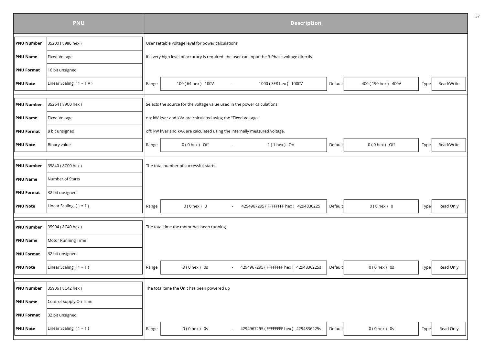|                   | <b>PNU</b>                 | <b>Description</b> |                                                                                              |                                       |         |                    |      |            |  |  |
|-------------------|----------------------------|--------------------|----------------------------------------------------------------------------------------------|---------------------------------------|---------|--------------------|------|------------|--|--|
| <b>PNU Number</b> | 35200 (8980 hex)           |                    | User settable voltage level for power calculations                                           |                                       |         |                    |      |            |  |  |
| <b>PNU Name</b>   | <b>Fixed Voltage</b>       |                    | If a very high level of accuracy is required the user can input the 3-Phase voltage directly |                                       |         |                    |      |            |  |  |
| <b>PNU Format</b> | 16 bit unsigned            |                    |                                                                                              |                                       |         |                    |      |            |  |  |
| <b>PNU Note</b>   | Linear Scaling $(1 = 1 V)$ | Range              | 100 (64 hex) 100V                                                                            | 1000 (3E8 hex) 1000V                  | Default | 400 (190 hex) 400V | Type | Read/Write |  |  |
| <b>PNU Number</b> | 35264 (89C0 hex)           |                    | Selects the source for the voltage value used in the power calculations.                     |                                       |         |                    |      |            |  |  |
| <b>PNU Name</b>   | <b>Fixed Voltage</b>       |                    | on: kW kVar and kVA are calculated using the "Fixed Voltage"                                 |                                       |         |                    |      |            |  |  |
| <b>PNU Format</b> | 8 bit unsigned             |                    | off: kW kVar and kVA are calculated using the internally measured voltage.                   |                                       |         |                    |      |            |  |  |
| <b>PNU Note</b>   | Binary value               | Range              | $0(0$ hex $)$ Off<br>$\sim$                                                                  | $1(1$ hex ) On                        | Default | $0(0$ hex $)$ Off  | Type | Read/Write |  |  |
| <b>PNU Number</b> | 35840 (8C00 hex)           |                    | The total number of successful starts                                                        |                                       |         |                    |      |            |  |  |
| <b>PNU Name</b>   | Number of Starts           |                    |                                                                                              |                                       |         |                    |      |            |  |  |
| <b>PNU Format</b> | 32 bit unsigned            |                    |                                                                                              |                                       |         |                    |      |            |  |  |
| <b>PNU Note</b>   | Linear Scaling $(1 = 1)$   | Range              | $0(0$ hex $)$ 0                                                                              | 4294967295 (FFFFFFFF hex) 4294836225  | Default | $0(0$ hex $) 0$    | Type | Read Only  |  |  |
| <b>PNU Number</b> | 35904 (8C40 hex)           |                    | The total time the motor has been running                                                    |                                       |         |                    |      |            |  |  |
| <b>PNU Name</b>   | Motor Running Time         |                    |                                                                                              |                                       |         |                    |      |            |  |  |
| <b>PNU Format</b> | 32 bit unsigned            |                    |                                                                                              |                                       |         |                    |      |            |  |  |
| <b>PNU Note</b>   | Linear Scaling $(1 = 1)$   | Range              | $0(0$ hex $)$ 0s<br>$\sim 100$                                                               | 4294967295 (FFFFFFFF hex) 4294836225s | Default | $0(0$ hex $)$ 0s   | Type | Read Only  |  |  |
| <b>PNU Number</b> | 35906 (8C42 hex)           |                    | The total time the Unit has been powered up                                                  |                                       |         |                    |      |            |  |  |
|                   |                            |                    |                                                                                              |                                       |         |                    |      |            |  |  |
| <b>PNU Name</b>   | Control Supply On Time     |                    |                                                                                              |                                       |         |                    |      |            |  |  |
| <b>PNU Format</b> | 32 bit unsigned            |                    |                                                                                              |                                       |         |                    |      |            |  |  |
| <b>PNU Note</b>   | Linear Scaling $(1 = 1)$   | Range              | $0(0$ hex $)$ 0s                                                                             | 4294967295 (FFFFFFFF hex) 4294836225s | Default | $0(0$ hex $)$ 0s   | Type | Read Only  |  |  |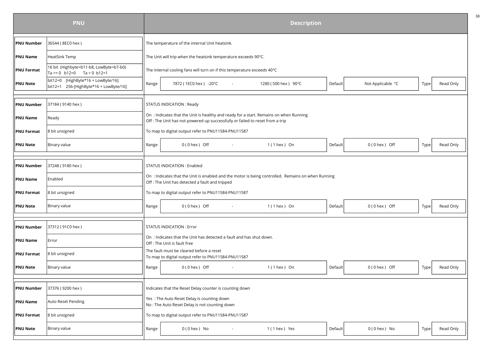|                   | <b>PNU</b>                                                                   | <b>Description</b> |                                                                                                                                                                        |                     |         |                   |                   |           |  |  |  |
|-------------------|------------------------------------------------------------------------------|--------------------|------------------------------------------------------------------------------------------------------------------------------------------------------------------------|---------------------|---------|-------------------|-------------------|-----------|--|--|--|
| <b>PNU Number</b> | 36544 (8EC0 hex)                                                             |                    | The temperature of the internal Unit heatsink.                                                                                                                         |                     |         |                   |                   |           |  |  |  |
| <b>PNU Name</b>   | HeatSink Temp                                                                |                    | The Unit will trip when the heatsink temperature exceeds 90°C.                                                                                                         |                     |         |                   |                   |           |  |  |  |
| <b>PNU Format</b> | 16 bit (Highbyte=b11-b8, LowByte=b7-b0)<br>Ta >= 0 b12=0 Ta < 0 b12=1        |                    | The internal cooling fans will turn on if this temperature exceeds 40°C                                                                                                |                     |         |                   |                   |           |  |  |  |
| <b>PNU Note</b>   | bit12=0 [HighByte*16 + LowByte/16]<br>bit12=1 256-[HighByte*16 + LowByte/16] | Range              | 7872 (1EC0 hex) -20°C                                                                                                                                                  | 1280 (500 hex) 90°C | Default | Not Applicable °C | Type              | Read Only |  |  |  |
|                   |                                                                              |                    |                                                                                                                                                                        |                     |         |                   |                   |           |  |  |  |
| <b>PNU Number</b> | 37184 (9140 hex)                                                             |                    | STATUS INDICATION: Ready                                                                                                                                               |                     |         |                   |                   |           |  |  |  |
| <b>PNU Name</b>   | Ready                                                                        |                    | On: Indicates that the Unit is healthy and ready for a start. Remains on when Running<br>Off : The Unit has not powered up successfully or failed to reset from a trip |                     |         |                   |                   |           |  |  |  |
| <b>PNU Format</b> | 8 bit unsigned                                                               |                    | To map to digital output refer to PNU11584-PNU11587                                                                                                                    |                     |         |                   |                   |           |  |  |  |
| <b>PNU Note</b>   | Binary value                                                                 | Range              | $0(0$ hex $)$ Off                                                                                                                                                      | $1(1$ hex $)$ On    | Default | $0(0$ hex ) Off   | Type              | Read Only |  |  |  |
|                   |                                                                              |                    |                                                                                                                                                                        |                     |         |                   |                   |           |  |  |  |
| <b>PNU Number</b> | 37248 (9180 hex)                                                             |                    | STATUS INDICATION: Enabled                                                                                                                                             |                     |         |                   |                   |           |  |  |  |
| <b>PNU Name</b>   | Enabled                                                                      |                    | On : Indicates that the Unit is enabled and the motor is being controlled. Remains on when Running<br>Off : The Unit has detected a fault and tripped                  |                     |         |                   |                   |           |  |  |  |
| <b>PNU Format</b> | 8 bit unsigned                                                               |                    | To map to digital output refer to PNU11584-PNU11587                                                                                                                    |                     |         |                   |                   |           |  |  |  |
| <b>PNU Note</b>   | Binary value                                                                 | Range              | $0(0$ hex $)$ Off<br>$\sim$                                                                                                                                            | $1(1$ hex ) On      | Default | $0(0$ hex $)$ Off | Type <sup> </sup> | Read Only |  |  |  |
|                   |                                                                              |                    |                                                                                                                                                                        |                     |         |                   |                   |           |  |  |  |
| <b>PNU Number</b> | 37312 (91C0 hex)                                                             |                    | <b>STATUS INDICATION: Error</b>                                                                                                                                        |                     |         |                   |                   |           |  |  |  |
| <b>PNU Name</b>   | Error                                                                        |                    | On: Indicates that the Unit has detected a fault and has shut down.<br>Off: The Unit is fault free                                                                     |                     |         |                   |                   |           |  |  |  |
| <b>PNU Format</b> | 8 bit unsigned                                                               |                    | The fault must be cleared before a reset<br>To map to digital output refer to PNU11584-PNU11587                                                                        |                     |         |                   |                   |           |  |  |  |
| <b>PNU Note</b>   | Binary value                                                                 | Range              | $0(0$ hex $)$ Off<br>$\sim$                                                                                                                                            | $1(1$ hex ) On      | Default | $0(0$ hex $)$ Off | Type              | Read Only |  |  |  |
|                   |                                                                              |                    |                                                                                                                                                                        |                     |         |                   |                   |           |  |  |  |
| <b>PNU Number</b> | 37376 (9200 hex)                                                             |                    | Indicates that the Reset Delay counter is counting down                                                                                                                |                     |         |                   |                   |           |  |  |  |
| <b>PNU Name</b>   | Auto Reset Pending                                                           |                    | Yes: The Auto Reset Delay is counting down<br>No: The Auto Reset Delay is not counting down                                                                            |                     |         |                   |                   |           |  |  |  |
| <b>PNU Format</b> | 8 bit unsigned                                                               |                    | To map to digital output refer to PNU11584-PNU11587                                                                                                                    |                     |         |                   |                   |           |  |  |  |
| <b>PNU Note</b>   | Binary value                                                                 | Range              | $0(0$ hex $)$ No                                                                                                                                                       | 1 (1 hex ) Yes      | Default | $0(0$ hex $)$ No  | Type              | Read Only |  |  |  |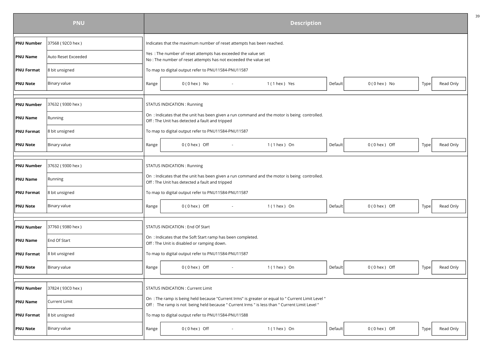|                   | <b>PNU</b>          |       |                                                                                                                                                 |        | <b>Description</b>                                                                                |         |                   |      |           |
|-------------------|---------------------|-------|-------------------------------------------------------------------------------------------------------------------------------------------------|--------|---------------------------------------------------------------------------------------------------|---------|-------------------|------|-----------|
| <b>PNU Number</b> | 37568 (92C0 hex)    |       | Indicates that the maximum number of reset attempts has been reached.                                                                           |        |                                                                                                   |         |                   |      |           |
| <b>PNU Name</b>   | Auto Reset Exceeded |       | Yes: The number of reset attempts has exceeded the value set<br>No : The number of reset attempts has not exceeded the value set                |        |                                                                                                   |         |                   |      |           |
| <b>PNU Format</b> | 8 bit unsigned      |       | To map to digital output refer to PNU11584-PNU11587                                                                                             |        |                                                                                                   |         |                   |      |           |
| <b>PNU Note</b>   | <b>Binary value</b> | Range | $0(0$ hex $)$ No                                                                                                                                |        | 1 (1 hex ) Yes                                                                                    | Default | $0(0$ hex $)$ No  | Type | Read Only |
|                   |                     |       |                                                                                                                                                 |        |                                                                                                   |         |                   |      |           |
| <b>PNU Number</b> | 37632 (9300 hex)    |       | <b>STATUS INDICATION: Running</b>                                                                                                               |        |                                                                                                   |         |                   |      |           |
| <b>PNU Name</b>   | Running             |       | On : Indicates that the unit has been given a run command and the motor is being controlled.<br>Off : The Unit has detected a fault and tripped |        |                                                                                                   |         |                   |      |           |
| <b>PNU Format</b> | 8 bit unsigned      |       | To map to digital output refer to PNU11584-PNU11587                                                                                             |        |                                                                                                   |         |                   |      |           |
| <b>PNU Note</b>   | Binary value        | Range | $0(0$ hex ) Off                                                                                                                                 |        | $1(1$ hex $)$ On                                                                                  | Default | $0(0$ hex $)$ Off | Type | Read Only |
|                   |                     |       |                                                                                                                                                 |        |                                                                                                   |         |                   |      |           |
| <b>PNU Number</b> | 37632 (9300 hex)    |       | STATUS INDICATION: Running                                                                                                                      |        |                                                                                                   |         |                   |      |           |
| <b>PNU Name</b>   | Running             |       | On : Indicates that the unit has been given a run command and the motor is being controlled.<br>Off : The Unit has detected a fault and tripped |        |                                                                                                   |         |                   |      |           |
| <b>PNU Format</b> | 8 bit unsigned      |       | To map to digital output refer to PNU11584-PNU11587                                                                                             |        |                                                                                                   |         |                   |      |           |
| <b>PNU Note</b>   | Binary value        | Range | $0(0$ hex ) Off                                                                                                                                 | $\sim$ | $1(1$ hex ) On                                                                                    | Default | $0(0$ hex ) Off   | Type | Read Only |
|                   |                     |       |                                                                                                                                                 |        |                                                                                                   |         |                   |      |           |
| <b>PNU Number</b> | 37760 (9380 hex)    |       | STATUS INDICATION: End Of Start                                                                                                                 |        |                                                                                                   |         |                   |      |           |
| <b>PNU Name</b>   | End Of Start        |       | On : Indicates that the Soft Start ramp has been completed.<br>Off : The Unit is disabled or ramping down.                                      |        |                                                                                                   |         |                   |      |           |
| <b>PNU Format</b> | 8 bit unsigned      |       | To map to digital output refer to PNU11584-PNU11587                                                                                             |        |                                                                                                   |         |                   |      |           |
| <b>PNU Note</b>   | <b>Binary value</b> | Range | $0(0$ hex $)$ Off                                                                                                                               | $\sim$ | $1(1$ hex $)$ On                                                                                  | Default | $0(0$ hex ) Off   | Type | Read Only |
|                   |                     |       |                                                                                                                                                 |        |                                                                                                   |         |                   |      |           |
| <b>PNU Number</b> | 37824 (93C0 hex)    |       | STATUS INDICATION : Current Limit                                                                                                               |        |                                                                                                   |         |                   |      |           |
| <b>PNU Name</b>   | Current Limit       |       | Off: The ramp is not being held because " Current Irms " is less than " Current Limit Level "                                                   |        | On : The ramp is being held because "Current Irms" is greater or equal to " Current Limit Level " |         |                   |      |           |
| <b>PNU Format</b> | 8 bit unsigned      |       | To map to digital output refer to PNU11584-PNU11588                                                                                             |        |                                                                                                   |         |                   |      |           |
| <b>PNU Note</b>   | Binary value        | Range | $0(0$ hex $)$ Off                                                                                                                               |        | $1(1$ hex ) On                                                                                    | Default | $0(0$ hex ) Off   | Type | Read Only |
|                   |                     |       |                                                                                                                                                 |        |                                                                                                   |         |                   |      |           |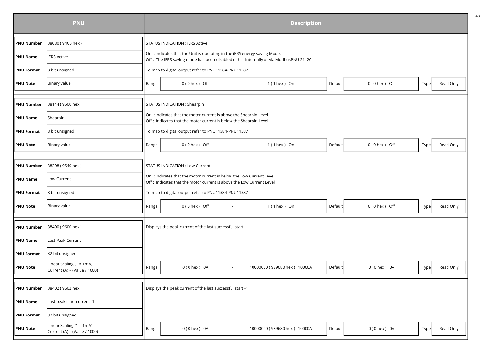|                   | <b>PNU</b>                                                 | <b>Description</b> |                                                                                                                                             |                          |                                                                                      |         |                   |      |           |  |  |  |
|-------------------|------------------------------------------------------------|--------------------|---------------------------------------------------------------------------------------------------------------------------------------------|--------------------------|--------------------------------------------------------------------------------------|---------|-------------------|------|-----------|--|--|--|
| <b>PNU Number</b> | 38080 (94C0 hex)                                           |                    | STATUS INDICATION: IERS Active                                                                                                              |                          |                                                                                      |         |                   |      |           |  |  |  |
| <b>PNU Name</b>   | <b>ERS Active</b>                                          |                    | On: Indicates that the Unit is operating in the iERS energy saving Mode.                                                                    |                          | Off: The iERS saving mode has been disabled either internally or via ModbusPNU 21120 |         |                   |      |           |  |  |  |
| <b>PNU Format</b> | 8 bit unsigned                                             |                    | To map to digital output refer to PNU11584-PNU11587                                                                                         |                          |                                                                                      |         |                   |      |           |  |  |  |
| <b>PNU Note</b>   | Binary value                                               | Range              | $0(0$ hex ) Off                                                                                                                             |                          | $1(1$ hex $)$ On                                                                     | Default | $0(0$ hex $)$ Off | Type | Read Only |  |  |  |
|                   |                                                            |                    |                                                                                                                                             |                          |                                                                                      |         |                   |      |           |  |  |  |
| <b>PNU Number</b> | 38144 (9500 hex)                                           |                    | STATUS INDICATION : Shearpin                                                                                                                |                          |                                                                                      |         |                   |      |           |  |  |  |
| <b>PNU Name</b>   | Shearpin                                                   |                    | On : Indicates that the motor current is above the Shearpin Level<br>Off : Indicates that the motor current is below the Shearpin Level     |                          |                                                                                      |         |                   |      |           |  |  |  |
| <b>PNU Format</b> | 8 bit unsigned                                             |                    | To map to digital output refer to PNU11584-PNU11587                                                                                         |                          |                                                                                      |         |                   |      |           |  |  |  |
| <b>PNU Note</b>   | Binary value                                               | Range              | $0(0$ hex ) Off                                                                                                                             |                          | $1(1$ hex ) On                                                                       | Default | $0(0$ hex ) Off   | Type | Read Only |  |  |  |
|                   |                                                            |                    |                                                                                                                                             |                          |                                                                                      |         |                   |      |           |  |  |  |
| <b>PNU Number</b> | 38208 (9540 hex)                                           |                    | <b>STATUS INDICATION: Low Current</b>                                                                                                       |                          |                                                                                      |         |                   |      |           |  |  |  |
| <b>PNU Name</b>   | Low Current                                                |                    | On: Indicates that the motor current is below the Low Current Level<br>Off: Indicates that the motor current is above the Low Current Level |                          |                                                                                      |         |                   |      |           |  |  |  |
| <b>PNU Format</b> | 8 bit unsigned                                             |                    | To map to digital output refer to PNU11584-PNU11587                                                                                         |                          |                                                                                      |         |                   |      |           |  |  |  |
| <b>PNU Note</b>   | Binary value                                               | Range              | $0(0$ hex $)$ Off                                                                                                                           |                          | $1(1$ hex $)$ On                                                                     | Default | $0(0$ hex $)$ Off | Type | Read Only |  |  |  |
|                   |                                                            |                    |                                                                                                                                             |                          |                                                                                      |         |                   |      |           |  |  |  |
| <b>PNU Number</b> | 38400 (9600 hex)                                           |                    | Displays the peak current of the last successful start.                                                                                     |                          |                                                                                      |         |                   |      |           |  |  |  |
| <b>PNU Name</b>   | Last Peak Current                                          |                    |                                                                                                                                             |                          |                                                                                      |         |                   |      |           |  |  |  |
| <b>PNU Format</b> | 32 bit unsigned                                            |                    |                                                                                                                                             |                          |                                                                                      |         |                   |      |           |  |  |  |
| <b>PNU Note</b>   | Linear Scaling $(1 = 1mA)$<br>Current (A) = (Value / 1000) | Range              | $0(0$ hex $)$ 0A                                                                                                                            | $\overline{\phantom{a}}$ | 10000000 (989680 hex) 10000A                                                         | Default | $0(0$ hex $)$ 0A  | Type | Read Only |  |  |  |
|                   |                                                            |                    |                                                                                                                                             |                          |                                                                                      |         |                   |      |           |  |  |  |
| <b>PNU Number</b> | 38402 (9602 hex)                                           |                    | Displays the peak current of the last successful start -1                                                                                   |                          |                                                                                      |         |                   |      |           |  |  |  |
| <b>PNU Name</b>   | Last peak start current -1                                 |                    |                                                                                                                                             |                          |                                                                                      |         |                   |      |           |  |  |  |
| <b>PNU Format</b> | 32 bit unsigned                                            |                    |                                                                                                                                             |                          |                                                                                      |         |                   |      |           |  |  |  |
| <b>PNU Note</b>   | Linear Scaling $(1 = 1mA)$<br>Current (A) = (Value / 1000) | Range              | $0(0$ hex $)$ 0A                                                                                                                            |                          | 10000000 (989680 hex) 10000A                                                         | Default | $0(0$ hex $)$ 0A  | Type | Read Only |  |  |  |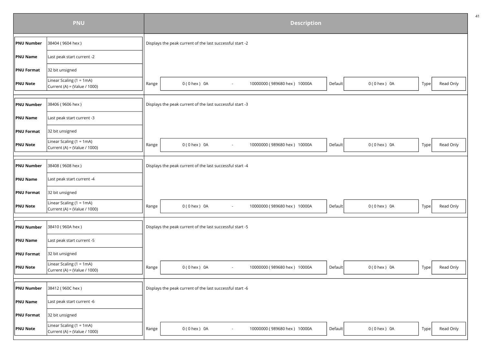|                   | <b>PNU</b>                                                  | <b>Description</b> |                                                           |                              |         |                  |      |           |  |  |  |
|-------------------|-------------------------------------------------------------|--------------------|-----------------------------------------------------------|------------------------------|---------|------------------|------|-----------|--|--|--|
| <b>PNU Number</b> | 38404 (9604 hex)                                            |                    | Displays the peak current of the last successful start -2 |                              |         |                  |      |           |  |  |  |
| <b>PNU Name</b>   | Last peak start current -2                                  |                    |                                                           |                              |         |                  |      |           |  |  |  |
| <b>PNU Format</b> | 32 bit unsigned                                             |                    |                                                           |                              |         |                  |      |           |  |  |  |
| <b>PNU Note</b>   | Linear Scaling (1 = $1mA$ )<br>Current (A) = (Value / 1000) | Range              | $0(0$ hex $)$ 0A<br>$\sim$                                | 10000000 (989680 hex) 10000A | Default | $0(0$ hex $)$ 0A | Type | Read Only |  |  |  |
|                   |                                                             |                    |                                                           |                              |         |                  |      |           |  |  |  |
| <b>PNU Number</b> | 38406 (9606 hex)                                            |                    | Displays the peak current of the last successful start -3 |                              |         |                  |      |           |  |  |  |
| <b>PNU Name</b>   | Last peak start current -3                                  |                    |                                                           |                              |         |                  |      |           |  |  |  |
| <b>PNU Format</b> | 32 bit unsigned                                             |                    |                                                           |                              |         |                  |      |           |  |  |  |
| <b>PNU Note</b>   | Linear Scaling (1 = 1mA)<br>Current (A) = (Value / 1000)    | Range              | $0(0$ hex $)$ 0A<br>$\sim$                                | 10000000 (989680 hex) 10000A | Default | $0(0$ hex $)$ 0A | Type | Read Only |  |  |  |
|                   |                                                             |                    |                                                           |                              |         |                  |      |           |  |  |  |
| <b>PNU Number</b> | 38408 (9608 hex)                                            |                    | Displays the peak current of the last successful start -4 |                              |         |                  |      |           |  |  |  |
| <b>PNU Name</b>   | Last peak start current -4                                  |                    |                                                           |                              |         |                  |      |           |  |  |  |
| <b>PNU Format</b> | 32 bit unsigned                                             |                    |                                                           |                              |         |                  |      |           |  |  |  |
| PNU Note          | Linear Scaling (1 = $1mA$ )<br>Current (A) = (Value / 1000) | Range              | $0(0$ hex $)$ 0A<br>$\sim$                                | 10000000 (989680 hex) 10000A | Default | $0(0$ hex $)$ 0A | Type | Read Only |  |  |  |
|                   |                                                             |                    |                                                           |                              |         |                  |      |           |  |  |  |
| <b>PNU Number</b> | 38410 (960A hex)                                            |                    | Displays the peak current of the last successful start -5 |                              |         |                  |      |           |  |  |  |
| PNU Name          | Last peak start current -5                                  |                    |                                                           |                              |         |                  |      |           |  |  |  |
| PNU Format        | 32 bit unsigned                                             |                    |                                                           |                              |         |                  |      |           |  |  |  |
| <b>PNU Note</b>   | Linear Scaling (1 = $1mA$ )<br>Current (A) = (Value / 1000) | Range              | $0(0$ hex $)$ 0A<br>$\sim$                                | 10000000 (989680 hex) 10000A | Default | $0(0$ hex $)$ 0A | Type | Read Only |  |  |  |
|                   |                                                             |                    |                                                           |                              |         |                  |      |           |  |  |  |
| <b>PNU Number</b> | 38412 (960C hex)                                            |                    | Displays the peak current of the last successful start -6 |                              |         |                  |      |           |  |  |  |
| <b>PNU Name</b>   | Last peak start current -6                                  |                    |                                                           |                              |         |                  |      |           |  |  |  |
| <b>PNU Format</b> | 32 bit unsigned                                             |                    |                                                           |                              |         |                  |      |           |  |  |  |
| <b>PNU Note</b>   | Linear Scaling $(1 = 1mA)$<br>Current (A) = (Value / 1000)  | Range              | $0(0$ hex $)$ 0A                                          | 10000000 (989680 hex) 10000A | Default | $0(0$ hex $)$ 0A | Type | Read Only |  |  |  |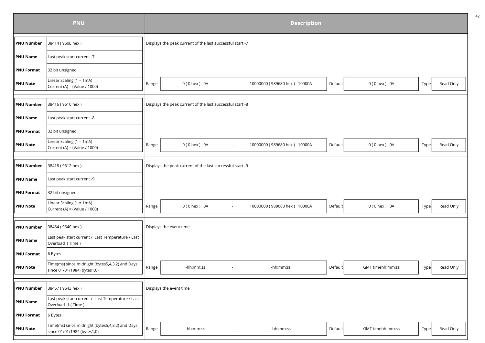|                   | <b>PNU</b>                                                                     | <b>Description</b> |                                                           |                          |                              |         |                  |      |           |  |  |  |
|-------------------|--------------------------------------------------------------------------------|--------------------|-----------------------------------------------------------|--------------------------|------------------------------|---------|------------------|------|-----------|--|--|--|
| <b>PNU Number</b> | 38414 (960E hex)                                                               |                    | Displays the peak current of the last successful start -7 |                          |                              |         |                  |      |           |  |  |  |
| <b>PNU Name</b>   | Last peak start current -7                                                     |                    |                                                           |                          |                              |         |                  |      |           |  |  |  |
| <b>PNU Format</b> | 32 bit unsigned                                                                |                    |                                                           |                          |                              |         |                  |      |           |  |  |  |
| <b>PNU Note</b>   | Linear Scaling $(1 = 1mA)$<br>Current (A) = (Value / 1000)                     | Range              | $0(0$ hex $)$ 0A                                          | $\sim$                   | 10000000 (989680 hex) 10000A | Default | $0(0$ hex $)$ 0A | Type | Read Only |  |  |  |
|                   |                                                                                |                    |                                                           |                          |                              |         |                  |      |           |  |  |  |
| <b>PNU Number</b> | 38416 (9610 hex)                                                               |                    | Displays the peak current of the last successful start -8 |                          |                              |         |                  |      |           |  |  |  |
| <b>PNU Name</b>   | Last peak start current -8                                                     |                    |                                                           |                          |                              |         |                  |      |           |  |  |  |
| <b>PNU Format</b> | 32 bit unsigned                                                                |                    |                                                           |                          |                              |         |                  |      |           |  |  |  |
| <b>PNU Note</b>   | Linear Scaling (1 = $1mA$ )<br>Current (A) = (Value / 1000)                    | Range              | $0(0$ hex $)$ 0A                                          | $\sim$                   | 10000000 (989680 hex) 10000A | Default | $0(0$ hex $)$ 0A | Type | Read Only |  |  |  |
|                   |                                                                                |                    |                                                           |                          |                              |         |                  |      |           |  |  |  |
| <b>PNU Number</b> | 38418 (9612 hex)                                                               |                    | Displays the peak current of the last successful start -9 |                          |                              |         |                  |      |           |  |  |  |
| <b>PNU Name</b>   | Last peak start current -9                                                     |                    |                                                           |                          |                              |         |                  |      |           |  |  |  |
| <b>PNU Format</b> | 32 bit unsigned                                                                |                    |                                                           |                          |                              |         |                  |      |           |  |  |  |
| <b>PNU Note</b>   | Linear Scaling (1 = 1mA)<br>Current (A) = (Value / 1000)                       | Range              | 0 (0 hex ) 0A                                             | $\sim$                   | 10000000 (989680 hex) 10000A | Default | $0(0$ hex $)$ 0A | Type | Read Only |  |  |  |
|                   |                                                                                |                    |                                                           |                          |                              |         |                  |      |           |  |  |  |
| <b>PNU Number</b> | 38464 (9640 hex)                                                               |                    | Displays the event time                                   |                          |                              |         |                  |      |           |  |  |  |
| <b>PNU Name</b>   | Last peak start current / Last Temperature / Last<br>Overload (Time)           |                    |                                                           |                          |                              |         |                  |      |           |  |  |  |
| <b>PNU Format</b> | 6 Bytes                                                                        |                    |                                                           |                          |                              |         |                  |      |           |  |  |  |
| <b>PNU Note</b>   | Time(ms) since midnight (bytes5,4,3,2) and Days<br>since 01/01/1984 (bytes1,0) | Range              | -hh:mm:ss                                                 | $\overline{\phantom{a}}$ | -hh:mm:ss                    | Default | GMT timehh:mm:ss | Type | Read Only |  |  |  |
|                   |                                                                                |                    |                                                           |                          |                              |         |                  |      |           |  |  |  |
| <b>PNU Number</b> | 38467 (9643 hex)                                                               |                    | Displays the event time                                   |                          |                              |         |                  |      |           |  |  |  |
| <b>PNU Name</b>   | Last peak start current / Last Temperature / Last<br>Overload -1 (Time)        |                    |                                                           |                          |                              |         |                  |      |           |  |  |  |
| <b>PNU Format</b> | 6 Bytes                                                                        |                    |                                                           |                          |                              |         |                  |      |           |  |  |  |
| <b>PNU Note</b>   | Time(ms) since midnight (bytes5,4,3,2) and Days<br>since 01/01/1984 (bytes1,0) | Range              | -hh:mm:ss                                                 |                          | -hh:mm:ss                    | Default | GMT timehh:mm:ss | Type | Read Only |  |  |  |
|                   |                                                                                |                    |                                                           |                          |                              |         |                  |      |           |  |  |  |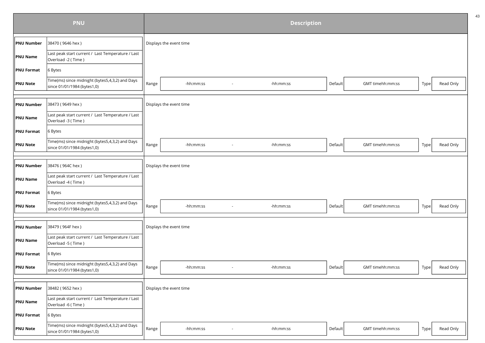|                   | <b>PNU</b>                                                                     | <b>Description</b> |                         |        |           |         |                  |      |           |  |  |
|-------------------|--------------------------------------------------------------------------------|--------------------|-------------------------|--------|-----------|---------|------------------|------|-----------|--|--|
| <b>PNU Number</b> | 38470 (9646 hex)                                                               |                    | Displays the event time |        |           |         |                  |      |           |  |  |
| <b>PNU Name</b>   | Last peak start current / Last Temperature / Last<br>Overload -2 (Time)        |                    |                         |        |           |         |                  |      |           |  |  |
| <b>PNU Format</b> | 6 Bytes                                                                        |                    |                         |        |           |         |                  |      |           |  |  |
| <b>PNU Note</b>   | Time(ms) since midnight (bytes5,4,3,2) and Days<br>since 01/01/1984 (bytes1,0) | Range              | -hh:mm:ss               |        | -hh:mm:ss | Default | GMT timehh:mm:ss | Type | Read Only |  |  |
|                   |                                                                                |                    |                         |        |           |         |                  |      |           |  |  |
| <b>PNU Number</b> | 38473 (9649 hex)                                                               |                    | Displays the event time |        |           |         |                  |      |           |  |  |
| <b>PNU Name</b>   | Last peak start current / Last Temperature / Last<br>Overload -3 (Time)        |                    |                         |        |           |         |                  |      |           |  |  |
| <b>PNU Format</b> | 6 Bytes                                                                        |                    |                         |        |           |         |                  |      |           |  |  |
| <b>PNU Note</b>   | Time(ms) since midnight (bytes5,4,3,2) and Days<br>since 01/01/1984 (bytes1,0) | Range              | -hh:mm:ss               |        | -hh:mm:ss | Default | GMT timehh:mm:ss | Type | Read Only |  |  |
|                   |                                                                                |                    |                         |        |           |         |                  |      |           |  |  |
| <b>PNU Number</b> | 38476 (964C hex)                                                               |                    | Displays the event time |        |           |         |                  |      |           |  |  |
| <b>PNU Name</b>   | Last peak start current / Last Temperature / Last<br>Overload -4 (Time)        |                    |                         |        |           |         |                  |      |           |  |  |
| <b>PNU Format</b> | 6 Bytes                                                                        |                    |                         |        |           |         |                  |      |           |  |  |
| <b>PNU Note</b>   | Time(ms) since midnight (bytes5,4,3,2) and Days<br>since 01/01/1984 (bytes1,0) | Range              | -hh:mm:ss               |        | -hh:mm:ss | Default | GMT timehh:mm:ss | Type | Read Only |  |  |
|                   |                                                                                |                    |                         |        |           |         |                  |      |           |  |  |
| <b>PNU Number</b> | 38479 (964F hex)                                                               |                    | Displays the event time |        |           |         |                  |      |           |  |  |
| <b>PNU Name</b>   | Last peak start current / Last Temperature / Last<br>Overload -5 (Time)        |                    |                         |        |           |         |                  |      |           |  |  |
| <b>PNU Format</b> | 6 Bytes                                                                        |                    |                         |        |           |         |                  |      |           |  |  |
| <b>PNU Note</b>   | Time(ms) since midnight (bytes5,4,3,2) and Days<br>since 01/01/1984 (bytes1,0) | Range              | -hh:mm:ss               | $\sim$ | -hh:mm:ss | Default | GMT timehh:mm:ss | Type | Read Only |  |  |
|                   |                                                                                |                    |                         |        |           |         |                  |      |           |  |  |
| <b>PNU Number</b> | 38482 (9652 hex)                                                               |                    | Displays the event time |        |           |         |                  |      |           |  |  |
| <b>PNU Name</b>   | Last peak start current / Last Temperature / Last<br>Overload -6 (Time)        |                    |                         |        |           |         |                  |      |           |  |  |
| <b>PNU Format</b> | 6 Bytes                                                                        |                    |                         |        |           |         |                  |      |           |  |  |
| <b>PNU Note</b>   | Time(ms) since midnight (bytes5,4,3,2) and Days<br>since 01/01/1984 (bytes1,0) | Range              | -hh:mm:ss               |        | -hh:mm:ss | Default | GMT timehh:mm:ss | Type | Read Only |  |  |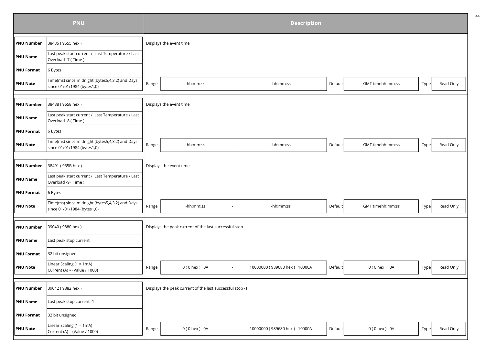|                   | <b>PNU</b>                                                                     | <b>Description</b> |                                                          |        |                              |         |                  |      |           |  |  |
|-------------------|--------------------------------------------------------------------------------|--------------------|----------------------------------------------------------|--------|------------------------------|---------|------------------|------|-----------|--|--|
| <b>PNU Number</b> | 38485 (9655 hex)                                                               |                    | Displays the event time                                  |        |                              |         |                  |      |           |  |  |
| <b>PNU Name</b>   | Last peak start current / Last Temperature / Last<br>Overload -7 (Time)        |                    |                                                          |        |                              |         |                  |      |           |  |  |
| <b>PNU Format</b> | 6 Bytes                                                                        |                    |                                                          |        |                              |         |                  |      |           |  |  |
| <b>PNU Note</b>   | Time(ms) since midnight (bytes5,4,3,2) and Days<br>since 01/01/1984 (bytes1,0) | Range              | -hh:mm:ss                                                |        | -hh:mm:ss                    | Default | GMT timehh:mm:ss | Type | Read Only |  |  |
|                   |                                                                                |                    |                                                          |        |                              |         |                  |      |           |  |  |
| <b>PNU Number</b> | 38488 (9658 hex)                                                               |                    | Displays the event time                                  |        |                              |         |                  |      |           |  |  |
| <b>PNU Name</b>   | Last peak start current / Last Temperature / Last<br>Overload -8 (Time)        |                    |                                                          |        |                              |         |                  |      |           |  |  |
| <b>PNU Format</b> | 6 Bytes                                                                        |                    |                                                          |        |                              |         |                  |      |           |  |  |
| <b>PNU Note</b>   | Time(ms) since midnight (bytes5,4,3,2) and Days<br>since 01/01/1984 (bytes1,0) | Range              | -hh:mm:ss                                                |        | -hh:mm:ss                    | Default | GMT timehh:mm:ss | Type | Read Only |  |  |
|                   |                                                                                |                    |                                                          |        |                              |         |                  |      |           |  |  |
| <b>PNU Number</b> | 38491 (965B hex)                                                               |                    | Displays the event time                                  |        |                              |         |                  |      |           |  |  |
| <b>PNU Name</b>   | Last peak start current / Last Temperature / Last<br>Overload -9 (Time)        |                    |                                                          |        |                              |         |                  |      |           |  |  |
| <b>PNU Format</b> | 6 Bytes                                                                        |                    |                                                          |        |                              |         |                  |      |           |  |  |
| <b>PNU Note</b>   | Time(ms) since midnight (bytes5,4,3,2) and Days<br>since 01/01/1984 (bytes1,0) | Range              | -hh:mm:ss                                                |        | -hh:mm:ss                    | Default | GMT timehh:mm:ss | Type | Read Only |  |  |
|                   |                                                                                |                    |                                                          |        |                              |         |                  |      |           |  |  |
| <b>PNU Number</b> | 39040 (9880 hex)                                                               |                    | Displays the peak current of the last successful stop    |        |                              |         |                  |      |           |  |  |
| <b>PNU Name</b>   | Last peak stop current                                                         |                    |                                                          |        |                              |         |                  |      |           |  |  |
| <b>PNU Format</b> | 32 bit unsigned                                                                |                    |                                                          |        |                              |         |                  |      |           |  |  |
| <b>PNU Note</b>   | Linear Scaling (1 = 1mA)<br>Current (A) = (Value / 1000)                       | Range              | $0(0$ hex $)$ 0A                                         | $\sim$ | 10000000 (989680 hex) 10000A | Default | $0(0$ hex $)$ 0A | Type | Read Only |  |  |
|                   |                                                                                |                    |                                                          |        |                              |         |                  |      |           |  |  |
| <b>PNU Number</b> | 39042 (9882 hex)                                                               |                    | Displays the peak current of the last successful stop -1 |        |                              |         |                  |      |           |  |  |
| <b>PNU Name</b>   | Last peak stop current -1                                                      |                    |                                                          |        |                              |         |                  |      |           |  |  |
| <b>PNU Format</b> | 32 bit unsigned                                                                |                    |                                                          |        |                              |         |                  |      |           |  |  |
| <b>PNU Note</b>   | Linear Scaling (1 = 1mA)<br>Current (A) = (Value / 1000)                       | Range              | $0(0$ hex $)$ 0A                                         |        | 10000000 (989680 hex) 10000A | Default | $0(0$ hex $)$ 0A | Type | Read Only |  |  |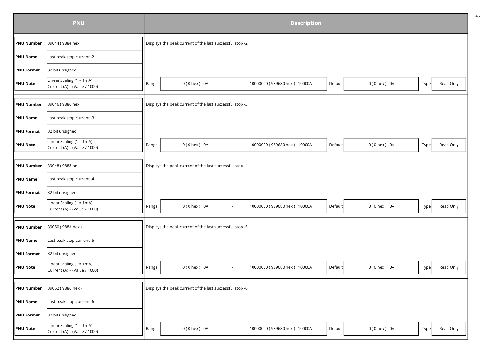|                   | <b>PNU</b>                                                  | <b>Description</b> |                                                                    |         |                  |      |           |  |  |  |  |  |
|-------------------|-------------------------------------------------------------|--------------------|--------------------------------------------------------------------|---------|------------------|------|-----------|--|--|--|--|--|
| <b>PNU Number</b> | 39044 (9884 hex)                                            |                    | Displays the peak current of the last successful stop -2           |         |                  |      |           |  |  |  |  |  |
| PNU Name          | Last peak stop current -2                                   |                    |                                                                    |         |                  |      |           |  |  |  |  |  |
| <b>PNU Format</b> | 32 bit unsigned                                             |                    |                                                                    |         |                  |      |           |  |  |  |  |  |
| <b>PNU Note</b>   | Linear Scaling (1 = 1mA)<br>Current (A) = (Value / 1000)    | Range              | $0(0$ hex $)$ 0A<br>10000000 (989680 hex) 10000A<br>$\blacksquare$ | Default | $0(0$ hex $)$ 0A | Type | Read Only |  |  |  |  |  |
|                   |                                                             |                    |                                                                    |         |                  |      |           |  |  |  |  |  |
| <b>PNU Number</b> | 39046 (9886 hex)                                            |                    | Displays the peak current of the last successful stop -3           |         |                  |      |           |  |  |  |  |  |
| <b>PNU Name</b>   | Last peak stop current -3                                   |                    |                                                                    |         |                  |      |           |  |  |  |  |  |
| <b>PNU Format</b> | 32 bit unsigned                                             |                    |                                                                    |         |                  |      |           |  |  |  |  |  |
| <b>PNU Note</b>   | Linear Scaling $(1 = 1mA)$<br>Current (A) = (Value / 1000)  | Range              | $0(0$ hex $)$ 0A<br>10000000 (989680 hex) 10000A<br>$\sim$         | Default | $0(0$ hex $)$ 0A | Type | Read Only |  |  |  |  |  |
|                   |                                                             |                    |                                                                    |         |                  |      |           |  |  |  |  |  |
| <b>PNU Number</b> | 39048 (9888 hex)                                            |                    | Displays the peak current of the last successful stop -4           |         |                  |      |           |  |  |  |  |  |
| <b>PNU Name</b>   | Last peak stop current -4                                   |                    |                                                                    |         |                  |      |           |  |  |  |  |  |
| <b>PNU Format</b> | 32 bit unsigned                                             |                    |                                                                    |         |                  |      |           |  |  |  |  |  |
| <b>PNU Note</b>   | Linear Scaling (1 = 1mA)<br>Current (A) = (Value / 1000)    | Range              | $0(0$ hex $)$ 0A<br>10000000 (989680 hex) 10000A<br>$\sim$         | Default | $0(0$ hex $)$ 0A | Type | Read Only |  |  |  |  |  |
|                   |                                                             |                    |                                                                    |         |                  |      |           |  |  |  |  |  |
| <b>PNU Number</b> | 39050 (988A hex)                                            |                    | Displays the peak current of the last successful stop -5           |         |                  |      |           |  |  |  |  |  |
| PNU Name          | Last peak stop current -5                                   |                    |                                                                    |         |                  |      |           |  |  |  |  |  |
| <b>PNU Format</b> | 32 bit unsigned                                             |                    |                                                                    |         |                  |      |           |  |  |  |  |  |
| <b>PNU Note</b>   | Linear Scaling (1 = $1mA$ )<br>Current (A) = (Value / 1000) | Range              | $0(0$ hex $)$ 0A<br>10000000 (989680 hex) 10000A<br>$\blacksquare$ | Default | $0(0$ hex $)$ 0A | Type | Read Only |  |  |  |  |  |
|                   |                                                             |                    |                                                                    |         |                  |      |           |  |  |  |  |  |
| <b>PNU Number</b> | 39052 (988C hex)                                            |                    | Displays the peak current of the last successful stop -6           |         |                  |      |           |  |  |  |  |  |
| <b>PNU Name</b>   | Last peak stop current -6                                   |                    |                                                                    |         |                  |      |           |  |  |  |  |  |
| <b>PNU Format</b> | 32 bit unsigned                                             |                    |                                                                    |         |                  |      |           |  |  |  |  |  |
| <b>PNU Note</b>   | Linear Scaling (1 = 1mA)<br>Current (A) = (Value / 1000)    | Range              | $0(0$ hex $)$ 0A<br>10000000 (989680 hex) 10000A                   | Default | $0(0$ hex $)$ 0A | Type | Read Only |  |  |  |  |  |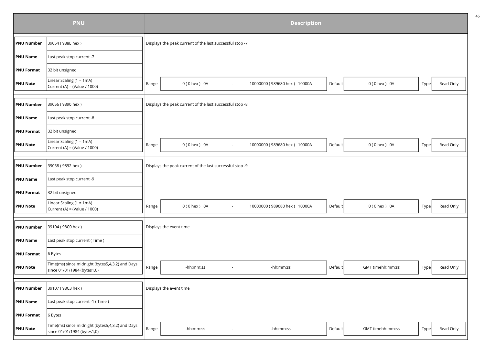|                   | <b>PNU</b>                                                                     | <b>Description</b> |                                                          |                          |                              |         |                  |      |           |  |  |
|-------------------|--------------------------------------------------------------------------------|--------------------|----------------------------------------------------------|--------------------------|------------------------------|---------|------------------|------|-----------|--|--|
| PNU Number        | 39054 (988E hex)                                                               |                    | Displays the peak current of the last successful stop -7 |                          |                              |         |                  |      |           |  |  |
| PNU Name          | Last peak stop current -7                                                      |                    |                                                          |                          |                              |         |                  |      |           |  |  |
| <b>PNU Format</b> | 32 bit unsigned                                                                |                    |                                                          |                          |                              |         |                  |      |           |  |  |
| <b>PNU Note</b>   | Linear Scaling (1 = 1mA)<br>Current (A) = (Value / 1000)                       | Range              | $0(0$ hex $)$ 0A                                         | $\overline{\phantom{a}}$ | 10000000 (989680 hex) 10000A | Default | $0(0$ hex $)$ 0A | Type | Read Only |  |  |
|                   |                                                                                |                    |                                                          |                          |                              |         |                  |      |           |  |  |
| PNU Number        | 39056 (9890 hex)                                                               |                    | Displays the peak current of the last successful stop -8 |                          |                              |         |                  |      |           |  |  |
| PNU Name          | Last peak stop current -8                                                      |                    |                                                          |                          |                              |         |                  |      |           |  |  |
| <b>PNU Format</b> | 32 bit unsigned                                                                |                    |                                                          |                          |                              |         |                  |      |           |  |  |
| <b>PNU Note</b>   | Linear Scaling (1 = 1mA)<br>Current (A) = (Value / 1000)                       | Range              | $0(0$ hex $)$ 0A                                         | $\sim$                   | 10000000 (989680 hex) 10000A | Default | $0(0$ hex $)$ 0A | Type | Read Only |  |  |
|                   |                                                                                |                    |                                                          |                          |                              |         |                  |      |           |  |  |
| <b>PNU Number</b> | 39058 (9892 hex)                                                               |                    | Displays the peak current of the last successful stop -9 |                          |                              |         |                  |      |           |  |  |
| <b>PNU Name</b>   | Last peak stop current -9                                                      |                    |                                                          |                          |                              |         |                  |      |           |  |  |
| <b>PNU Format</b> | 32 bit unsigned                                                                |                    |                                                          |                          |                              |         |                  |      |           |  |  |
| <b>PNU Note</b>   | Linear Scaling $(1 = 1mA)$<br>Current (A) = (Value / 1000)                     | Range              | $0(0$ hex $)$ 0A                                         | $\overline{\phantom{a}}$ | 10000000 (989680 hex) 10000A | Default | $0(0$ hex $)$ 0A | Type | Read Only |  |  |
|                   |                                                                                |                    |                                                          |                          |                              |         |                  |      |           |  |  |
| <b>PNU Number</b> | 39104 (98C0 hex)                                                               |                    | Displays the event time                                  |                          |                              |         |                  |      |           |  |  |
| <b>PNU Name</b>   | Last peak stop current (Time)                                                  |                    |                                                          |                          |                              |         |                  |      |           |  |  |
| <b>PNU Format</b> | 6 Bytes                                                                        |                    |                                                          |                          |                              |         |                  |      |           |  |  |
| <b>PNU Note</b>   | Time(ms) since midnight (bytes5,4,3,2) and Days<br>since 01/01/1984 (bytes1,0) | Range              | -hh:mm:ss                                                | $\overline{\phantom{a}}$ | -hh:mm:ss                    | Default | GMT timehh:mm:ss | Type | Read Only |  |  |
|                   |                                                                                |                    |                                                          |                          |                              |         |                  |      |           |  |  |
| <b>PNU Number</b> | 39107 (98C3 hex)                                                               |                    | Displays the event time                                  |                          |                              |         |                  |      |           |  |  |
| <b>PNU Name</b>   | Last peak stop current -1 (Time)                                               |                    |                                                          |                          |                              |         |                  |      |           |  |  |
| <b>PNU Format</b> | 6 Bytes                                                                        |                    |                                                          |                          |                              |         |                  |      |           |  |  |
| <b>PNU Note</b>   | Time(ms) since midnight (bytes5,4,3,2) and Days<br>since 01/01/1984 (bytes1,0) | Range              | -hh:mm:ss                                                |                          | -hh:mm:ss                    | Default | GMT timehh:mm:ss | Type | Read Only |  |  |
|                   |                                                                                |                    |                                                          |                          |                              |         |                  |      |           |  |  |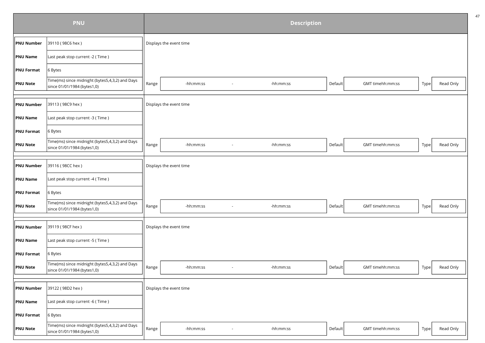|                   | <b>PNU</b>                                                                     | <b>Description</b> |                         |        |           |         |                  |      |           |  |  |
|-------------------|--------------------------------------------------------------------------------|--------------------|-------------------------|--------|-----------|---------|------------------|------|-----------|--|--|
| <b>PNU Number</b> | 39110 (98C6 hex)                                                               |                    | Displays the event time |        |           |         |                  |      |           |  |  |
| <b>PNU Name</b>   | Last peak stop current -2 (Time)                                               |                    |                         |        |           |         |                  |      |           |  |  |
| <b>PNU Format</b> | 6 Bytes                                                                        |                    |                         |        |           |         |                  |      |           |  |  |
| <b>PNU Note</b>   | Time(ms) since midnight (bytes5,4,3,2) and Days<br>since 01/01/1984 (bytes1,0) | Range              | -hh:mm:ss               |        | -hh:mm:ss | Default | GMT timehh:mm:ss | Type | Read Only |  |  |
|                   |                                                                                |                    |                         |        |           |         |                  |      |           |  |  |
| <b>PNU Number</b> | 39113 (98C9 hex)                                                               |                    | Displays the event time |        |           |         |                  |      |           |  |  |
| <b>PNU Name</b>   | Last peak stop current -3 (Time)                                               |                    |                         |        |           |         |                  |      |           |  |  |
| <b>PNU Format</b> | 6 Bytes                                                                        |                    |                         |        |           |         |                  |      |           |  |  |
| <b>PNU Note</b>   | Time(ms) since midnight (bytes5,4,3,2) and Days<br>since 01/01/1984 (bytes1,0) | Range              | -hh:mm:ss               |        | -hh:mm:ss | Default | GMT timehh:mm:ss | Type | Read Only |  |  |
|                   |                                                                                |                    |                         |        |           |         |                  |      |           |  |  |
| <b>PNU Number</b> | 39116 (98CC hex)                                                               |                    | Displays the event time |        |           |         |                  |      |           |  |  |
| <b>PNU Name</b>   | Last peak stop current -4 (Time)                                               |                    |                         |        |           |         |                  |      |           |  |  |
| <b>PNU Format</b> | 6 Bytes                                                                        |                    |                         |        |           |         |                  |      |           |  |  |
| <b>PNU Note</b>   | Time(ms) since midnight (bytes5,4,3,2) and Days<br>since 01/01/1984 (bytes1,0) | Range              | -hh:mm:ss               |        | -hh:mm:ss | Default | GMT timehh:mm:ss | Type | Read Only |  |  |
|                   |                                                                                |                    |                         |        |           |         |                  |      |           |  |  |
| <b>PNU Number</b> | 39119 (98CF hex)                                                               |                    | Displays the event time |        |           |         |                  |      |           |  |  |
| <b>PNU Name</b>   | Last peak stop current -5 (Time)                                               |                    |                         |        |           |         |                  |      |           |  |  |
| <b>PNU Format</b> | 6 Bytes                                                                        |                    |                         |        |           |         |                  |      |           |  |  |
| <b>PNU Note</b>   | Time(ms) since midnight (bytes5,4,3,2) and Days<br>since 01/01/1984 (bytes1,0) | Range              | -hh:mm:ss               | $\sim$ | -hh:mm:ss | Default | GMT timehh:mm:ss | Type | Read Only |  |  |
|                   |                                                                                |                    |                         |        |           |         |                  |      |           |  |  |
| <b>PNU Number</b> | 39122 (98D2 hex)                                                               |                    | Displays the event time |        |           |         |                  |      |           |  |  |
| <b>PNU Name</b>   | Last peak stop current -6 (Time)                                               |                    |                         |        |           |         |                  |      |           |  |  |
| <b>PNU Format</b> | 6 Bytes                                                                        |                    |                         |        |           |         |                  |      |           |  |  |
| <b>PNU Note</b>   | Time(ms) since midnight (bytes5,4,3,2) and Days<br>since 01/01/1984 (bytes1,0) | Range              | -hh:mm:ss               |        | -hh:mm:ss | Default | GMT timehh:mm:ss | Type | Read Only |  |  |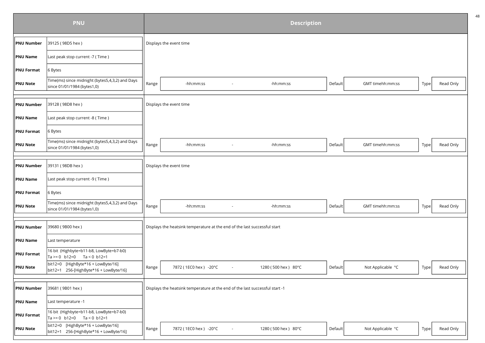|                   | <b>PNU</b>                                                                     | <b>Description</b> |                                                                              |                          |                     |         |                   |      |           |  |  |
|-------------------|--------------------------------------------------------------------------------|--------------------|------------------------------------------------------------------------------|--------------------------|---------------------|---------|-------------------|------|-----------|--|--|
| <b>PNU Number</b> | 39125 (98D5 hex)                                                               |                    | Displays the event time                                                      |                          |                     |         |                   |      |           |  |  |
| <b>PNU Name</b>   | Last peak stop current -7 (Time)                                               |                    |                                                                              |                          |                     |         |                   |      |           |  |  |
| <b>PNU Format</b> | 6 Bytes                                                                        |                    |                                                                              |                          |                     |         |                   |      |           |  |  |
| <b>PNU Note</b>   | Time(ms) since midnight (bytes5,4,3,2) and Days<br>since 01/01/1984 (bytes1,0) | Range              | -hh:mm:ss                                                                    |                          | -hh:mm:ss           | Default | GMT timehh:mm:ss  | Type | Read Only |  |  |
|                   |                                                                                |                    |                                                                              |                          |                     |         |                   |      |           |  |  |
| <b>PNU Number</b> | 39128 (98D8 hex)                                                               |                    | Displays the event time                                                      |                          |                     |         |                   |      |           |  |  |
| <b>PNU Name</b>   | Last peak stop current -8 (Time)                                               |                    |                                                                              |                          |                     |         |                   |      |           |  |  |
| <b>PNU Format</b> | 6 Bytes                                                                        |                    |                                                                              |                          |                     |         |                   |      |           |  |  |
| <b>PNU Note</b>   | Time(ms) since midnight (bytes5,4,3,2) and Days<br>since 01/01/1984 (bytes1,0) | Range              | -hh:mm:ss                                                                    |                          | -hh:mm:ss           | Default | GMT timehh:mm:ss  | Type | Read Only |  |  |
|                   |                                                                                |                    |                                                                              |                          |                     |         |                   |      |           |  |  |
| <b>PNU Number</b> | 39131 (98DB hex)                                                               |                    | Displays the event time                                                      |                          |                     |         |                   |      |           |  |  |
| <b>PNU Name</b>   | Last peak stop current -9 (Time)                                               |                    |                                                                              |                          |                     |         |                   |      |           |  |  |
| <b>PNU Format</b> | 6 Bytes                                                                        |                    |                                                                              |                          |                     |         |                   |      |           |  |  |
| <b>PNU Note</b>   | Time(ms) since midnight (bytes5,4,3,2) and Days<br>since 01/01/1984 (bytes1,0) | Range              | -hh:mm:ss                                                                    |                          | -hh:mm:ss           | Default | GMT timehh:mm:ss  | Type | Read Only |  |  |
|                   |                                                                                |                    |                                                                              |                          |                     |         |                   |      |           |  |  |
| <b>PNU Number</b> | 39680 (9B00 hex)                                                               |                    | Displays the heatsink temperature at the end of the last successful start    |                          |                     |         |                   |      |           |  |  |
| <b>PNU Name</b>   | Last temperature                                                               |                    |                                                                              |                          |                     |         |                   |      |           |  |  |
| <b>PNU Format</b> | 16 bit (Highbyte=b11-b8, LowByte=b7-b0)<br>Ta >= 0 b12=0 Ta < 0 b12=1          |                    |                                                                              |                          |                     |         |                   |      |           |  |  |
| PNU Note          | bit12=0 [HighByte*16 + LowByte/16]<br>bit12=1 256-[HighByte*16 + LowByte/16]   | Range              | 7872 (1EC0 hex) -20°C                                                        | $\overline{\phantom{a}}$ | 1280 (500 hex) 80°C | Default | Not Applicable °C | Type | Read Only |  |  |
|                   |                                                                                |                    |                                                                              |                          |                     |         |                   |      |           |  |  |
| <b>PNU Number</b> | 39681 (9B01 hex)                                                               |                    | Displays the heatsink temperature at the end of the last successful start -1 |                          |                     |         |                   |      |           |  |  |
| <b>PNU Name</b>   | Last temperature -1                                                            |                    |                                                                              |                          |                     |         |                   |      |           |  |  |
| <b>PNU Format</b> | 16 bit (Highbyte=b11-b8, LowByte=b7-b0)<br>Ta >= 0 b12=0 Ta < 0 b12=1          |                    |                                                                              |                          |                     |         |                   |      |           |  |  |
| <b>PNU Note</b>   | bit12=0 [HighByte*16 + LowByte/16]<br>bit12=1 256-[HighByte*16 + LowByte/16]   | Range              | 7872 (1EC0 hex) -20°C                                                        |                          | 1280 (500 hex) 80°C | Default | Not Applicable °C | Type | Read Only |  |  |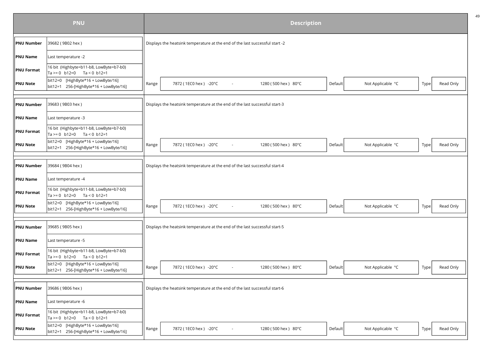|                      | <b>PNU</b>                                                                   | <b>Description</b> |                                                                              |                     |         |                   |      |           |  |  |
|----------------------|------------------------------------------------------------------------------|--------------------|------------------------------------------------------------------------------|---------------------|---------|-------------------|------|-----------|--|--|
| <b>PNU Number</b>    | 39682 (9B02 hex)                                                             |                    | Displays the heatsink temperature at the end of the last successful start -2 |                     |         |                   |      |           |  |  |
| PNU Name             | Last temperature -2                                                          |                    |                                                                              |                     |         |                   |      |           |  |  |
| <b>PNU Format</b>    | 16 bit (Highbyte=b11-b8, LowByte=b7-b0)<br>Ta >= 0 b12=0 Ta < 0 b12=1        |                    |                                                                              |                     |         |                   |      |           |  |  |
| <b>PNU Note</b>      | bit12=0 [HighByte*16 + LowByte/16]<br>bit12=1 256-[HighByte*16 + LowByte/16] | Range              | 7872 (1EC0 hex) -20°C<br>$\sim$                                              | 1280 (500 hex) 80°C | Default | Not Applicable °C | Type | Read Only |  |  |
|                      |                                                                              |                    |                                                                              |                     |         |                   |      |           |  |  |
| <b>PNU Number</b>    | 39683 (9B03 hex)                                                             |                    | Displays the heatsink temperature at the end of the last successful start-3  |                     |         |                   |      |           |  |  |
| <b>PNU Name</b>      | Last temperature -3                                                          |                    |                                                                              |                     |         |                   |      |           |  |  |
| <b>PNU Format</b>    | 16 bit (Highbyte=b11-b8, LowByte=b7-b0)<br>Ta >= 0 b12=0 Ta < 0 b12=1        |                    |                                                                              |                     |         |                   |      |           |  |  |
| <b>PNU Note</b>      | bit12=0 [HighByte*16 + LowByte/16]<br>bit12=1 256-[HighByte*16 + LowByte/16] | Range              | 7872 (1EC0 hex) -20°C                                                        | 1280 (500 hex) 80°C | Default | Not Applicable °C | Type | Read Only |  |  |
|                      |                                                                              |                    |                                                                              |                     |         |                   |      |           |  |  |
| <b>PNU Number</b>    | 39684 (9B04 hex)                                                             |                    | Displays the heatsink temperature at the end of the last successful start-4  |                     |         |                   |      |           |  |  |
| <b>PNU Name</b>      | Last temperature -4                                                          |                    |                                                                              |                     |         |                   |      |           |  |  |
| <b>PNU Format</b>    | 16 bit (Highbyte=b11-b8, LowByte=b7-b0)<br>Ta >= 0 b12=0 Ta < 0 b12=1        |                    |                                                                              |                     |         |                   |      |           |  |  |
| PNU Note             | bit12=0 [HighByte*16 + LowByte/16]<br>bit12=1 256-[HighByte*16 + LowByte/16] | Range              | 7872 (1EC0 hex) -20°C<br>$\sim$                                              | 1280 (500 hex) 80°C | Default | Not Applicable °C | Type | Read Only |  |  |
|                      |                                                                              |                    |                                                                              |                     |         |                   |      |           |  |  |
| <b>PNU Number</b>    | 39685 (9B05 hex)                                                             |                    | Displays the heatsink temperature at the end of the last successful start-5  |                     |         |                   |      |           |  |  |
| PNU Name             | Last temperature -5                                                          |                    |                                                                              |                     |         |                   |      |           |  |  |
| <b>PNU Format</b>    | 16 bit (Highbyte=b11-b8, LowByte=b7-b0)<br>Ta >= 0 b12=0 Ta < 0 b12=1        |                    |                                                                              |                     |         |                   |      |           |  |  |
| PNU Note             | bit12=0 [HighByte*16 + LowByte/16]<br>bit12=1 256-[HighByte*16 + LowByte/16] | Range              | 7872 (1EC0 hex) -20°C                                                        | 1280 (500 hex) 80°C | Default | Not Applicable °C | Type | Read Only |  |  |
|                      |                                                                              |                    |                                                                              |                     |         |                   |      |           |  |  |
| <b>PNU Number</b>    | 39686 (9B06 hex)                                                             |                    | Displays the heatsink temperature at the end of the last successful start-6  |                     |         |                   |      |           |  |  |
| $\parallel$ PNU Name | Last temperature -6                                                          |                    |                                                                              |                     |         |                   |      |           |  |  |
| <b>PNU Format</b>    | 16 bit (Highbyte=b11-b8, LowByte=b7-b0)<br>Ta >= 0 b12=0 Ta < 0 b12=1        |                    |                                                                              |                     |         |                   |      |           |  |  |
| <b>PNU Note</b>      | bit12=0 [HighByte*16 + LowByte/16]<br>bit12=1 256-[HighByte*16 + LowByte/16] | Range              | 7872 (1EC0 hex) -20°C                                                        | 1280 (500 hex) 80°C | Default | Not Applicable °C | Type | Read Only |  |  |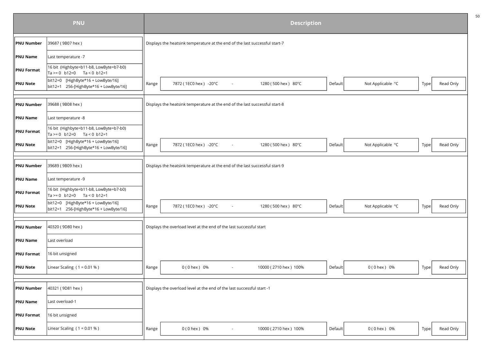|                        | <b>PNU</b>                                                                   |       |                                                                             |        | <b>Description</b>    |         |                   |      |           |
|------------------------|------------------------------------------------------------------------------|-------|-----------------------------------------------------------------------------|--------|-----------------------|---------|-------------------|------|-----------|
| <b>PNU Number</b>      | 39687 (9B07 hex)                                                             |       | Displays the heatsink temperature at the end of the last successful start-7 |        |                       |         |                   |      |           |
| <b>PNU Name</b>        | Last temperature -7                                                          |       |                                                                             |        |                       |         |                   |      |           |
| $\parallel$ PNU Format | 16 bit (Highbyte=b11-b8, LowByte=b7-b0)<br>Ta >= 0 b12=0 Ta < 0 b12=1        |       |                                                                             |        |                       |         |                   |      |           |
| <b>PNU Note</b>        | bit12=0 [HighByte*16 + LowByte/16]<br>bit12=1 256-[HighByte*16 + LowByte/16] | Range | 7872 (1EC0 hex) -20°C                                                       | $\sim$ | 1280 (500 hex) 80°C   | Default | Not Applicable °C | Type | Read Only |
|                        |                                                                              |       |                                                                             |        |                       |         |                   |      |           |
| PNU Number             | 39688 (9B08 hex)                                                             |       | Displays the heatsink temperature at the end of the last successful start-8 |        |                       |         |                   |      |           |
| <b>PNU Name</b>        | Last temperature -8                                                          |       |                                                                             |        |                       |         |                   |      |           |
| <b>PNU Format</b>      | 16 bit (Highbyte=b11-b8, LowByte=b7-b0)<br>Ta >= 0 b12=0 Ta < 0 b12=1        |       |                                                                             |        |                       |         |                   |      |           |
| <b>PNU Note</b>        | bit12=0 [HighByte*16 + LowByte/16]<br>bit12=1 256-[HighByte*16 + LowByte/16] | Range | 7872 (1EC0 hex) -20°C                                                       |        | 1280 (500 hex) 80°C   | Default | Not Applicable °C | Type | Read Only |
|                        |                                                                              |       |                                                                             |        |                       |         |                   |      |           |
| <b>PNU Number</b>      | 39689 (9B09 hex)                                                             |       | Displays the heatsink temperature at the end of the last successful start-9 |        |                       |         |                   |      |           |
| <b>PNU Name</b>        | Last temperature -9                                                          |       |                                                                             |        |                       |         |                   |      |           |
| <b>PNU Format</b>      | 16 bit (Highbyte=b11-b8, LowByte=b7-b0)<br>Ta >= 0 b12=0 Ta < 0 b12=1        |       |                                                                             |        |                       |         |                   |      |           |
| <b>PNU Note</b>        | bit12=0 [HighByte*16 + LowByte/16]<br>bit12=1 256-[HighByte*16 + LowByte/16] | Range | 7872 (1EC0 hex) -20°C                                                       | $\sim$ | 1280 (500 hex) 80°C   | Default | Not Applicable °C | Type | Read Only |
|                        |                                                                              |       |                                                                             |        |                       |         |                   |      |           |
| <b>PNU Number</b>      | 40320 (9D80 hex)                                                             |       | Displays the overload level at the end of the last successful start         |        |                       |         |                   |      |           |
| <b>PNU Name</b>        | Last overload                                                                |       |                                                                             |        |                       |         |                   |      |           |
| <b>PNU Format</b>      | 16 bit unsigned                                                              |       |                                                                             |        |                       |         |                   |      |           |
| <b>PNU Note</b>        | Linear Scaling $(1 = 0.01 %)$                                                | Range | 0 (0 hex) 0%                                                                | $\sim$ | 10000 (2710 hex) 100% | Default | 0 (0 hex ) 0%     | Type | Read Only |
|                        |                                                                              |       |                                                                             |        |                       |         |                   |      |           |
| <b>PNU Number</b>      | 40321 (9D81 hex)                                                             |       | Displays the overload level at the end of the last successful start -1      |        |                       |         |                   |      |           |
| PNU Name               | Last overload-1                                                              |       |                                                                             |        |                       |         |                   |      |           |
| <b>PNU Format</b>      | 16 bit unsigned                                                              |       |                                                                             |        |                       |         |                   |      |           |
| <b>PNU Note</b>        | Linear Scaling ( $1 = 0.01 %$ )                                              | Range | 0 (0 hex) 0%                                                                |        | 10000 (2710 hex) 100% | Default | 0 (0 hex ) 0%     | Type | Read Only |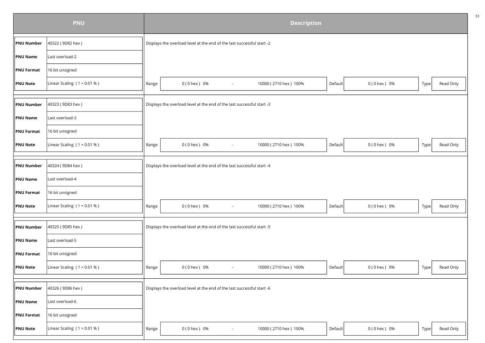|                   | <b>PNU</b>                    |       |                                                                        |                | <b>Description</b>    |         |               |      |           |
|-------------------|-------------------------------|-------|------------------------------------------------------------------------|----------------|-----------------------|---------|---------------|------|-----------|
| PNU Number        | 40322 (9D82 hex)              |       | Displays the overload level at the end of the last successful start -2 |                |                       |         |               |      |           |
| PNU Name          | Last overload-2               |       |                                                                        |                |                       |         |               |      |           |
| <b>PNU Format</b> | 16 bit unsigned               |       |                                                                        |                |                       |         |               |      |           |
| <b>PNU Note</b>   | Linear Scaling $(1 = 0.01 %)$ | Range | 0 (0 hex) 0%                                                           | $\sim$         | 10000 (2710 hex) 100% | Default | 0 (0 hex ) 0% | Type | Read Only |
|                   |                               |       |                                                                        |                |                       |         |               |      |           |
| <b>PNU Number</b> | 40323 (9D83 hex)              |       | Displays the overload level at the end of the last successful start -3 |                |                       |         |               |      |           |
| PNU Name          | Last overload-3               |       |                                                                        |                |                       |         |               |      |           |
| <b>PNU Format</b> | 16 bit unsigned               |       |                                                                        |                |                       |         |               |      |           |
| <b>PNU Note</b>   | Linear Scaling $(1 = 0.01 %)$ | Range | 0 (0 hex) 0%                                                           | $\blacksquare$ | 10000 (2710 hex) 100% | Default | 0 (0 hex ) 0% | Type | Read Only |
|                   |                               |       |                                                                        |                |                       |         |               |      |           |
| <b>PNU Number</b> | 40324 (9D84 hex)              |       | Displays the overload level at the end of the last successful start -4 |                |                       |         |               |      |           |
| PNU Name          | Last overload-4               |       |                                                                        |                |                       |         |               |      |           |
| <b>PNU Format</b> | 16 bit unsigned               |       |                                                                        |                |                       |         |               |      |           |
| <b>PNU Note</b>   | Linear Scaling $(1 = 0.01 %)$ | Range | 0 (0 hex) 0%                                                           | $\blacksquare$ | 10000 (2710 hex) 100% | Default | 0 (0 hex ) 0% | Type | Read Only |
|                   |                               |       |                                                                        |                |                       |         |               |      |           |
| <b>PNU Number</b> | 40325 (9D85 hex)              |       | Displays the overload level at the end of the last successful start -5 |                |                       |         |               |      |           |
| <b>PNU Name</b>   | Last overload-5               |       |                                                                        |                |                       |         |               |      |           |
| <b>PNU Format</b> | 16 bit unsigned               |       |                                                                        |                |                       |         |               |      |           |
| <b>PNU Note</b>   | Linear Scaling $(1 = 0.01 %)$ | Range | $0(0$ hex $) 0%$                                                       | $\sim$         | 10000 (2710 hex) 100% | Default | 0 (0 hex ) 0% | Type | Read Only |
|                   |                               |       |                                                                        |                |                       |         |               |      |           |
| <b>PNU Number</b> | 40326 (9D86 hex)              |       | Displays the overload level at the end of the last successful start -6 |                |                       |         |               |      |           |
| PNU Name          | Last overload-6               |       |                                                                        |                |                       |         |               |      |           |
| <b>PNU Format</b> | 16 bit unsigned               |       |                                                                        |                |                       |         |               |      |           |
| <b>PNU Note</b>   | Linear Scaling $(1 = 0.01 %)$ | Range | 0 (0 hex) 0%                                                           |                | 10000 (2710 hex) 100% | Default | 0 (0 hex ) 0% | Type | Read Only |
|                   |                               |       |                                                                        |                |                       |         |               |      |           |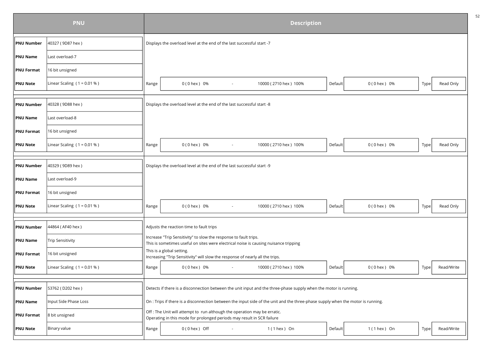|                   | <b>PNU</b>                      |       |                                                                                                                                                          |        | <b>Description</b>                                                                                                              |         |                  |      |            |
|-------------------|---------------------------------|-------|----------------------------------------------------------------------------------------------------------------------------------------------------------|--------|---------------------------------------------------------------------------------------------------------------------------------|---------|------------------|------|------------|
| <b>PNU Number</b> | 40327 (9D87 hex)                |       | Displays the overload level at the end of the last successful start -7                                                                                   |        |                                                                                                                                 |         |                  |      |            |
| <b>PNU Name</b>   | Last overload-7                 |       |                                                                                                                                                          |        |                                                                                                                                 |         |                  |      |            |
| <b>PNU Format</b> | 16 bit unsigned                 |       |                                                                                                                                                          |        |                                                                                                                                 |         |                  |      |            |
| <b>PNU Note</b>   | Linear Scaling $(1 = 0.01 %)$   | Range | $0(0$ hex $)$ 0%                                                                                                                                         |        | 10000 (2710 hex) 100%                                                                                                           | Default | 0 (0 hex ) 0%    | Type | Read Only  |
|                   |                                 |       |                                                                                                                                                          |        |                                                                                                                                 |         |                  |      |            |
| <b>PNU Number</b> | 40328 (9D88 hex)                |       | Displays the overload level at the end of the last successful start -8                                                                                   |        |                                                                                                                                 |         |                  |      |            |
| <b>PNU Name</b>   | Last overload-8                 |       |                                                                                                                                                          |        |                                                                                                                                 |         |                  |      |            |
| <b>PNU Format</b> | 16 bit unsigned                 |       |                                                                                                                                                          |        |                                                                                                                                 |         |                  |      |            |
| <b>PNU Note</b>   | Linear Scaling $(1 = 0.01 %)$   | Range | 0 (0 hex) 0%                                                                                                                                             |        | 10000 (2710 hex) 100%                                                                                                           | Default | 0 (0 hex ) 0%    | Type | Read Only  |
|                   |                                 |       |                                                                                                                                                          |        |                                                                                                                                 |         |                  |      |            |
| <b>PNU Number</b> | 40329 (9D89 hex)                |       | Displays the overload level at the end of the last successful start -9                                                                                   |        |                                                                                                                                 |         |                  |      |            |
| <b>PNU Name</b>   | Last overload-9                 |       |                                                                                                                                                          |        |                                                                                                                                 |         |                  |      |            |
| <b>PNU Format</b> | 16 bit unsigned                 |       |                                                                                                                                                          |        |                                                                                                                                 |         |                  |      |            |
| <b>PNU Note</b>   | Linear Scaling ( $1 = 0.01 %$ ) | Range | 0 (0 hex) 0%                                                                                                                                             | $\sim$ | 10000 (2710 hex) 100%                                                                                                           | Default | 0 (0 hex ) 0%    | Type | Read Only  |
|                   |                                 |       |                                                                                                                                                          |        |                                                                                                                                 |         |                  |      |            |
| <b>PNU Number</b> | 44864 (AF40 hex)                |       | Adjusts the reaction time to fault trips                                                                                                                 |        |                                                                                                                                 |         |                  |      |            |
| <b>PNU Name</b>   | <b>Trip Sensitivity</b>         |       | Increase "Trip Sensitivity" to slow the response to fault trips.<br>This is sometimes useful on sites were electrical noise is causing nuisance tripping |        |                                                                                                                                 |         |                  |      |            |
| <b>PNU Format</b> | 16 bit unsigned                 |       | This is a global setting.<br>Increasing "Trip Sensitivity" will slow the response of nearly all the trips.                                               |        |                                                                                                                                 |         |                  |      |            |
| <b>PNU Note</b>   | Linear Scaling $(1 = 0.01 %)$   | Range | 0 (0 hex ) 0%                                                                                                                                            | $\sim$ | 10000 (2710 hex) 100%                                                                                                           | Default | 0 (0 hex ) 0%    | Type | Read/Write |
|                   |                                 |       |                                                                                                                                                          |        |                                                                                                                                 |         |                  |      |            |
| <b>PNU Number</b> | 53762 (D202 hex)                |       |                                                                                                                                                          |        | Detects if there is a disconnection between the unit input and the three-phase supply when the motor is running.                |         |                  |      |            |
| <b>PNU Name</b>   | Input Side Phase Loss           |       |                                                                                                                                                          |        | On : Trips if there is a disconnection between the input side of the unit and the three-phase supply when the motor is running. |         |                  |      |            |
| <b>PNU Format</b> | 8 bit unsigned                  |       | Off : The Unit will attempt to run although the operation may be erratic.<br>Operating in this mode for prolonged periods may result in SCR failure      |        |                                                                                                                                 |         |                  |      |            |
| <b>PNU Note</b>   | Binary value                    | Range | $0(0$ hex ) Off                                                                                                                                          |        | $1(1$ hex ) On                                                                                                                  | Default | $1(1$ hex $)$ On | Type | Read/Write |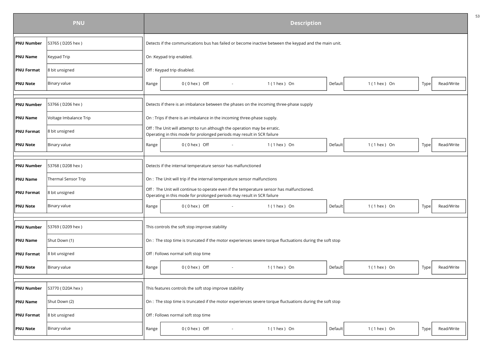|                   | <b>PNU</b>                 |       |                                                                                                                                                                     |        | <b>Description</b> |         |                  |      |            |
|-------------------|----------------------------|-------|---------------------------------------------------------------------------------------------------------------------------------------------------------------------|--------|--------------------|---------|------------------|------|------------|
| <b>PNU Number</b> | 53765 (D205 hex)           |       | Detects if the communications bus has failed or become inactive between the keypad and the main unit.                                                               |        |                    |         |                  |      |            |
| <b>PNU Name</b>   | Keypad Trip                |       | On :Keypad trip enabled.                                                                                                                                            |        |                    |         |                  |      |            |
| <b>PNU Format</b> | 8 bit unsigned             |       | Off: Keypad trip disabled.                                                                                                                                          |        |                    |         |                  |      |            |
| <b>PNU Note</b>   | Binary value               | Range | $0(0$ hex $)$ Off                                                                                                                                                   |        | $1(1$ hex $)$ On   | Default | $1(1$ hex $)$ On | Type | Read/Write |
|                   |                            |       |                                                                                                                                                                     |        |                    |         |                  |      |            |
| <b>PNU Number</b> | 53766 (D206 hex)           |       | Detects if there is an imbalance between the phases on the incoming three-phase supply                                                                              |        |                    |         |                  |      |            |
| <b>PNU Name</b>   | Voltage Imbalance Trip     |       | On : Trips if there is an imbalance in the incoming three-phase supply.                                                                                             |        |                    |         |                  |      |            |
| <b>PNU Format</b> | 8 bit unsigned             |       | Off : The Unit will attempt to run although the operation may be erratic.<br>Operating in this mode for prolonged periods may result in SCR failure                 |        |                    |         |                  |      |            |
| <b>PNU Note</b>   | Binary value               | Range | $0(0$ hex $)$ Off                                                                                                                                                   | $\sim$ | $1(1$ hex $)$ On   | Default | $1(1$ hex $)$ On | Type | Read/Write |
|                   |                            |       |                                                                                                                                                                     |        |                    |         |                  |      |            |
| <b>PNU Number</b> | 53768 (D208 hex)           |       | Detects if the internal temperature sensor has malfunctioned                                                                                                        |        |                    |         |                  |      |            |
| <b>PNU Name</b>   | <b>Thermal Sensor Trip</b> |       | On : The Unit will trip if the internal temperature sensor malfunctions                                                                                             |        |                    |         |                  |      |            |
| <b>PNU Format</b> | 8 bit unsigned             |       | Off : The Unit will continue to operate even if the temperature sensor has malfunctioned.<br>Operating in this mode for prolonged periods may result in SCR failure |        |                    |         |                  |      |            |
| <b>PNU Note</b>   | Binary value               | Range | $0(0$ hex $)$ Off                                                                                                                                                   | $\sim$ | $1(1$ hex $)$ On   | Default | $1(1$ hex $)$ On | Type | Read/Write |
|                   |                            |       |                                                                                                                                                                     |        |                    |         |                  |      |            |
| <b>PNU Number</b> | 53769 (D209 hex)           |       | This controls the soft stop improve stability                                                                                                                       |        |                    |         |                  |      |            |
| <b>PNU Name</b>   | Shut Down (1)              |       | On : The stop time is truncated if the motor experiences severe torque fluctuations during the soft stop                                                            |        |                    |         |                  |      |            |
| <b>PNU Format</b> | 8 bit unsigned             |       | Off: Follows normal soft stop time                                                                                                                                  |        |                    |         |                  |      |            |
| <b>PNU Note</b>   | Binary value               | Range | $0(0$ hex $)$ Off                                                                                                                                                   | $\sim$ | $1(1$ hex $)$ On   | Default | $1(1$ hex $)$ On | Type | Read/Write |
|                   |                            |       |                                                                                                                                                                     |        |                    |         |                  |      |            |
| <b>PNU Number</b> | 53770 (D20A hex)           |       | This features controls the soft stop improve stability                                                                                                              |        |                    |         |                  |      |            |
| <b>PNU Name</b>   | Shut Down (2)              |       | On : The stop time is truncated if the motor experiences severe torque fluctuations during the soft stop                                                            |        |                    |         |                  |      |            |
| <b>PNU Format</b> | 8 bit unsigned             |       | Off : Follows normal soft stop time                                                                                                                                 |        |                    |         |                  |      |            |
| <b>PNU Note</b>   | Binary value               | Range | $0(0$ hex $)$ Off                                                                                                                                                   |        | $1(1$ hex $)$ On   | Default | $1(1$ hex ) On   | Type | Read/Write |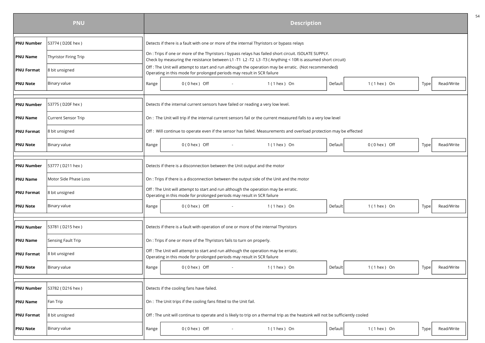|                   | <b>PNU</b>                 |       |  |                                          |        |                                                                        |                                                                                                                                                                                                                   | <b>Description</b> |         |                   |      |            |
|-------------------|----------------------------|-------|--|------------------------------------------|--------|------------------------------------------------------------------------|-------------------------------------------------------------------------------------------------------------------------------------------------------------------------------------------------------------------|--------------------|---------|-------------------|------|------------|
| <b>PNU Number</b> | 53774 (D20E hex)           |       |  |                                          |        |                                                                        | Detects if there is a fault with one or more of the internal Thyristors or bypass relays                                                                                                                          |                    |         |                   |      |            |
| <b>PNU Name</b>   | Thyristor Firing Trip      |       |  |                                          |        |                                                                        | On : Trips if one or more of the Thyristors / bypass relays has failed short circuit. ISOLATE SUPPLY.<br>Check by measuring the resistance between L1 -T1 L2 -T2 L3 -T3 (Anything < 10R is assumed short circuit) |                    |         |                   |      |            |
| <b>PNU Format</b> | 8 bit unsigned             |       |  |                                          |        |                                                                        | Off : The Unit will attempt to start and run although the operation may be erratic. (Not recommended)<br>Operating in this mode for prolonged periods may result in SCR failure                                   |                    |         |                   |      |            |
| PNU Note          | Binary value               | Range |  | $0(0$ hex $)$ Off                        | $\sim$ |                                                                        | $1(1$ hex $)$ On                                                                                                                                                                                                  |                    | Default | $1(1$ hex ) On    | Type | Read/Write |
|                   |                            |       |  |                                          |        |                                                                        |                                                                                                                                                                                                                   |                    |         |                   |      |            |
| <b>PNU Number</b> | 53775 (D20F hex)           |       |  |                                          |        |                                                                        | Detects if the internal current sensors have failed or reading a very low level.                                                                                                                                  |                    |         |                   |      |            |
| <b>PNU Name</b>   | <b>Current Sensor Trip</b> |       |  |                                          |        |                                                                        | On : The Unit will trip if the internal current sensors fail or the current measured falls to a very low level                                                                                                    |                    |         |                   |      |            |
| <b>PNU Format</b> | 8 bit unsigned             |       |  |                                          |        |                                                                        | Off: Will continue to operate even if the sensor has failed. Measurements and overload protection may be effected                                                                                                 |                    |         |                   |      |            |
| <b>PNU Note</b>   | Binary value               | Range |  | $0(0$ hex $)$ Off                        |        |                                                                        | $1(1$ hex $)$ On                                                                                                                                                                                                  |                    | Default | $0(0$ hex $)$ Off | Type | Read/Write |
|                   |                            |       |  |                                          |        |                                                                        |                                                                                                                                                                                                                   |                    |         |                   |      |            |
| <b>PNU Number</b> | 53777 (D211 hex )          |       |  |                                          |        |                                                                        | Detects if there is a disconnection between the Unit output and the motor                                                                                                                                         |                    |         |                   |      |            |
| <b>PNU Name</b>   | Motor Side Phase Loss      |       |  |                                          |        |                                                                        | On : Trips if there is a disconnection between the output side of the Unit and the motor                                                                                                                          |                    |         |                   |      |            |
| <b>PNU Format</b> | 8 bit unsigned             |       |  |                                          |        |                                                                        | Off : The Unit will attempt to start and run although the operation may be erratic.<br>Operating in this mode for prolonged periods may result in SCR failure                                                     |                    |         |                   |      |            |
| <b>PNU Note</b>   | Binary value               | Range |  | $0(0$ hex $)$ Off                        | $\sim$ |                                                                        | $1(1$ hex $)$ On                                                                                                                                                                                                  |                    | Default | $1(1$ hex ) On    | Type | Read/Write |
|                   |                            |       |  |                                          |        |                                                                        |                                                                                                                                                                                                                   |                    |         |                   |      |            |
| <b>PNU Number</b> | 53781 (D215 hex)           |       |  |                                          |        |                                                                        | Detects if there is a fault with operation of one or more of the internal Thyristors                                                                                                                              |                    |         |                   |      |            |
| <b>PNU Name</b>   | Sensing Fault Trip         |       |  |                                          |        | On : Trips if one or more of the Thyristors fails to turn on properly. |                                                                                                                                                                                                                   |                    |         |                   |      |            |
| <b>PNU Format</b> | 8 bit unsigned             |       |  |                                          |        |                                                                        | Off : The Unit will attempt to start and run although the operation may be erratic.<br>Operating in this mode for prolonged periods may result in SCR failure                                                     |                    |         |                   |      |            |
| <b>PNU Note</b>   | Binary value               | Range |  | $0(0$ hex $)$ Off                        | $\sim$ |                                                                        | $1(1$ hex $)$ On                                                                                                                                                                                                  |                    | Default | $1(1$ hex $)$ On  | Type | Read/Write |
|                   |                            |       |  |                                          |        |                                                                        |                                                                                                                                                                                                                   |                    |         |                   |      |            |
| <b>PNU Number</b> | 53782 (D216 hex)           |       |  | Detects if the cooling fans have failed. |        |                                                                        |                                                                                                                                                                                                                   |                    |         |                   |      |            |
| <b>PNU Name</b>   | Fan Trip                   |       |  |                                          |        | On : The Unit trips if the cooling fans fitted to the Unit fail.       |                                                                                                                                                                                                                   |                    |         |                   |      |            |
| <b>PNU Format</b> | 8 bit unsigned             |       |  |                                          |        |                                                                        | Off : The unit will continue to operate and is likely to trip on a thermal trip as the heatsink will not be sufficiently cooled                                                                                   |                    |         |                   |      |            |
| <b>PNU Note</b>   | Binary value               | Range |  | $0(0$ hex $)$ Off                        |        |                                                                        | $1(1$ hex ) On                                                                                                                                                                                                    |                    | Default | $1(1$ hex $)$ On  | Type | Read/Write |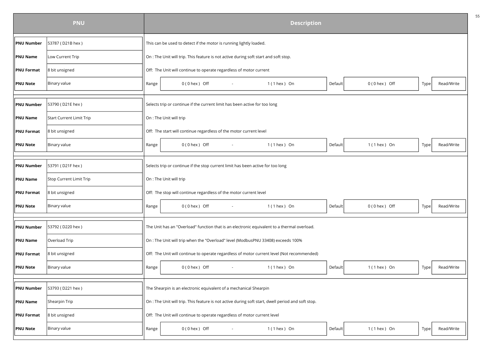|                   | <b>PNU</b>               |       |                         |                                                                                      |        | <b>Description</b>                                                                                 |         |                   |      |            |
|-------------------|--------------------------|-------|-------------------------|--------------------------------------------------------------------------------------|--------|----------------------------------------------------------------------------------------------------|---------|-------------------|------|------------|
| <b>PNU Number</b> | 53787 (D21B hex)         |       |                         | This can be used to detect if the motor is running lightly loaded.                   |        |                                                                                                    |         |                   |      |            |
| <b>PNU Name</b>   | Low Current Trip         |       |                         | On : The Unit will trip. This feature is not active during soft start and soft stop. |        |                                                                                                    |         |                   |      |            |
| <b>PNU Format</b> | 8 bit unsigned           |       |                         | Off: The Unit will continue to operate regardless of motor current                   |        |                                                                                                    |         |                   |      |            |
| <b>PNU Note</b>   | Binary value             | Range |                         | $0(0$ hex $)$ Off                                                                    | $\sim$ | $1(1$ hex $)$ On                                                                                   | Default | $0(0$ hex $)$ Off | Type | Read/Write |
| <b>PNU Number</b> | 53790 (D21E hex)         |       |                         | Selects trip or continue if the current limit has been active for too long           |        |                                                                                                    |         |                   |      |            |
| <b>PNU Name</b>   | Start Current Limit Trip |       | On : The Unit will trip |                                                                                      |        |                                                                                                    |         |                   |      |            |
| <b>PNU Format</b> | 8 bit unsigned           |       |                         | Off: The start will continue regardless of the motor current level                   |        |                                                                                                    |         |                   |      |            |
| <b>PNU Note</b>   | Binary value             | Range |                         | $0(0$ hex $)$ Off                                                                    |        | $1(1$ hex $)$ On                                                                                   | Default | $1(1$ hex $)$ On  | Type | Read/Write |
| <b>PNU Number</b> | 53791 (D21F hex)         |       |                         | Selects trip or continue if the stop current limit has been active for too long      |        |                                                                                                    |         |                   |      |            |
| <b>PNU Name</b>   | Stop Current Limit Trip  |       | On : The Unit will trip |                                                                                      |        |                                                                                                    |         |                   |      |            |
| <b>PNU Format</b> | 8 bit unsigned           |       |                         | Off: The stop will continue regardless of the motor current level                    |        |                                                                                                    |         |                   |      |            |
| <b>PNU Note</b>   | Binary value             | Range |                         | $0(0$ hex $)$ Off                                                                    | $\sim$ | $1(1$ hex $)$ On                                                                                   | Default | $0(0$ hex $)$ Off | Type | Read/Write |
| <b>PNU Number</b> | 53792 (D220 hex)         |       |                         |                                                                                      |        | The Unit has an "Overload" function that is an electronic equivalent to a thermal overload.        |         |                   |      |            |
| <b>PNU Name</b>   | Overload Trip            |       |                         |                                                                                      |        | On : The Unit will trip when the "Overload" level (ModbusPNU 33408) exceeds 100%                   |         |                   |      |            |
| <b>PNU Format</b> | 8 bit unsigned           |       |                         |                                                                                      |        | Off: The Unit will continue to operate regardless of motor current level (Not recommended)         |         |                   |      |            |
| <b>PNU Note</b>   | Binary value             | Range |                         | $0(0$ hex $)$ Off                                                                    | $\sim$ | $1(1$ hex $)$ On                                                                                   | Default | $1(1$ hex $)$ On  | Type | Read/Write |
| <b>PNU Number</b> | 53793 (D221 hex)         |       |                         | The Shearpin is an electronic equivalent of a mechanical Shearpin                    |        |                                                                                                    |         |                   |      |            |
| <b>PNU Name</b>   | Shearpin Trip            |       |                         |                                                                                      |        | On : The Unit will trip. This feature is not active during soft start, dwell period and soft stop. |         |                   |      |            |
| <b>PNU Format</b> | 8 bit unsigned           |       |                         | Off: The Unit will continue to operate regardless of motor current level             |        |                                                                                                    |         |                   |      |            |
| <b>PNU Note</b>   | Binary value             | Range |                         | $0(0$ hex $)$ Off                                                                    |        | $1(1$ hex ) On                                                                                     | Default | $1(1$ hex ) On    | Type | Read/Write |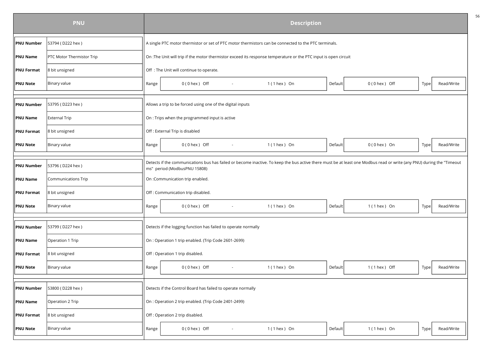|                   | <b>PNU</b>                |       | <b>Description</b>                                                                                                                                                                                    |                  |         |                  |      |            |  |  |  |
|-------------------|---------------------------|-------|-------------------------------------------------------------------------------------------------------------------------------------------------------------------------------------------------------|------------------|---------|------------------|------|------------|--|--|--|
| <b>PNU Number</b> | 53794 (D222 hex)          |       | A single PTC motor thermistor or set of PTC motor thermistors can be connected to the PTC terminals.                                                                                                  |                  |         |                  |      |            |  |  |  |
| <b>PNU Name</b>   | PTC Motor Thermistor Trip |       | On :The Unit will trip if the motor thermistor exceed its response temperature or the PTC input is open circuit                                                                                       |                  |         |                  |      |            |  |  |  |
| <b>PNU Format</b> | 8 bit unsigned            |       | Off : The Unit will continue to operate.                                                                                                                                                              |                  |         |                  |      |            |  |  |  |
| <b>PNU Note</b>   | Binary value              | Range | $0(0$ hex $)$ Off                                                                                                                                                                                     | $1(1$ hex ) On   | Default | $0(0$ hex ) Off  | Type | Read/Write |  |  |  |
|                   |                           |       |                                                                                                                                                                                                       |                  |         |                  |      |            |  |  |  |
| <b>PNU Number</b> | 53795 (D223 hex)          |       | Allows a trip to be forced using one of the digital inputs                                                                                                                                            |                  |         |                  |      |            |  |  |  |
| <b>PNU Name</b>   | <b>External Trip</b>      |       | On : Trips when the programmed input is active                                                                                                                                                        |                  |         |                  |      |            |  |  |  |
| <b>PNU Format</b> | 8 bit unsigned            |       | Off : External Trip is disabled                                                                                                                                                                       |                  |         |                  |      |            |  |  |  |
| <b>PNU Note</b>   | Binary value              | Range | 0(0 hex) Off<br>$\sim$                                                                                                                                                                                | 1 (1 hex ) On    | Default | $0(0$ hex $)$ On | Type | Read/Write |  |  |  |
|                   |                           |       |                                                                                                                                                                                                       |                  |         |                  |      |            |  |  |  |
| <b>PNU Number</b> | 53796 (D224 hex)          |       | Detects if the communications bus has failed or become inactive. To keep the bus active there must be at least one Modbus read or write (any PNU) during the "Timeout<br>ms" period (ModbusPNU 15808) |                  |         |                  |      |            |  |  |  |
| <b>PNU Name</b>   | Communications Trip       |       | On :Communication trip enabled.                                                                                                                                                                       |                  |         |                  |      |            |  |  |  |
| <b>PNU Format</b> | 8 bit unsigned            |       | Off : Communication trip disabled.                                                                                                                                                                    |                  |         |                  |      |            |  |  |  |
| <b>PNU Note</b>   | Binary value              | Range | $0(0$ hex $)$ Off                                                                                                                                                                                     | $1(1$ hex ) On   | Default | $1(1$ hex $)$ On | Type | Read/Write |  |  |  |
|                   |                           |       |                                                                                                                                                                                                       |                  |         |                  |      |            |  |  |  |
| <b>PNU Number</b> | 53799 (D227 hex)          |       | Detects if the logging function has failed to operate normally                                                                                                                                        |                  |         |                  |      |            |  |  |  |
| <b>PNU Name</b>   | Operation 1 Trip          |       | On : Operation 1 trip enabled. (Trip Code 2601-2699)                                                                                                                                                  |                  |         |                  |      |            |  |  |  |
| <b>PNU Format</b> | 8 bit unsigned            |       | Off: Operation 1 trip disabled.                                                                                                                                                                       |                  |         |                  |      |            |  |  |  |
| <b>PNU Note</b>   | Binary value              | Range | $0(0$ hex $)$ Off<br>$\sim$                                                                                                                                                                           | $1(1$ hex $)$ On | Default | 1 (1 hex) Off    | Type | Read/Write |  |  |  |
|                   |                           |       |                                                                                                                                                                                                       |                  |         |                  |      |            |  |  |  |
| <b>PNU Number</b> | 53800 (D228 hex)          |       | Detects if the Control Board has failed to operate normally                                                                                                                                           |                  |         |                  |      |            |  |  |  |
| <b>PNU Name</b>   | Operation 2 Trip          |       | On : Operation 2 trip enabled. (Trip Code 2401-2499)                                                                                                                                                  |                  |         |                  |      |            |  |  |  |
| <b>PNU Format</b> | 8 bit unsigned            |       | Off: Operation 2 trip disabled.                                                                                                                                                                       |                  |         |                  |      |            |  |  |  |
| <b>PNU Note</b>   | Binary value              | Range | $0(0$ hex $)$ Off                                                                                                                                                                                     | $1(1$ hex ) On   | Default | $1(1$ hex $)$ On | Type | Read/Write |  |  |  |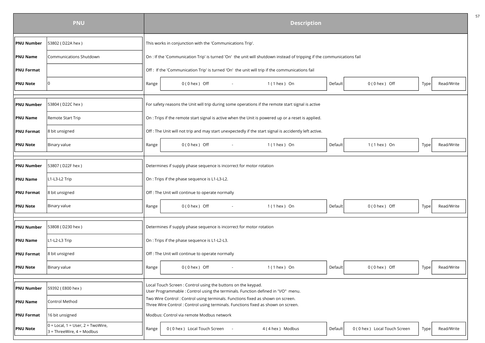|                   | <b>PNU</b>                                                         |       | <b>Description</b>                                                                                                                                                  |         |                              |      |            |
|-------------------|--------------------------------------------------------------------|-------|---------------------------------------------------------------------------------------------------------------------------------------------------------------------|---------|------------------------------|------|------------|
| <b>PNU Number</b> | 53802 (D22A hex)                                                   |       | This works in conjunction with the 'Communications Trip'.                                                                                                           |         |                              |      |            |
| <b>PNU Name</b>   | Communications Shutdown                                            |       | On : If the 'Communication Trip' is turned 'On' the unit will shutdown instead of tripping if the communications fail                                               |         |                              |      |            |
| <b>PNU Format</b> |                                                                    |       | Off : If the 'Communication Trip' is turned 'On' the unit will trip if the communications fail                                                                      |         |                              |      |            |
| <b>PNU Note</b>   | 0                                                                  | Range | $0(0$ hex $)$ Off<br>$1(1$ hex ) On                                                                                                                                 | Default | $0(0$ hex $)$ Off            | Type | Read/Write |
|                   |                                                                    |       |                                                                                                                                                                     |         |                              |      |            |
| <b>PNU Number</b> | 53804 (D22C hex)                                                   |       | For safety reasons the Unit will trip during some operations if the remote start signal is active                                                                   |         |                              |      |            |
| <b>PNU Name</b>   | Remote Start Trip                                                  |       | On : Trips if the remote start signal is active when the Unit is powered up or a reset is applied.                                                                  |         |                              |      |            |
| <b>PNU Format</b> | 8 bit unsigned                                                     |       | Off : The Unit will not trip and may start unexpectedly if the start signal is accidently left active.                                                              |         |                              |      |            |
| <b>PNU Note</b>   | Binary value                                                       | Range | $0(0$ hex $)$ Off<br>$1(1$ hex $)$ On                                                                                                                               | Default | $1(1$ hex $)$ On             | Type | Read/Write |
| <b>PNU Number</b> | 53807 (D22F hex)                                                   |       | Determines if supply phase sequence is incorrect for motor rotation                                                                                                 |         |                              |      |            |
| <b>PNU Name</b>   | L1-L3-L2 Trip                                                      |       | On : Trips if the phase sequence is L1-L3-L2.                                                                                                                       |         |                              |      |            |
|                   |                                                                    |       |                                                                                                                                                                     |         |                              |      |            |
| <b>PNU Format</b> | 8 bit unsigned                                                     |       | Off : The Unit will continue to operate normally                                                                                                                    |         |                              |      |            |
| <b>PNU Note</b>   | Binary value                                                       | Range | $0(0$ hex $)$ Off<br>$1(1$ hex ) On                                                                                                                                 | Default | 0(0 hex) Off                 | Type | Read/Write |
| <b>PNU Number</b> | 53808 (D230 hex)                                                   |       | Determines if supply phase sequence is incorrect for motor rotation                                                                                                 |         |                              |      |            |
| <b>PNU Name</b>   | L1-L2-L3 Trip                                                      |       | On : Trips if the phase sequence is L1-L2-L3.                                                                                                                       |         |                              |      |            |
| <b>PNU Format</b> | 8 bit unsigned                                                     |       | Off : The Unit will continue to operate normally                                                                                                                    |         |                              |      |            |
| <b>PNU Note</b>   | Binary value                                                       | Range | $0(0$ hex $)$ Off<br>1 (1 hex ) On                                                                                                                                  | Default | $0(0$ hex $)$ Off            | Type | Read/Write |
| <b>PNU Number</b> | 59392 (E800 hex)                                                   |       | Local Touch Screen: Control using the buttons on the keypad.                                                                                                        |         |                              |      |            |
|                   |                                                                    |       | User Programmable : Control using the terminals. Function defined in "I/O" menu.<br>Two Wire Control : Control using terminals. Functions fixed as shown on screen. |         |                              |      |            |
| <b>PNU Name</b>   | Control Method                                                     |       | Three Wire Control: Control using terminals. Functions fixed as shown on screen.                                                                                    |         |                              |      |            |
| <b>PNU Format</b> | 16 bit unsigned                                                    |       | Modbus: Control via remote Modbus network                                                                                                                           |         |                              |      |            |
| <b>PNU Note</b>   | $0 = Local, 1 = User, 2 = TwoWire,$<br>$3$ = ThreeWire, 4 = Modbus | Range | 0 (0 hex) Local Touch Screen<br>4 (4 hex) Modbus                                                                                                                    | Default | 0 (0 hex) Local Touch Screen | Type | Read/Write |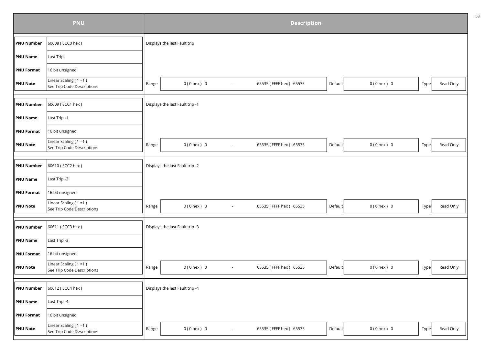|                   | <b>PNU</b>                                               |       |                                 |                          | <b>Description</b>     |         |                 |      |           |
|-------------------|----------------------------------------------------------|-------|---------------------------------|--------------------------|------------------------|---------|-----------------|------|-----------|
| <b>PNU Number</b> | 60608 (ECC0 hex)                                         |       | Displays the last Fault trip    |                          |                        |         |                 |      |           |
| <b>PNU Name</b>   | Last Trip                                                |       |                                 |                          |                        |         |                 |      |           |
| <b>PNU Format</b> | 16 bit unsigned                                          |       |                                 |                          |                        |         |                 |      |           |
| <b>PNU Note</b>   | Linear Scaling ( $1 = 1$ )<br>See Trip Code Descriptions | Range | $0(0$ hex $) 0$                 | $\overline{\phantom{a}}$ | 65535 (FFFF hex) 65535 | Default | $0(0$ hex $) 0$ | Type | Read Only |
| <b>PNU Number</b> | 60609 (ECC1 hex)                                         |       | Displays the last Fault trip -1 |                          |                        |         |                 |      |           |
| <b>PNU Name</b>   | Last Trip -1                                             |       |                                 |                          |                        |         |                 |      |           |
| <b>PNU Format</b> | 16 bit unsigned                                          |       |                                 |                          |                        |         |                 |      |           |
| <b>PNU Note</b>   | Linear Scaling ( $1 = 1$ )<br>See Trip Code Descriptions | Range | $0(0$ hex $) 0$                 | $\blacksquare$           | 65535 (FFFF hex) 65535 | Default | $0(0$ hex $) 0$ | Type | Read Only |
| <b>PNU Number</b> | 60610 (ECC2 hex)                                         |       | Displays the last Fault trip -2 |                          |                        |         |                 |      |           |
| <b>PNU Name</b>   | Last Trip -2                                             |       |                                 |                          |                        |         |                 |      |           |
| <b>PNU Format</b> | 16 bit unsigned                                          |       |                                 |                          |                        |         |                 |      |           |
| PNU Note          | Linear Scaling ( $1 = 1$ )<br>See Trip Code Descriptions | Range | $0(0$ hex $) 0$                 | $\sim$                   | 65535 (FFFF hex) 65535 | Default | $0(0$ hex $) 0$ | Type | Read Only |
| <b>PNU Number</b> | 60611 (ECC3 hex)                                         |       | Displays the last Fault trip -3 |                          |                        |         |                 |      |           |
| PNU Name          | Last Trip -3                                             |       |                                 |                          |                        |         |                 |      |           |
| PNU Format        | 16 bit unsigned                                          |       |                                 |                          |                        |         |                 |      |           |
| <b>PNU Note</b>   | Linear Scaling $(1 = 1)$<br>See Trip Code Descriptions   | Range | $0(0$ hex $) 0$                 | $\overline{\phantom{a}}$ | 65535 (FFFF hex) 65535 | Default | $0(0$ hex $) 0$ | Type | Read Only |
| <b>PNU Number</b> | 60612 (ECC4 hex)                                         |       | Displays the last Fault trip -4 |                          |                        |         |                 |      |           |
| <b>PNU Name</b>   | Last Trip -4                                             |       |                                 |                          |                        |         |                 |      |           |
| <b>PNU Format</b> | 16 bit unsigned                                          |       |                                 |                          |                        |         |                 |      |           |
| <b>PNU Note</b>   | Linear Scaling $(1 = 1)$<br>See Trip Code Descriptions   | Range | $0(0$ hex $) 0$                 | $\overline{\phantom{a}}$ | 65535 (FFFF hex) 65535 | Default | $0(0$ hex $) 0$ | Type | Read Only |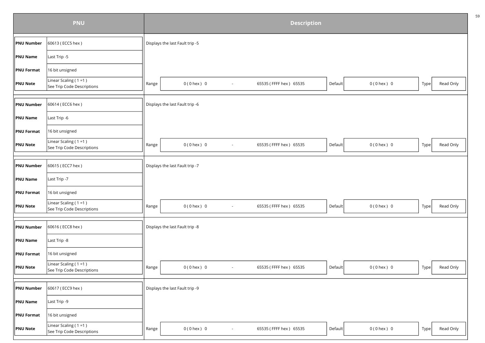|                   | <b>PNU</b>                                               |       |                                             | <b>Description</b>     |         |                 |      |           |
|-------------------|----------------------------------------------------------|-------|---------------------------------------------|------------------------|---------|-----------------|------|-----------|
| <b>PNU Number</b> | 60613 (ECC5 hex)                                         |       | Displays the last Fault trip -5             |                        |         |                 |      |           |
| <b>PNU Name</b>   | Last Trip -5                                             |       |                                             |                        |         |                 |      |           |
| <b>PNU Format</b> | 16 bit unsigned                                          |       |                                             |                        |         |                 |      |           |
| <b>PNU Note</b>   | Linear Scaling ( $1 = 1$ )<br>See Trip Code Descriptions | Range | $0(0$ hex $) 0$<br>$\overline{\phantom{a}}$ | 65535 (FFFF hex) 65535 | Default | $0(0$ hex $) 0$ | Type | Read Only |
| <b>PNU Number</b> | 60614 (ECC6 hex)                                         |       | Displays the last Fault trip -6             |                        |         |                 |      |           |
| <b>PNU Name</b>   | Last Trip -6                                             |       |                                             |                        |         |                 |      |           |
| <b>PNU Format</b> | 16 bit unsigned                                          |       |                                             |                        |         |                 |      |           |
| <b>PNU Note</b>   | Linear Scaling ( $1 = 1$ )<br>See Trip Code Descriptions | Range | $0(0$ hex $)$ 0<br>$\blacksquare$           | 65535 (FFFF hex) 65535 | Default | $0(0$ hex $) 0$ | Type | Read Only |
| <b>PNU Number</b> | 60615 (ECC7 hex)                                         |       | Displays the last Fault trip -7             |                        |         |                 |      |           |
| <b>PNU Name</b>   | Last Trip -7                                             |       |                                             |                        |         |                 |      |           |
| <b>PNU Format</b> | 16 bit unsigned                                          |       |                                             |                        |         |                 |      |           |
| PNU Note          | Linear Scaling ( $1 = 1$ )<br>See Trip Code Descriptions | Range | $0(0$ hex $) 0$<br>$\sim$                   | 65535 (FFFF hex) 65535 | Default | $0(0$ hex $) 0$ | Type | Read Only |
| <b>PNU Number</b> | 60616 (ECC8 hex)                                         |       | Displays the last Fault trip -8             |                        |         |                 |      |           |
| PNU Name          | Last Trip -8                                             |       |                                             |                        |         |                 |      |           |
| <b>PNU</b> Format | 16 bit unsigned                                          |       |                                             |                        |         |                 |      |           |
| <b>PNU Note</b>   | Linear Scaling $(1 = 1)$<br>See Trip Code Descriptions   | Range | $0(0$ hex $) 0$<br>$\blacksquare$           | 65535 (FFFF hex) 65535 | Default | $0(0$ hex $) 0$ | Type | Read Only |
| <b>PNU Number</b> | 60617 (ECC9 hex)                                         |       | Displays the last Fault trip -9             |                        |         |                 |      |           |
| <b>PNU Name</b>   | Last Trip -9                                             |       |                                             |                        |         |                 |      |           |
| <b>PNU Format</b> | 16 bit unsigned                                          |       |                                             |                        |         |                 |      |           |
| <b>PNU Note</b>   | Linear Scaling $(1 = 1)$<br>See Trip Code Descriptions   | Range | $0(0$ hex $) 0$<br>$\overline{\phantom{a}}$ | 65535 (FFFF hex) 65535 | Default | $0(0$ hex $) 0$ | Type | Read Only |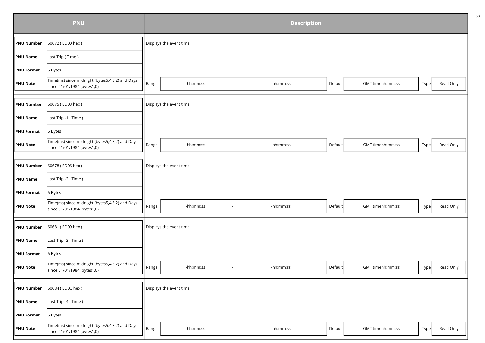|                   | <b>PNU</b>                                                                     |       |                         |                          | <b>Description</b> |         |                  |      |           |
|-------------------|--------------------------------------------------------------------------------|-------|-------------------------|--------------------------|--------------------|---------|------------------|------|-----------|
| PNU Number        | 60672 (ED00 hex)                                                               |       | Displays the event time |                          |                    |         |                  |      |           |
| <b>PNU Name</b>   | Last Trip (Time)                                                               |       |                         |                          |                    |         |                  |      |           |
| <b>PNU Format</b> | 6 Bytes                                                                        |       |                         |                          |                    |         |                  |      |           |
| <b>PNU Note</b>   | Time(ms) since midnight (bytes5,4,3,2) and Days<br>since 01/01/1984 (bytes1,0) | Range | -hh:mm:ss               |                          | -hh:mm:ss          | Default | GMT timehh:mm:ss | Type | Read Only |
|                   |                                                                                |       |                         |                          |                    |         |                  |      |           |
| <b>PNU Number</b> | 60675 (ED03 hex)                                                               |       | Displays the event time |                          |                    |         |                  |      |           |
| <b>PNU Name</b>   | Last Trip -1 (Time)                                                            |       |                         |                          |                    |         |                  |      |           |
| <b>PNU Format</b> | 6 Bytes                                                                        |       |                         |                          |                    |         |                  |      |           |
| <b>PNU Note</b>   | Time(ms) since midnight (bytes5,4,3,2) and Days<br>since 01/01/1984 (bytes1,0) | Range | -hh:mm:ss               |                          | -hh:mm:ss          | Default | GMT timehh:mm:ss | Type | Read Only |
|                   |                                                                                |       |                         |                          |                    |         |                  |      |           |
| <b>PNU Number</b> | 60678 (ED06 hex)                                                               |       | Displays the event time |                          |                    |         |                  |      |           |
| <b>PNU Name</b>   | Last Trip -2 (Time)                                                            |       |                         |                          |                    |         |                  |      |           |
| <b>PNU Format</b> | 6 Bytes                                                                        |       |                         |                          |                    |         |                  |      |           |
| <b>PNU Note</b>   | Time(ms) since midnight (bytes5,4,3,2) and Days<br>since 01/01/1984 (bytes1,0) | Range | -hh:mm:ss               | $\overline{\phantom{a}}$ | -hh:mm:ss          | Default | GMT timehh:mm:ss | Type | Read Only |
|                   |                                                                                |       |                         |                          |                    |         |                  |      |           |
| <b>PNU Number</b> | 60681 (ED09 hex)                                                               |       | Displays the event time |                          |                    |         |                  |      |           |
| <b>PNU Name</b>   | Last Trip -3 (Time)                                                            |       |                         |                          |                    |         |                  |      |           |
| <b>PNU Format</b> | 6 Bytes                                                                        |       |                         |                          |                    |         |                  |      |           |
| <b>PNU Note</b>   | Time(ms) since midnight (bytes5,4,3,2) and Days<br>since 01/01/1984 (bytes1,0) | Range | -hh:mm:ss               | $\overline{\phantom{a}}$ | -hh:mm:ss          | Default | GMT timehh:mm:ss | Type | Read Only |
|                   |                                                                                |       |                         |                          |                    |         |                  |      |           |
| <b>PNU Number</b> | 60684 (ED0C hex)                                                               |       | Displays the event time |                          |                    |         |                  |      |           |
| PNU Name          | Last Trip -4 (Time)                                                            |       |                         |                          |                    |         |                  |      |           |
| <b>PNU Format</b> | 6 Bytes                                                                        |       |                         |                          |                    |         |                  |      |           |
| <b>PNU Note</b>   | Time(ms) since midnight (bytes5,4,3,2) and Days<br>since 01/01/1984 (bytes1,0) | Range | -hh:mm:ss               |                          | -hh:mm:ss          | Default | GMT timehh:mm:ss | Type | Read Only |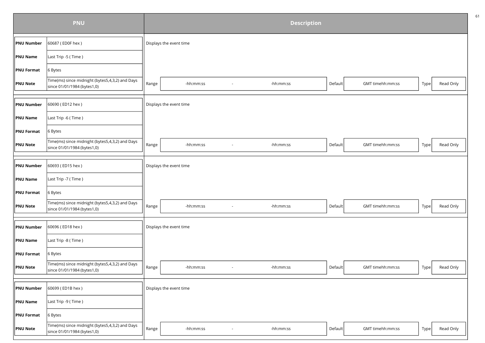|                   | <b>PNU</b>                                                                     |       |                         | <b>Description</b> |         |                  |      |           |
|-------------------|--------------------------------------------------------------------------------|-------|-------------------------|--------------------|---------|------------------|------|-----------|
| <b>PNU Number</b> | 60687 (ED0F hex)                                                               |       | Displays the event time |                    |         |                  |      |           |
| PNU Name          | Last Trip -5 (Time)                                                            |       |                         |                    |         |                  |      |           |
| <b>PNU Format</b> | 6 Bytes                                                                        |       |                         |                    |         |                  |      |           |
| <b>PNU Note</b>   | Time(ms) since midnight (bytes5,4,3,2) and Days<br>since 01/01/1984 (bytes1,0) | Range | -hh:mm:ss               | -hh:mm:ss          | Default | GMT timehh:mm:ss | Type | Read Only |
|                   |                                                                                |       |                         |                    |         |                  |      |           |
| <b>PNU Number</b> | 60690 (ED12 hex)                                                               |       | Displays the event time |                    |         |                  |      |           |
| PNU Name          | Last Trip -6 (Time)                                                            |       |                         |                    |         |                  |      |           |
| <b>PNU Format</b> | 6 Bytes                                                                        |       |                         |                    |         |                  |      |           |
| <b>PNU Note</b>   | Time(ms) since midnight (bytes5,4,3,2) and Days<br>since 01/01/1984 (bytes1,0) | Range | -hh:mm:ss               | -hh:mm:ss          | Default | GMT timehh:mm:ss | Type | Read Only |
|                   |                                                                                |       |                         |                    |         |                  |      |           |
| <b>PNU Number</b> | 60693 (ED15 hex)                                                               |       | Displays the event time |                    |         |                  |      |           |
| <b>PNU Name</b>   | Last Trip -7 (Time)                                                            |       |                         |                    |         |                  |      |           |
| <b>PNU Format</b> | 6 Bytes                                                                        |       |                         |                    |         |                  |      |           |
| <b>PNU Note</b>   | Time(ms) since midnight (bytes5,4,3,2) and Days<br>since 01/01/1984 (bytes1,0) | Range | -hh:mm:ss               | -hh:mm:ss          | Default | GMT timehh:mm:ss | Type | Read Only |
|                   |                                                                                |       |                         |                    |         |                  |      |           |
| <b>PNU Number</b> | 60696 (ED18 hex)                                                               |       | Displays the event time |                    |         |                  |      |           |
| <b>PNU Name</b>   | Last Trip -8 (Time)                                                            |       |                         |                    |         |                  |      |           |
| <b>PNU Format</b> | 6 Bytes                                                                        |       |                         |                    |         |                  |      |           |
| <b>PNU Note</b>   | Time(ms) since midnight (bytes5,4,3,2) and Days<br>since 01/01/1984 (bytes1,0) | Range | -hh:mm:ss<br>$\sim$     | -hh:mm:ss          | Default | GMT timehh:mm:ss | Type | Read Only |
|                   |                                                                                |       |                         |                    |         |                  |      |           |
| <b>PNU Number</b> | 60699 (ED1B hex)                                                               |       | Displays the event time |                    |         |                  |      |           |
| PNU Name          | Last Trip -9 (Time)                                                            |       |                         |                    |         |                  |      |           |
| <b>PNU Format</b> | 6 Bytes                                                                        |       |                         |                    |         |                  |      |           |
| <b>PNU Note</b>   | Time(ms) since midnight (bytes5,4,3,2) and Days<br>since 01/01/1984 (bytes1,0) | Range | -hh:mm:ss               | -hh:mm:ss          | Default | GMT timehh:mm:ss | Type | Read Only |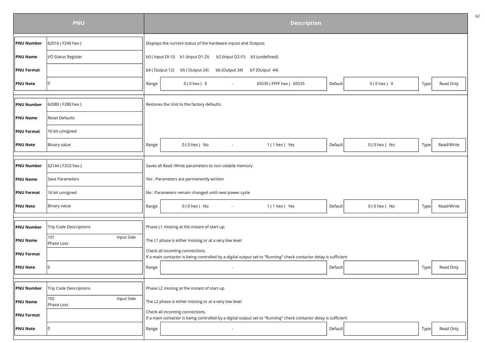| <b>PNU</b>        |                                 | <b>Description</b> |                                                                                                                                                     |                             |                    |
|-------------------|---------------------------------|--------------------|-----------------------------------------------------------------------------------------------------------------------------------------------------|-----------------------------|--------------------|
| <b>PNU Number</b> | 62016 (F240 hex)                |                    | Displays the current status of the hardware inputs and Outputs                                                                                      |                             |                    |
| <b>PNU Name</b>   | I/O Status Register             |                    | b0 (Input DI-1I) b1 (Input D1-2I)<br>b2 (input D2-I1)<br>b3 (undefined)                                                                             |                             |                    |
| <b>PNU Format</b> |                                 | b4 (Output 12)     | b5 (Output 24)<br>b6 (Output 34)<br>b7 (Output 44)                                                                                                  |                             |                    |
| <b>PNU Note</b>   | 10                              | Range              | $0(0$ hex $)$ 0<br>65535 (FFFF hex) 65535<br>$\sim$                                                                                                 | Default<br>$0(0$ hex $)$ 0  | Read Only<br>Type  |
|                   |                                 |                    |                                                                                                                                                     |                             |                    |
| <b>PNU Number</b> | 62080 (F280 hex)                |                    | Restores the Unit to the factory defaults                                                                                                           |                             |                    |
| <b>PNU Name</b>   | <b>Reset Defaults</b>           |                    |                                                                                                                                                     |                             |                    |
| <b>PNU Format</b> | 16 bit unsigned                 |                    |                                                                                                                                                     |                             |                    |
| <b>PNU Note</b>   | Binary value                    | Range              | 1 (1 hex ) Yes<br>$0(0$ hex $)$ No                                                                                                                  | Default<br>$0(0$ hex $)$ No | Type<br>Read/Write |
|                   |                                 |                    |                                                                                                                                                     |                             |                    |
| <b>PNU Number</b> | 62144 (F2C0 hex)                |                    | Saves all Read /Write parameters to non volatile memory                                                                                             |                             |                    |
| <b>PNU Name</b>   | Save Parameters                 |                    | Yes : Parameters are permanently written                                                                                                            |                             |                    |
| <b>PNU Format</b> | 16 bit unsigned                 |                    | No : Parameters remain changed until next power cycle                                                                                               |                             |                    |
| <b>PNU Note</b>   | Binary value                    | Range              | 1 (1 hex ) Yes<br>$0(0$ hex $)$ No                                                                                                                  | Default<br>$0(0$ hex $)$ No | Type<br>Read/Write |
| <b>PNU Number</b> | <b>Trip Code Descriptions</b>   |                    | Phase L1 missing at the instant of start up.                                                                                                        |                             |                    |
| <b>PNU Name</b>   | 101<br>Input Side<br>Phase Loss |                    | The L1 phase is either missing or at a very low level                                                                                               |                             |                    |
| <b>PNU Format</b> |                                 |                    | Check all incoming connections.<br>If a main contactor is being controlled by a digital output set to "Running" check contactor delay is sufficient |                             |                    |
| <b>PNU Note</b>   |                                 | Range              | $\sim$                                                                                                                                              | Default                     | Read Only<br>Type  |
|                   |                                 |                    |                                                                                                                                                     |                             |                    |
| <b>PNU Number</b> | Trip Code Descriptions          |                    | Phase L2 missing at the instant of start up                                                                                                         |                             |                    |
| <b>PNU Name</b>   | 102<br>Input Side<br>Phase Loss |                    | The L2 phase is either missing or at a very low level                                                                                               |                             |                    |
| <b>PNU Format</b> |                                 |                    | Check all incoming connections.<br>If a main contactor is being controlled by a digital output set to "Running" check contactor delay is sufficient |                             |                    |
| <b>PNU Note</b>   | $\Omega$                        | Range              |                                                                                                                                                     | Default                     | Read Only<br>Type  |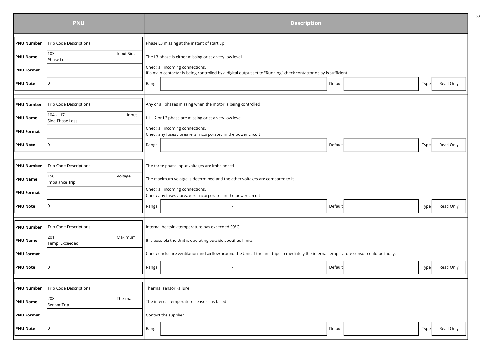|                   | <b>PNU</b>                            | <b>Description</b>                                                                                                                                  |                   |  |  |
|-------------------|---------------------------------------|-----------------------------------------------------------------------------------------------------------------------------------------------------|-------------------|--|--|
| <b>PNU Number</b> | <b>Trip Code Descriptions</b>         | Phase L3 missing at the instant of start up                                                                                                         |                   |  |  |
| <b>PNU Name</b>   | Input Side<br>103<br>Phase Loss       | The L3 phase is either missing or at a very low level                                                                                               |                   |  |  |
| <b>PNU Format</b> |                                       | Check all incoming connections.<br>If a main contactor is being controlled by a digital output set to "Running" check contactor delay is sufficient |                   |  |  |
| <b>PNU Note</b>   | ۱O                                    | Default<br>Range                                                                                                                                    | Read Only<br>Type |  |  |
|                   |                                       |                                                                                                                                                     |                   |  |  |
| <b>PNU Number</b> | <b>Trip Code Descriptions</b>         | Any or all phases missing when the motor is being controlled                                                                                        |                   |  |  |
| <b>PNU Name</b>   | 104 - 117<br>Input<br>Side Phase Loss | L1 L2 or L3 phase are missing or at a very low level.                                                                                               |                   |  |  |
| <b>PNU Format</b> |                                       | Check all incoming connections.<br>Check any fuses / breakers incorporated in the power circuit                                                     |                   |  |  |
| <b>PNU Note</b>   | ۱O                                    | Default<br>Range                                                                                                                                    | Read Only<br>Type |  |  |
|                   |                                       |                                                                                                                                                     |                   |  |  |
| <b>PNU Number</b> | Trip Code Descriptions                | The three phase input voltages are imbalanced                                                                                                       |                   |  |  |
| <b>PNU Name</b>   | 150<br>Voltage<br>Imbalance Trip      | The maximum volatge is determined and the other voltages are compared to it                                                                         |                   |  |  |
| <b>PNU Format</b> |                                       | Check all incoming connections.<br>Check any fuses / breakers incorporated in the power circuit                                                     |                   |  |  |
| <b>PNU Note</b>   |                                       | Default<br>Range                                                                                                                                    | Read Only<br>Type |  |  |
| <b>PNU Number</b> | Trip Code Descriptions                | Internal heatsink temperature has exceeded 90°C                                                                                                     |                   |  |  |
| <b>PNU Name</b>   | 201<br>Maximum<br>Temp. Exceeded      | It is possible the Unit is operating outside specified limits.                                                                                      |                   |  |  |
| <b>PNU Format</b> |                                       | Check enclosure ventilation and airflow around the Unit. If the unit trips immediately the internal temperature sensor could be faulty.             |                   |  |  |
| <b>PNU Note</b>   |                                       | Range<br>Default                                                                                                                                    | Read Only<br>Type |  |  |
|                   |                                       |                                                                                                                                                     |                   |  |  |
| <b>PNU Number</b> | Trip Code Descriptions                | Thermal sensor Failure                                                                                                                              |                   |  |  |
| <b>PNU Name</b>   | Thermal<br>208<br>Sensor Trip         | The internal temperature sensor has failed                                                                                                          |                   |  |  |
| <b>PNU Format</b> |                                       | Contact the supplier                                                                                                                                |                   |  |  |
| <b>PNU Note</b>   | l0                                    | Default<br>Range                                                                                                                                    | Read Only<br>Type |  |  |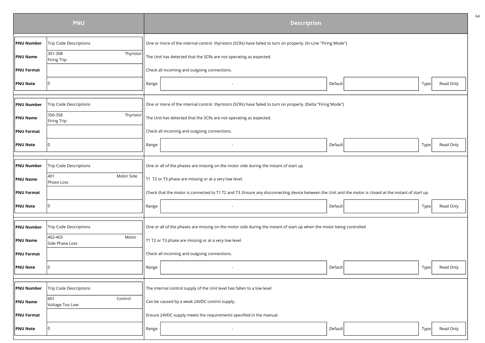| <b>PNU</b>        |                                     | <b>Description</b>                                                                                                                                      |  |  |  |
|-------------------|-------------------------------------|---------------------------------------------------------------------------------------------------------------------------------------------------------|--|--|--|
| <b>PNU Number</b> | Trip Code Descriptions              | One or more of the internal control thyristors (SCRs) have failed to turn on properly. (In-Line "Firing Mode")                                          |  |  |  |
| <b>PNU Name</b>   | 301-308<br>Thyristor<br>Firing Trip | The Unit has detected that the SCRs are not operating as expected.                                                                                      |  |  |  |
| <b>PNU Format</b> |                                     | Check all incoming and outgoing connections.                                                                                                            |  |  |  |
| <b>PNU Note</b>   | I٥                                  | Read Only<br>Range<br>Default<br>Type                                                                                                                   |  |  |  |
|                   |                                     |                                                                                                                                                         |  |  |  |
| <b>PNU Number</b> | <b>Trip Code Descriptions</b>       | One or more of the internal control thyristors (SCRs) have failed to turn on properly. (Delta "Firing Mode")                                            |  |  |  |
| <b>PNU Name</b>   | 350-358<br>Thyristor<br>Firing Trip | The Unit has detected that the SCRs are not operating as expected.                                                                                      |  |  |  |
| <b>PNU Format</b> |                                     | Check all incoming and outgoing connections.                                                                                                            |  |  |  |
| <b>PNU Note</b>   |                                     | Read Only<br>Range<br>Default<br>Type                                                                                                                   |  |  |  |
|                   |                                     |                                                                                                                                                         |  |  |  |
| <b>PNU Number</b> | <b>Trip Code Descriptions</b>       | One or all of the phases are missing on the motor side during the instant of start up                                                                   |  |  |  |
| <b>PNU Name</b>   | 401<br>Motor Side<br>Phase Loss     | T1 T2 or T3 phase are missing or at a very low level.                                                                                                   |  |  |  |
| <b>PNU Format</b> |                                     | Check that the motor is connected to T1 T2 and T3. Ensure any disconnecting device between the Unit and the motor is closed at the instant of start up. |  |  |  |
| <b>PNU Note</b>   |                                     | Read Only<br>Range<br>Default<br>Type                                                                                                                   |  |  |  |
|                   |                                     |                                                                                                                                                         |  |  |  |
| <b>PNU Number</b> | <b>Trip Code Descriptions</b>       | One or all of the phases are missing on the motor side during the instant of start up when the motor being controlled                                   |  |  |  |
| <b>PNU Name</b>   | 402-403<br>Motor<br>Side Phase Loss | T1 T2 or T3 phase are missing or at a very low level.                                                                                                   |  |  |  |
| <b>PNU Format</b> |                                     | Check all incoming and outgoing connections.                                                                                                            |  |  |  |
| <b>PNU Note</b>   |                                     | Range<br>Read Only<br>Default<br>Type                                                                                                                   |  |  |  |
|                   |                                     |                                                                                                                                                         |  |  |  |
| <b>PNU Number</b> | Trip Code Descriptions              | The internal control supply of the Unit level has fallen to a low level                                                                                 |  |  |  |
| <b>PNU Name</b>   | 601<br>Control<br>Voltage Too Low   | Can be caused by a weak 24VDC control supply.                                                                                                           |  |  |  |
| <b>PNU Format</b> |                                     | Ensure 24VDC supply meets the requirements specified in the manual.                                                                                     |  |  |  |
| <b>PNU Note</b>   | 0                                   | Read Only<br>Range<br>Default<br>Type                                                                                                                   |  |  |  |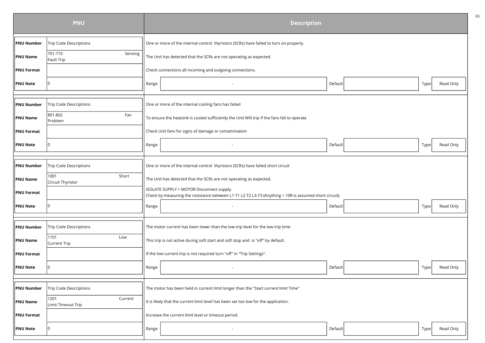| <b>PNU</b>        |                                       | <b>Description</b>                                                                                                                                  |                                                                                        |         |      |           |
|-------------------|---------------------------------------|-----------------------------------------------------------------------------------------------------------------------------------------------------|----------------------------------------------------------------------------------------|---------|------|-----------|
| <b>PNU Number</b> | Trip Code Descriptions                |                                                                                                                                                     | One or more of the internal control thyristors (SCRs) have failed to turn on properly. |         |      |           |
| <b>PNU Name</b>   | 701-710<br>Sensing<br>Fault Trip      |                                                                                                                                                     | The Unit has detected that the SCRs are not operating as expected.                     |         |      |           |
| <b>PNU Format</b> |                                       |                                                                                                                                                     | Check connections all incoming and outgoing connections.                               |         |      |           |
| <b>PNU Note</b>   | I٥                                    | Range                                                                                                                                               |                                                                                        | Default | Type | Read Only |
|                   |                                       |                                                                                                                                                     |                                                                                        |         |      |           |
| <b>PNU Number</b> | <b>Trip Code Descriptions</b>         | One or more of the internal cooling fans has failed                                                                                                 |                                                                                        |         |      |           |
| <b>PNU Name</b>   | 801-802<br>Fan<br>Problem             | To ensure the heatsink is cooled sufficiently the Unit Will trip if the fans fail to operate                                                        |                                                                                        |         |      |           |
| <b>PNU Format</b> |                                       |                                                                                                                                                     | Check Unit fans for signs of damage or contamination                                   |         |      |           |
| <b>PNU Note</b>   | $\Omega$                              | Range                                                                                                                                               |                                                                                        | Default | Type | Read Only |
|                   |                                       |                                                                                                                                                     |                                                                                        |         |      |           |
| <b>PNU Number</b> | <b>Trip Code Descriptions</b>         | One or more of the internal control thyristors (SCRs) have failed short circuit                                                                     |                                                                                        |         |      |           |
| <b>PNU Name</b>   | 1001<br>Short<br>Circuit Thyristor    | The Unit has detected that the SCRs are not operating as expected.                                                                                  |                                                                                        |         |      |           |
| <b>PNU Format</b> |                                       | ISOLATE SUPPLY + MOTOR Disconnect supply.<br>Check by measuring the resistance between L1-T1 L2-T2 L3-T3 (Anything < 10R is assumed short circuit). |                                                                                        |         |      |           |
| <b>PNU Note</b>   |                                       | Range                                                                                                                                               |                                                                                        | Default | Type | Read Only |
|                   |                                       |                                                                                                                                                     |                                                                                        |         |      |           |
| <b>PNU Number</b> | <b>Trip Code Descriptions</b>         |                                                                                                                                                     | The motor current has been lower than the low trip level for the low trip time         |         |      |           |
| <b>PNU Name</b>   | 1101<br>Low<br>Current Trip           |                                                                                                                                                     | This trip is not active during soft start and soft stop and is "off" by default.       |         |      |           |
| <b>PNU Format</b> |                                       |                                                                                                                                                     | If the low current trip is not required turn "off" in "Trip Settings".                 |         |      |           |
| <b>PNU Note</b>   |                                       | Range                                                                                                                                               |                                                                                        | Default | Type | Read Only |
|                   |                                       |                                                                                                                                                     |                                                                                        |         |      |           |
| <b>PNU Number</b> | Trip Code Descriptions                | The motor has been held in current limit longer than the "Start current limit Time"                                                                 |                                                                                        |         |      |           |
| <b>PNU Name</b>   | 1201<br>Current<br>Limit Timeout Trip | It is likely that the current limit level has been set too low for the application.                                                                 |                                                                                        |         |      |           |
| <b>PNU Format</b> |                                       |                                                                                                                                                     | Increase the current limit level or timeout period.                                    |         |      |           |
| <b>PNU Note</b>   | I٥                                    | Range                                                                                                                                               |                                                                                        | Default | Type | Read Only |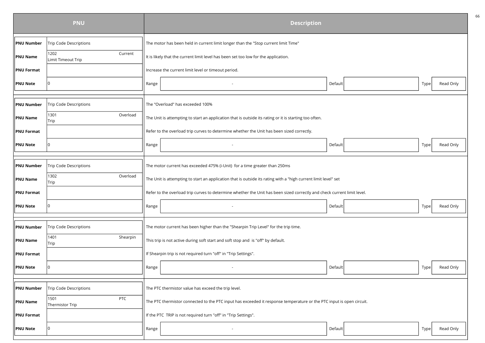|                   | <b>PNU</b>                            | <b>Description</b>                                                                                                      |  |  |  |
|-------------------|---------------------------------------|-------------------------------------------------------------------------------------------------------------------------|--|--|--|
| <b>PNU Number</b> | <b>Trip Code Descriptions</b>         | The motor has been held in current limit longer than the "Stop current limit Time"                                      |  |  |  |
| <b>PNU Name</b>   | 1202<br>Current<br>Limit Timeout Trip | It is likely that the current limit level has been set too low for the application.                                     |  |  |  |
| <b>PNU Format</b> |                                       | Increase the current limit level or timeout period.                                                                     |  |  |  |
| <b>PNU Note</b>   | ۱O                                    | Read Only<br>Default<br>Type<br>Range                                                                                   |  |  |  |
|                   |                                       |                                                                                                                         |  |  |  |
| <b>PNU Number</b> | <b>Trip Code Descriptions</b>         | The "Overload" has exceeded 100%                                                                                        |  |  |  |
| <b>PNU Name</b>   | 1301<br>Overload<br>Trip              | The Unit is attempting to start an application that is outside its rating or it is starting too often.                  |  |  |  |
| <b>PNU Format</b> |                                       | Refer to the overload trip curves to determine whether the Unit has been sized correctly.                               |  |  |  |
| <b>PNU Note</b>   | 0                                     | Read Only<br>Range<br>Default<br>Type                                                                                   |  |  |  |
|                   |                                       |                                                                                                                         |  |  |  |
| <b>PNU Number</b> | <b>Trip Code Descriptions</b>         | The motor current has exceeded 475% (i-Unit) for a time greater than 250ms                                              |  |  |  |
| <b>PNU Name</b>   | Overload<br>1302<br>Trip              | The Unit is attempting to start an application that is outside its rating with a "high current limit level" set         |  |  |  |
| <b>PNU Format</b> |                                       | Refer to the overload trip curves to determine whether the Unit has been sized correctly and check current limit level. |  |  |  |
| <b>PNU Note</b>   |                                       | Read Only<br>Range<br>Default<br>Type                                                                                   |  |  |  |
|                   |                                       |                                                                                                                         |  |  |  |
| <b>PNU Number</b> | Trip Code Descriptions                | The motor current has been higher than the "Shearpin Trip Level" for the trip time.                                     |  |  |  |
| <b>PNU Name</b>   | 1401<br>Shearpin<br>Trip              | This trip is not active during soft start and soft stop and is "off" by default.                                        |  |  |  |
| <b>PNU Format</b> |                                       | If Shearpin trip is not required turn "off" in "Trip Settings".                                                         |  |  |  |
| <b>PNU Note</b>   |                                       | Range<br>Default<br>Read Only<br>Type                                                                                   |  |  |  |
|                   |                                       |                                                                                                                         |  |  |  |
| <b>PNU Number</b> | Trip Code Descriptions                | The PTC thermistor value has exceed the trip level.                                                                     |  |  |  |
| <b>PNU Name</b>   | PTC<br>1501<br>Thermistor Trip        | The PTC thermistor connected to the PTC input has exceeded it response temperature or the PTC input is open circuit.    |  |  |  |
| <b>PNU Format</b> |                                       | If the PTC TRIP is not required turn "off" in "Trip Settings".                                                          |  |  |  |
| <b>PNU Note</b>   | ۱O                                    | Default<br>Read Only<br>Range<br>Type                                                                                   |  |  |  |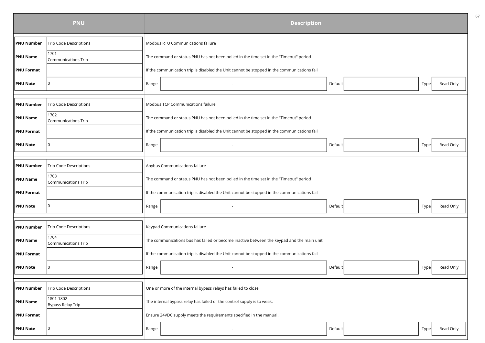| <b>PNU</b>        |                                    | <b>Description</b>                                                                          |         |                   |  |
|-------------------|------------------------------------|---------------------------------------------------------------------------------------------|---------|-------------------|--|
| <b>PNU Number</b> | <b>Trip Code Descriptions</b>      | Modbus RTU Communications failure                                                           |         |                   |  |
| <b>PNU Name</b>   | 1701<br>Communications Trip        | The command or status PNU has not been polled in the time set in the "Timeout" period       |         |                   |  |
| <b>PNU Format</b> |                                    | If the communication trip is disabled the Unit cannot be stopped in the communications fail |         |                   |  |
| <b>PNU Note</b>   | O                                  | Range                                                                                       | Default | Read Only<br>Type |  |
|                   |                                    |                                                                                             |         |                   |  |
| <b>PNU Number</b> | <b>Trip Code Descriptions</b>      | Modbus TCP Communications failure                                                           |         |                   |  |
| <b>PNU Name</b>   | 1702<br><b>Communications Trip</b> | The command or status PNU has not been polled in the time set in the "Timeout" period       |         |                   |  |
| <b>PNU Format</b> |                                    | If the communication trip is disabled the Unit cannot be stopped in the communications fail |         |                   |  |
| <b>PNU Note</b>   | ۱O                                 | Range                                                                                       | Default | Read Only<br>Type |  |
|                   |                                    |                                                                                             |         |                   |  |
| <b>PNU Number</b> | Trip Code Descriptions             | Anybus Communications failure                                                               |         |                   |  |
| <b>PNU Name</b>   | 1703<br><b>Communications Trip</b> | The command or status PNU has not been polled in the time set in the "Timeout" period       |         |                   |  |
| <b>PNU Format</b> |                                    | If the communication trip is disabled the Unit cannot be stopped in the communications fail |         |                   |  |
| <b>PNU Note</b>   |                                    | Range                                                                                       | Default | Read Only<br>Type |  |
| <b>PNU Number</b> | <b>Trip Code Descriptions</b>      | Keypad Communications failure                                                               |         |                   |  |
|                   | 1704                               |                                                                                             |         |                   |  |
| <b>PNU Name</b>   | Communications Trip                | The communications bus has failed or become inactive between the keypad and the main unit.  |         |                   |  |
| <b>PNU Format</b> |                                    | If the communication trip is disabled the Unit cannot be stopped in the communications fail |         |                   |  |
| <b>PNU Note</b>   |                                    | Range                                                                                       | Default | Read Only<br>Type |  |
|                   |                                    |                                                                                             |         |                   |  |
| <b>PNU Number</b> | Trip Code Descriptions             | One or more of the internal bypass relays has failed to close                               |         |                   |  |
| <b>PNU Name</b>   | 1801-1802<br>Bypass Relay Trip     | The internal bypass relay has failed or the control supply is to weak.                      |         |                   |  |
| <b>PNU Format</b> |                                    | Ensure 24VDC supply meets the requirements specified in the manual.                         |         |                   |  |
| <b>PNU Note</b>   | 0                                  | Range                                                                                       | Default | Read Only<br>Type |  |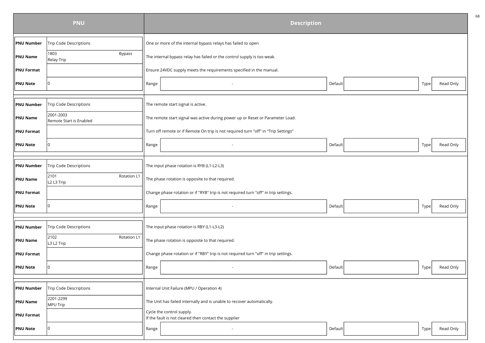| <b>PNU</b>        |                                                           | <b>Description</b>                                                                  |                   |  |  |
|-------------------|-----------------------------------------------------------|-------------------------------------------------------------------------------------|-------------------|--|--|
| <b>PNU Number</b> | Trip Code Descriptions                                    | One or more of the internal bypass relays has failed to open                        |                   |  |  |
| <b>PNU Name</b>   | 1803<br>Bypass<br>Relay Trip                              | The internal bypass relay has failed or the control supply is too weak.             |                   |  |  |
| <b>PNU Format</b> |                                                           | Ensure 24VDC supply meets the requirements specified in the manual.                 |                   |  |  |
| <b>PNU Note</b>   | $\Omega$                                                  | Default<br>Range                                                                    | Read Only<br>Type |  |  |
|                   |                                                           |                                                                                     |                   |  |  |
| <b>PNU Number</b> | <b>Trip Code Descriptions</b>                             | The remote start signal is active.                                                  |                   |  |  |
| <b>PNU Name</b>   | 2001-2003<br>Remote Start is Enabled                      | The remote start signal was active during power up or Reset or Parameter Load.      |                   |  |  |
| <b>PNU Format</b> |                                                           | Turn off remote or if Remote On trip is not required turn "off" in "Trip Settings"  |                   |  |  |
| <b>PNU Note</b>   | I٥                                                        | Range<br>Default                                                                    | Read Only<br>Type |  |  |
|                   |                                                           |                                                                                     |                   |  |  |
| <b>PNU Number</b> | <b>Trip Code Descriptions</b>                             | The input phase rotation is RYB (L1-L2-L3)                                          |                   |  |  |
| <b>PNU Name</b>   | 2101<br>Rotation L1<br>L <sub>2</sub> L <sub>3</sub> Trip | The phase rotation is opposite to that required.                                    |                   |  |  |
| <b>PNU Format</b> |                                                           | Change phase rotation or if "RYB" trip is not required turn "off" in trip settings. |                   |  |  |
| <b>PNU Note</b>   | I٥                                                        | Range<br>Default                                                                    | Read Only<br>Type |  |  |
|                   |                                                           |                                                                                     |                   |  |  |
| <b>PNU Number</b> | <b>Trip Code Descriptions</b>                             | The input phase rotation is RBY (L1-L3-L2)                                          |                   |  |  |
| <b>PNU Name</b>   | 2102<br>Rotation L1<br>L3 L2 Trip                         | The phase rotation is opposite to that required.                                    |                   |  |  |
| <b>PNU Format</b> |                                                           | Change phase rotation or if "RBY" trip is not required turn "off" in trip settings. |                   |  |  |
| <b>PNU Note</b>   |                                                           | Range<br>Default                                                                    | Read Only<br>Type |  |  |
|                   |                                                           |                                                                                     |                   |  |  |
| <b>PNU Number</b> | Trip Code Descriptions                                    | Internal Unit Failure (MPU / Operation 4)                                           |                   |  |  |
| <b>PNU Name</b>   | 2201-2299<br>MPU Trip                                     | The Unit has failed internally and is unable to recover automatically.              |                   |  |  |
| <b>PNU Format</b> |                                                           | Cycle the control supply.<br>If the fault is not cleared then contact the supplier  |                   |  |  |
| <b>PNU Note</b>   | $\Omega$                                                  | Range<br>Default                                                                    | Read Only<br>Type |  |  |